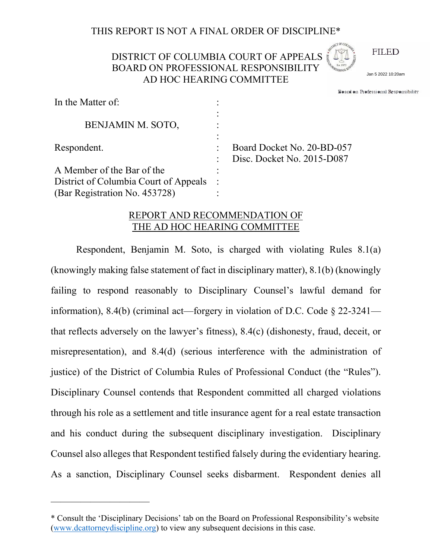## THIS REPORT IS NOT A FINAL ORDER OF DISCIPLINE\*

# DISTRICT OF COLUMBIA COURT OF APPEALS BOARD ON PROFESSIONAL RESPONSIBILITY AD HOC HEARING COMMITTEE



Board on Professional Responsibilitv Jan 5 2022 10:20am

| In the Matter of:                     |                                                          |
|---------------------------------------|----------------------------------------------------------|
| BENJAMIN M. SOTO,                     |                                                          |
| Respondent.                           | Board Docket No. 20-BD-057<br>Disc. Docket No. 2015-D087 |
| A Member of the Bar of the            |                                                          |
| District of Columbia Court of Appeals |                                                          |
| (Bar Registration No. 453728)         |                                                          |

### REPORT AND RECOMMENDATION OF THE AD HOC HEARING COMMITTEE

Respondent, Benjamin M. Soto, is charged with violating Rules 8.1(a) (knowingly making false statement of fact in disciplinary matter), 8.1(b) (knowingly failing to respond reasonably to Disciplinary Counsel's lawful demand for information), 8.4(b) (criminal act—forgery in violation of D.C. Code § 22-3241 that reflects adversely on the lawyer's fitness), 8.4(c) (dishonesty, fraud, deceit, or misrepresentation), and 8.4(d) (serious interference with the administration of justice) of the District of Columbia Rules of Professional Conduct (the "Rules"). Disciplinary Counsel contends that Respondent committed all charged violations through his role as a settlement and title insurance agent for a real estate transaction and his conduct during the subsequent disciplinary investigation. Disciplinary Counsel also alleges that Respondent testified falsely during the evidentiary hearing. **EXALT OF COLUMBIA COURT OF APPEALS**<br> **BOARD ON PROFESSIONAL RESPONSIBILITY**<br> **AD HOC HEARING COMMITTEE**<br> **AD HOC HEARING COMMITTEE**<br> **EXECUTED**<br> **EXECUTED**<br> **EXECUTED**<br> **EXECUTED**<br> **EXECUTED**<br> **EXECUTED**<br> **EXECUTED**<br> **EXE** 

——————————

<sup>\*</sup> Consult the 'Disciplinary Decisions' tab on the Board on Professional Responsibility's website [\(www.dcattorneydiscipline.org\)](http://www.dcattorneydiscipline.org/) to view any subsequent decisions in this case.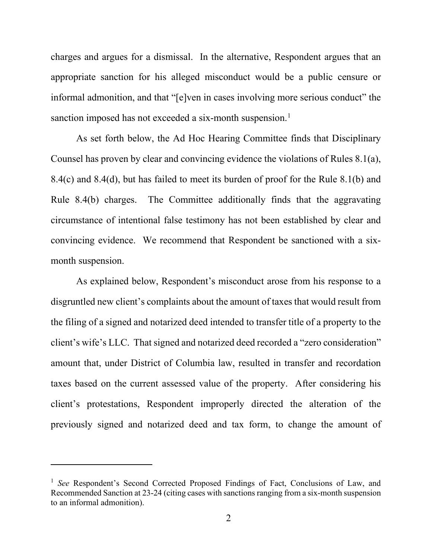charges and argues for a dismissal. In the alternative, Respondent argues that an appropriate sanction for his alleged misconduct would be a public censure or informal admonition, and that "[e]ven in cases involving more serious conduct" the sanction imposed has not exceeded a six-month suspension.<sup>[1](#page-1-0)</sup>

As set forth below, the Ad Hoc Hearing Committee finds that Disciplinary Counsel has proven by clear and convincing evidence the violations of Rules 8.1(a), 8.4(c) and 8.4(d), but has failed to meet its burden of proof for the Rule 8.1(b) and Rule 8.4(b) charges. The Committee additionally finds that the aggravating circumstance of intentional false testimony has not been established by clear and convincing evidence. We recommend that Respondent be sanctioned with a sixmonth suspension.

As explained below, Respondent's misconduct arose from his response to a disgruntled new client's complaints about the amount of taxes that would result from the filing of a signed and notarized deed intended to transfer title of a property to the client's wife's LLC. That signed and notarized deed recorded a "zero consideration" amount that, under District of Columbia law, resulted in transfer and recordation taxes based on the current assessed value of the property. After considering his client's protestations, Respondent improperly directed the alteration of the previously signed and notarized deed and tax form, to change the amount of

<span id="page-1-0"></span><sup>&</sup>lt;sup>1</sup> *See* Respondent's Second Corrected Proposed Findings of Fact, Conclusions of Law, and Recommended Sanction at 23-24 (citing cases with sanctions ranging from a six-month suspension to an informal admonition).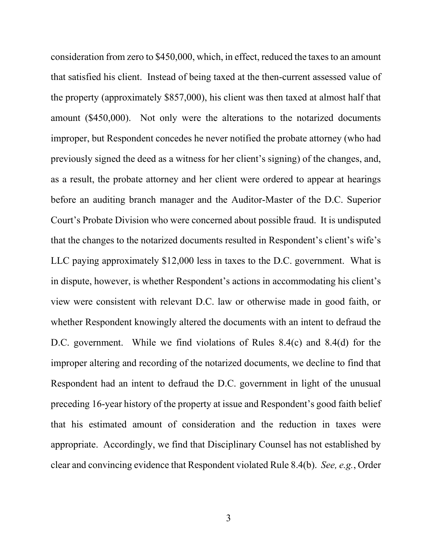consideration from zero to \$450,000, which, in effect, reduced the taxes to an amount that satisfied his client. Instead of being taxed at the then-current assessed value of the property (approximately \$857,000), his client was then taxed at almost half that amount (\$450,000). Not only were the alterations to the notarized documents improper, but Respondent concedes he never notified the probate attorney (who had previously signed the deed as a witness for her client's signing) of the changes, and, as a result, the probate attorney and her client were ordered to appear at hearings before an auditing branch manager and the Auditor-Master of the D.C. Superior Court's Probate Division who were concerned about possible fraud. It is undisputed that the changes to the notarized documents resulted in Respondent's client's wife's LLC paying approximately \$12,000 less in taxes to the D.C. government. What is in dispute, however, is whether Respondent's actions in accommodating his client's view were consistent with relevant D.C. law or otherwise made in good faith, or whether Respondent knowingly altered the documents with an intent to defraud the D.C. government. While we find violations of Rules 8.4(c) and 8.4(d) for the improper altering and recording of the notarized documents, we decline to find that Respondent had an intent to defraud the D.C. government in light of the unusual preceding 16-year history of the property at issue and Respondent's good faith belief that his estimated amount of consideration and the reduction in taxes were appropriate. Accordingly, we find that Disciplinary Counsel has not established by clear and convincing evidence that Respondent violated Rule 8.4(b). *See, e.g.*, Order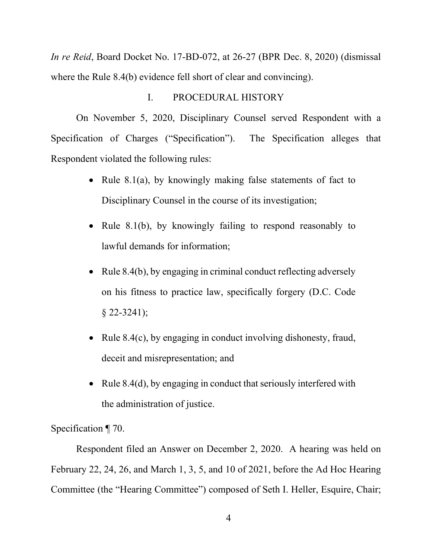*In re Reid*, Board Docket No. 17-BD-072, at 26-27 (BPR Dec. 8, 2020) (dismissal where the Rule 8.4(b) evidence fell short of clear and convincing).

### I. PROCEDURAL HISTORY

On November 5, 2020, Disciplinary Counsel served Respondent with a Specification of Charges ("Specification"). The Specification alleges that Respondent violated the following rules:

- Rule 8.1(a), by knowingly making false statements of fact to Disciplinary Counsel in the course of its investigation;
- Rule 8.1(b), by knowingly failing to respond reasonably to lawful demands for information;
- Rule 8.4(b), by engaging in criminal conduct reflecting adversely on his fitness to practice law, specifically forgery (D.C. Code  $§$  22-3241);
- Rule 8.4(c), by engaging in conduct involving dishonesty, fraud, deceit and misrepresentation; and
- Rule 8.4(d), by engaging in conduct that seriously interfered with the administration of justice.

Specification ¶ 70.

Respondent filed an Answer on December 2, 2020. A hearing was held on February 22, 24, 26, and March 1, 3, 5, and 10 of 2021, before the Ad Hoc Hearing Committee (the "Hearing Committee") composed of Seth I. Heller, Esquire, Chair;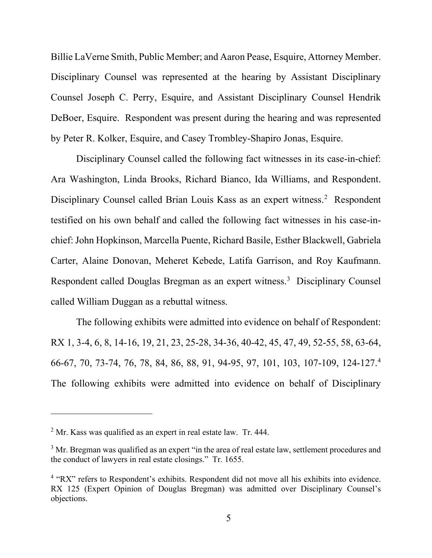Billie LaVerne Smith, Public Member; and Aaron Pease, Esquire, Attorney Member. Disciplinary Counsel was represented at the hearing by Assistant Disciplinary Counsel Joseph C. Perry, Esquire, and Assistant Disciplinary Counsel Hendrik DeBoer, Esquire. Respondent was present during the hearing and was represented by Peter R. Kolker, Esquire, and Casey Trombley-Shapiro Jonas, Esquire.

Disciplinary Counsel called the following fact witnesses in its case-in-chief: Ara Washington, Linda Brooks, Richard Bianco, Ida Williams, and Respondent. Disciplinary Counsel called Brian Louis Kass as an expert witness.<sup>[2](#page-4-0)</sup> Respondent testified on his own behalf and called the following fact witnesses in his case-inchief: John Hopkinson, Marcella Puente, Richard Basile, Esther Blackwell, Gabriela Carter, Alaine Donovan, Meheret Kebede, Latifa Garrison, and Roy Kaufmann. Respondent called Douglas Bregman as an expert witness.<sup>[3](#page-4-1)</sup> Disciplinary Counsel called William Duggan as a rebuttal witness.

The following exhibits were admitted into evidence on behalf of Respondent: RX 1, 3-4, 6, 8, 14-16, 19, 21, 23, 25-28, 34-36, 40-42, 45, 47, 49, 52-55, 58, 63-64, 66-67, 70, 73-74, 76, 78, 84, 86, 88, 91, 94-95, 97, 101, 103, 107-109, 124-127[.4](#page-4-2) The following exhibits were admitted into evidence on behalf of Disciplinary

<span id="page-4-0"></span> $<sup>2</sup>$  Mr. Kass was qualified as an expert in real estate law. Tr. 444.</sup>

<span id="page-4-1"></span> $3$  Mr. Bregman was qualified as an expert "in the area of real estate law, settlement procedures and the conduct of lawyers in real estate closings." Tr. 1655.

<span id="page-4-2"></span><sup>&</sup>lt;sup>4</sup> "RX" refers to Respondent's exhibits. Respondent did not move all his exhibits into evidence. RX 125 (Expert Opinion of Douglas Bregman) was admitted over Disciplinary Counsel's objections.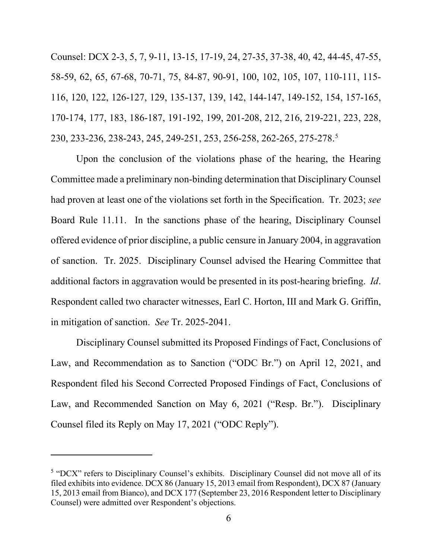Counsel: DCX 2-3, 5, 7, 9-11, 13-15, 17-19, 24, 27-35, 37-38, 40, 42, 44-45, 47-55, 58-59, 62, 65, 67-68, 70-71, 75, 84-87, 90-91, 100, 102, 105, 107, 110-111, 115- 116, 120, 122, 126-127, 129, 135-137, 139, 142, 144-147, 149-152, 154, 157-165, 170-174, 177, 183, 186-187, 191-192, 199, 201-208, 212, 216, 219-221, 223, 228, 230, 233-236, 238-243, 245, 249-251, 253, 256-258, 262-265, 275-278.[5](#page-5-0)

Upon the conclusion of the violations phase of the hearing, the Hearing Committee made a preliminary non-binding determination that Disciplinary Counsel had proven at least one of the violations set forth in the Specification. Tr. 2023; *see* Board Rule 11.11. In the sanctions phase of the hearing, Disciplinary Counsel offered evidence of prior discipline, a public censure in January 2004, in aggravation of sanction. Tr. 2025. Disciplinary Counsel advised the Hearing Committee that additional factors in aggravation would be presented in its post-hearing briefing. *Id*. Respondent called two character witnesses, Earl C. Horton, III and Mark G. Griffin, in mitigation of sanction. *See* Tr. 2025-2041.

Disciplinary Counsel submitted its Proposed Findings of Fact, Conclusions of Law, and Recommendation as to Sanction ("ODC Br.") on April 12, 2021, and Respondent filed his Second Corrected Proposed Findings of Fact, Conclusions of Law, and Recommended Sanction on May 6, 2021 ("Resp. Br."). Disciplinary Counsel filed its Reply on May 17, 2021 ("ODC Reply").

<span id="page-5-0"></span><sup>&</sup>lt;sup>5</sup> "DCX" refers to Disciplinary Counsel's exhibits. Disciplinary Counsel did not move all of its filed exhibits into evidence. DCX 86 (January 15, 2013 email from Respondent), DCX 87 (January 15, 2013 email from Bianco), and DCX 177 (September 23, 2016 Respondent letter to Disciplinary Counsel) were admitted over Respondent's objections.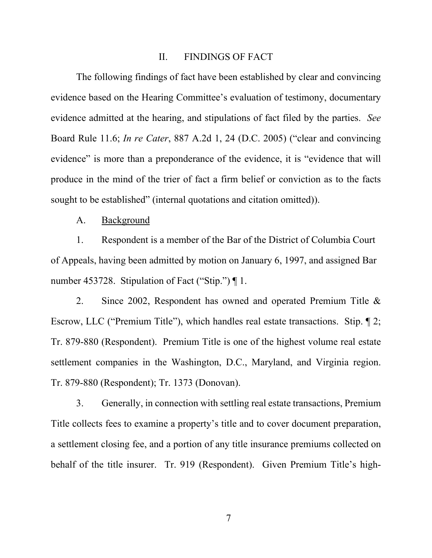#### II. FINDINGS OF FACT

The following findings of fact have been established by clear and convincing evidence based on the Hearing Committee's evaluation of testimony, documentary evidence admitted at the hearing, and stipulations of fact filed by the parties. *See* Board Rule 11.6; *In re Cater*, 887 A.2d 1, 24 (D.C. 2005) ("clear and convincing evidence" is more than a preponderance of the evidence, it is "evidence that will produce in the mind of the trier of fact a firm belief or conviction as to the facts sought to be established" (internal quotations and citation omitted)).

#### A. Background

1. Respondent is a member of the Bar of the District of Columbia Court of Appeals, having been admitted by motion on January 6, 1997, and assigned Bar number 453728. Stipulation of Fact ("Stip.") ¶ 1.

2. Since 2002, Respondent has owned and operated Premium Title & Escrow, LLC ("Premium Title"), which handles real estate transactions. Stip. ¶ 2; Tr. 879-880 (Respondent). Premium Title is one of the highest volume real estate settlement companies in the Washington, D.C., Maryland, and Virginia region. Tr. 879-880 (Respondent); Tr. 1373 (Donovan).

3. Generally, in connection with settling real estate transactions, Premium Title collects fees to examine a property's title and to cover document preparation, a settlement closing fee, and a portion of any title insurance premiums collected on behalf of the title insurer. Tr. 919 (Respondent). Given Premium Title's high-

7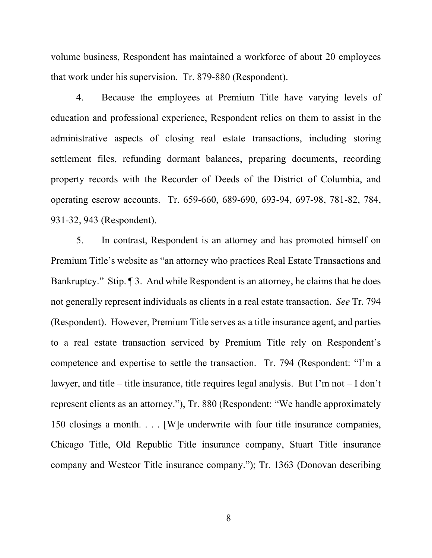volume business, Respondent has maintained a workforce of about 20 employees that work under his supervision. Tr. 879-880 (Respondent).

4. Because the employees at Premium Title have varying levels of education and professional experience, Respondent relies on them to assist in the administrative aspects of closing real estate transactions, including storing settlement files, refunding dormant balances, preparing documents, recording property records with the Recorder of Deeds of the District of Columbia, and operating escrow accounts. Tr. 659-660, 689-690, 693-94, 697-98, 781-82, 784, 931-32, 943 (Respondent).

5. In contrast, Respondent is an attorney and has promoted himself on Premium Title's website as "an attorney who practices Real Estate Transactions and Bankruptcy." Stip. ¶ 3. And while Respondent is an attorney, he claims that he does not generally represent individuals as clients in a real estate transaction. *See* Tr. 794 (Respondent). However, Premium Title serves as a title insurance agent, and parties to a real estate transaction serviced by Premium Title rely on Respondent's competence and expertise to settle the transaction. Tr. 794 (Respondent: "I'm a lawyer, and title – title insurance, title requires legal analysis. But I'm not – I don't represent clients as an attorney."), Tr. 880 (Respondent: "We handle approximately 150 closings a month. . . . [W]e underwrite with four title insurance companies, Chicago Title, Old Republic Title insurance company, Stuart Title insurance company and Westcor Title insurance company."); Tr. 1363 (Donovan describing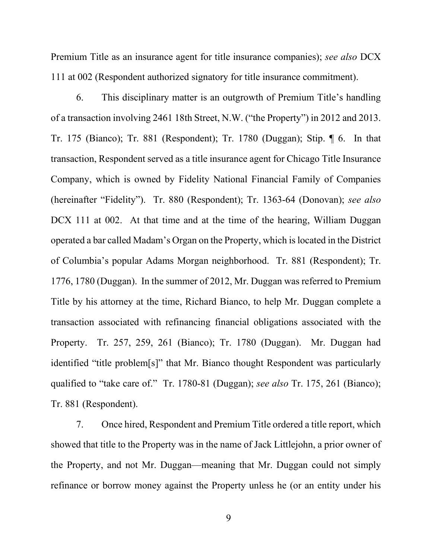Premium Title as an insurance agent for title insurance companies); *see also* DCX 111 at 002 (Respondent authorized signatory for title insurance commitment).

6. This disciplinary matter is an outgrowth of Premium Title's handling of a transaction involving 2461 18th Street, N.W. ("the Property") in 2012 and 2013. Tr. 175 (Bianco); Tr. 881 (Respondent); Tr. 1780 (Duggan); Stip. ¶ 6. In that transaction, Respondent served as a title insurance agent for Chicago Title Insurance Company, which is owned by Fidelity National Financial Family of Companies (hereinafter "Fidelity"). Tr. 880 (Respondent); Tr. 1363-64 (Donovan); *see also*  DCX 111 at 002. At that time and at the time of the hearing, William Duggan operated a bar called Madam's Organ on the Property, which is located in the District of Columbia's popular Adams Morgan neighborhood. Tr. 881 (Respondent); Tr. 1776, 1780 (Duggan). In the summer of 2012, Mr. Duggan was referred to Premium Title by his attorney at the time, Richard Bianco, to help Mr. Duggan complete a transaction associated with refinancing financial obligations associated with the Property. Tr. 257, 259, 261 (Bianco); Tr. 1780 (Duggan). Mr. Duggan had identified "title problem[s]" that Mr. Bianco thought Respondent was particularly qualified to "take care of." Tr. 1780-81 (Duggan); *see also* Tr. 175, 261 (Bianco); Tr. 881 (Respondent).

7. Once hired, Respondent and Premium Title ordered a title report, which showed that title to the Property was in the name of Jack Littlejohn, a prior owner of the Property, and not Mr. Duggan—meaning that Mr. Duggan could not simply refinance or borrow money against the Property unless he (or an entity under his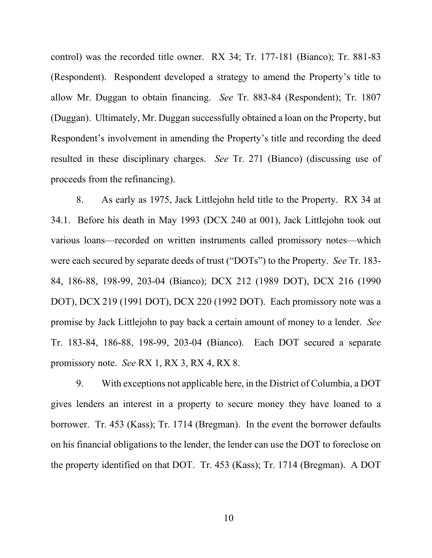control) was the recorded title owner. RX 34; Tr. 177-181 (Bianco); Tr. 881-83 (Respondent). Respondent developed a strategy to amend the Property's title to allow Mr. Duggan to obtain financing. *See* Tr. 883-84 (Respondent); Tr. 1807 (Duggan). Ultimately, Mr. Duggan successfully obtained a loan on the Property, but Respondent's involvement in amending the Property's title and recording the deed resulted in these disciplinary charges. *See* Tr. 271 (Bianco) (discussing use of proceeds from the refinancing).

8. As early as 1975, Jack Littlejohn held title to the Property. RX 34 at 34.1. Before his death in May 1993 (DCX 240 at 001), Jack Littlejohn took out various loans—recorded on written instruments called promissory notes—which were each secured by separate deeds of trust ("DOTs") to the Property. *See* Tr. 183- 84, 186-88, 198-99, 203-04 (Bianco); DCX 212 (1989 DOT), DCX 216 (1990 DOT), DCX 219 (1991 DOT), DCX 220 (1992 DOT). Each promissory note was a promise by Jack Littlejohn to pay back a certain amount of money to a lender. *See* Tr. 183-84, 186-88, 198-99, 203-04 (Bianco). Each DOT secured a separate promissory note. *See* RX 1, RX 3, RX 4, RX 8.

9. With exceptions not applicable here, in the District of Columbia, a DOT gives lenders an interest in a property to secure money they have loaned to a borrower. Tr. 453 (Kass); Tr. 1714 (Bregman). In the event the borrower defaults on his financial obligations to the lender, the lender can use the DOT to foreclose on the property identified on that DOT. Tr. 453 (Kass); Tr. 1714 (Bregman). A DOT

10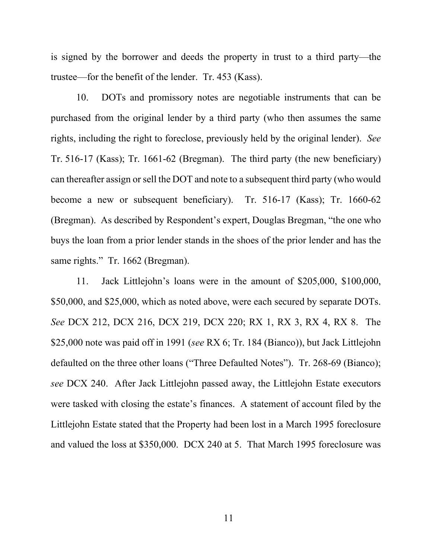is signed by the borrower and deeds the property in trust to a third party—the trustee—for the benefit of the lender. Tr. 453 (Kass).

10. DOTs and promissory notes are negotiable instruments that can be purchased from the original lender by a third party (who then assumes the same rights, including the right to foreclose, previously held by the original lender). *See*  Tr. 516-17 (Kass); Tr. 1661-62 (Bregman). The third party (the new beneficiary) can thereafter assign or sell the DOT and note to a subsequent third party (who would become a new or subsequent beneficiary). Tr. 516-17 (Kass); Tr. 1660-62 (Bregman). As described by Respondent's expert, Douglas Bregman, "the one who buys the loan from a prior lender stands in the shoes of the prior lender and has the same rights." Tr. 1662 (Bregman).

11. Jack Littlejohn's loans were in the amount of \$205,000, \$100,000, \$50,000, and \$25,000, which as noted above, were each secured by separate DOTs. *See* DCX 212, DCX 216, DCX 219, DCX 220; RX 1, RX 3, RX 4, RX 8. The \$25,000 note was paid off in 1991 (*see* RX 6; Tr. 184 (Bianco)), but Jack Littlejohn defaulted on the three other loans ("Three Defaulted Notes"). Tr. 268-69 (Bianco); *see* DCX 240. After Jack Littlejohn passed away, the Littlejohn Estate executors were tasked with closing the estate's finances. A statement of account filed by the Littlejohn Estate stated that the Property had been lost in a March 1995 foreclosure and valued the loss at \$350,000. DCX 240 at 5. That March 1995 foreclosure was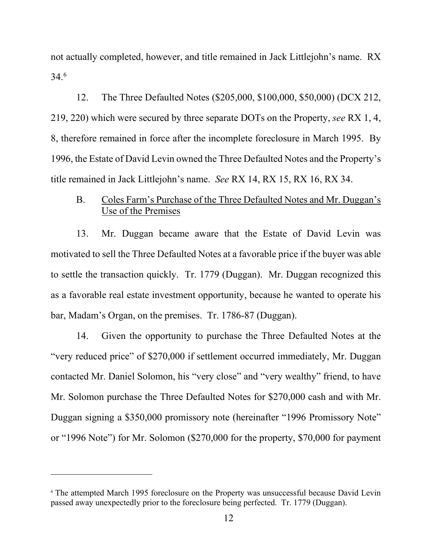not actually completed, however, and title remained in Jack Littlejohn's name. RX 34.[6](#page-11-0)

12. The Three Defaulted Notes (\$205,000, \$100,000, \$50,000) (DCX 212, 219, 220) which were secured by three separate DOTs on the Property, *see* RX 1, 4, 8, therefore remained in force after the incomplete foreclosure in March 1995. By 1996, the Estate of David Levin owned the Three Defaulted Notes and the Property's title remained in Jack Littlejohn's name. *See* RX 14, RX 15, RX 16, RX 34.

### B. Coles Farm's Purchase of the Three Defaulted Notes and Mr. Duggan's Use of the Premises

13. Mr. Duggan became aware that the Estate of David Levin was motivated to sell the Three Defaulted Notes at a favorable price if the buyer was able to settle the transaction quickly. Tr. 1779 (Duggan). Mr. Duggan recognized this as a favorable real estate investment opportunity, because he wanted to operate his bar, Madam's Organ, on the premises. Tr. 1786-87 (Duggan).

14. Given the opportunity to purchase the Three Defaulted Notes at the "very reduced price" of \$270,000 if settlement occurred immediately, Mr. Duggan contacted Mr. Daniel Solomon, his "very close" and "very wealthy" friend, to have Mr. Solomon purchase the Three Defaulted Notes for \$270,000 cash and with Mr. Duggan signing a \$350,000 promissory note (hereinafter "1996 Promissory Note" or "1996 Note") for Mr. Solomon (\$270,000 for the property, \$70,000 for payment

<span id="page-11-0"></span><sup>&</sup>lt;sup>6</sup> The attempted March 1995 foreclosure on the Property was unsuccessful because David Levin passed away unexpectedly prior to the foreclosure being perfected. Tr. 1779 (Duggan).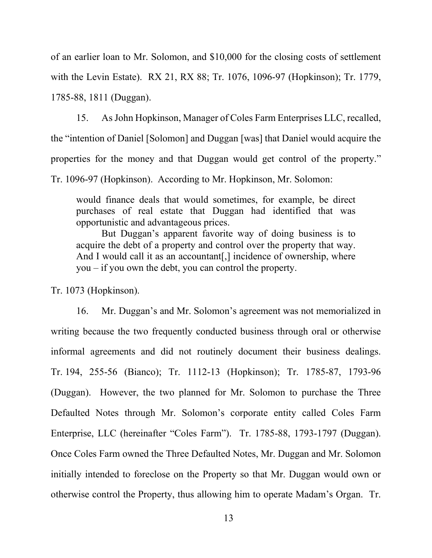of an earlier loan to Mr. Solomon, and \$10,000 for the closing costs of settlement with the Levin Estate). RX 21, RX 88; Tr. 1076, 1096-97 (Hopkinson); Tr. 1779, 1785-88, 1811 (Duggan).

15. As John Hopkinson, Manager of Coles Farm Enterprises LLC, recalled, the "intention of Daniel [Solomon] and Duggan [was] that Daniel would acquire the properties for the money and that Duggan would get control of the property." Tr. 1096-97 (Hopkinson). According to Mr. Hopkinson, Mr. Solomon:

would finance deals that would sometimes, for example, be direct purchases of real estate that Duggan had identified that was opportunistic and advantageous prices.

But Duggan's apparent favorite way of doing business is to acquire the debt of a property and control over the property that way. And I would call it as an accountant[,] incidence of ownership, where you – if you own the debt, you can control the property.

Tr. 1073 (Hopkinson).

16. Mr. Duggan's and Mr. Solomon's agreement was not memorialized in writing because the two frequently conducted business through oral or otherwise informal agreements and did not routinely document their business dealings. Tr. 194, 255-56 (Bianco); Tr. 1112-13 (Hopkinson); Tr. 1785-87, 1793-96 (Duggan). However, the two planned for Mr. Solomon to purchase the Three Defaulted Notes through Mr. Solomon's corporate entity called Coles Farm Enterprise, LLC (hereinafter "Coles Farm"). Tr. 1785-88, 1793-1797 (Duggan). Once Coles Farm owned the Three Defaulted Notes, Mr. Duggan and Mr. Solomon initially intended to foreclose on the Property so that Mr. Duggan would own or otherwise control the Property, thus allowing him to operate Madam's Organ. Tr.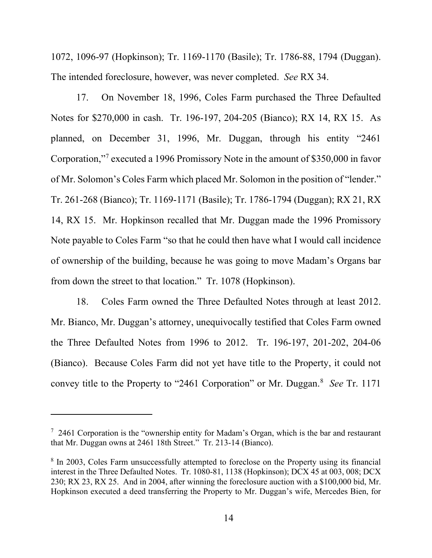1072, 1096-97 (Hopkinson); Tr. 1169-1170 (Basile); Tr. 1786-88, 1794 (Duggan). The intended foreclosure, however, was never completed. *See* RX 34.

17. On November 18, 1996, Coles Farm purchased the Three Defaulted Notes for \$270,000 in cash. Tr. 196-197, 204-205 (Bianco); RX 14, RX 15. As planned, on December 31, 1996, Mr. Duggan, through his entity "2461 Corporation,"[7](#page-13-0) executed a 1996 Promissory Note in the amount of \$350,000 in favor of Mr. Solomon's Coles Farm which placed Mr. Solomon in the position of "lender." Tr. 261-268 (Bianco); Tr. 1169-1171 (Basile); Tr. 1786-1794 (Duggan); RX 21, RX 14, RX 15. Mr. Hopkinson recalled that Mr. Duggan made the 1996 Promissory Note payable to Coles Farm "so that he could then have what I would call incidence of ownership of the building, because he was going to move Madam's Organs bar from down the street to that location." Tr. 1078 (Hopkinson).

18. Coles Farm owned the Three Defaulted Notes through at least 2012. Mr. Bianco, Mr. Duggan's attorney, unequivocally testified that Coles Farm owned the Three Defaulted Notes from 1996 to 2012. Tr. 196-197, 201-202, 204-06 (Bianco). Because Coles Farm did not yet have title to the Property, it could not convey title to the Property to "2461 Corporation" or Mr. Duggan.[8](#page-13-1) *See* Tr. 1171

<span id="page-13-0"></span> $7$  2461 Corporation is the "ownership entity for Madam's Organ, which is the bar and restaurant that Mr. Duggan owns at 2461 18th Street." Tr. 213-14 (Bianco).

<span id="page-13-1"></span><sup>&</sup>lt;sup>8</sup> In 2003, Coles Farm unsuccessfully attempted to foreclose on the Property using its financial interest in the Three Defaulted Notes. Tr. 1080-81, 1138 (Hopkinson); DCX 45 at 003, 008; DCX 230; RX 23, RX 25. And in 2004, after winning the foreclosure auction with a \$100,000 bid, Mr. Hopkinson executed a deed transferring the Property to Mr. Duggan's wife, Mercedes Bien, for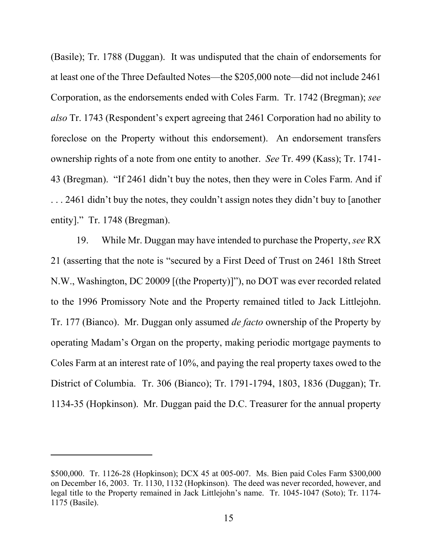(Basile); Tr. 1788 (Duggan). It was undisputed that the chain of endorsements for at least one of the Three Defaulted Notes—the \$205,000 note—did not include 2461 Corporation, as the endorsements ended with Coles Farm. Tr. 1742 (Bregman); *see also* Tr. 1743 (Respondent's expert agreeing that 2461 Corporation had no ability to foreclose on the Property without this endorsement). An endorsement transfers ownership rights of a note from one entity to another. *See* Tr. 499 (Kass); Tr. 1741- 43 (Bregman). "If 2461 didn't buy the notes, then they were in Coles Farm. And if ... 2461 didn't buy the notes, they couldn't assign notes they didn't buy to [another] entity]." Tr. 1748 (Bregman).

19. While Mr. Duggan may have intended to purchase the Property, *see* RX 21 (asserting that the note is "secured by a First Deed of Trust on 2461 18th Street N.W., Washington, DC 20009 [(the Property)]"), no DOT was ever recorded related to the 1996 Promissory Note and the Property remained titled to Jack Littlejohn. Tr. 177 (Bianco). Mr. Duggan only assumed *de facto* ownership of the Property by operating Madam's Organ on the property, making periodic mortgage payments to Coles Farm at an interest rate of 10%, and paying the real property taxes owed to the District of Columbia. Tr. 306 (Bianco); Tr. 1791-1794, 1803, 1836 (Duggan); Tr. 1134-35 (Hopkinson). Mr. Duggan paid the D.C. Treasurer for the annual property

<sup>\$500,000.</sup> Tr. 1126-28 (Hopkinson); DCX 45 at 005-007. Ms. Bien paid Coles Farm \$300,000 on December 16, 2003. Tr. 1130, 1132 (Hopkinson). The deed was never recorded, however, and legal title to the Property remained in Jack Littlejohn's name. Tr. 1045-1047 (Soto); Tr. 1174- 1175 (Basile).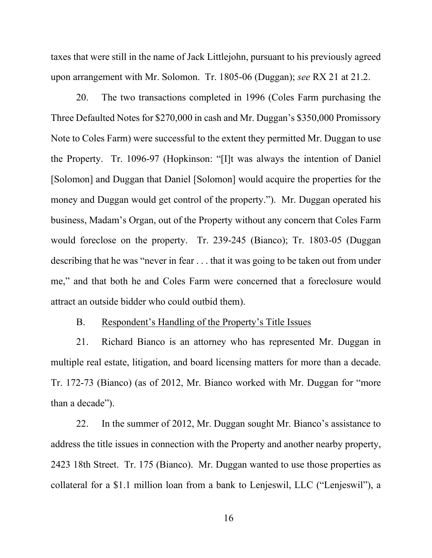taxes that were still in the name of Jack Littlejohn, pursuant to his previously agreed upon arrangement with Mr. Solomon. Tr. 1805-06 (Duggan); *see* RX 21 at 21.2.

20. The two transactions completed in 1996 (Coles Farm purchasing the Three Defaulted Notes for \$270,000 in cash and Mr. Duggan's \$350,000 Promissory Note to Coles Farm) were successful to the extent they permitted Mr. Duggan to use the Property. Tr. 1096-97 (Hopkinson: "[I]t was always the intention of Daniel [Solomon] and Duggan that Daniel [Solomon] would acquire the properties for the money and Duggan would get control of the property."). Mr. Duggan operated his business, Madam's Organ, out of the Property without any concern that Coles Farm would foreclose on the property. Tr. 239-245 (Bianco); Tr. 1803-05 (Duggan describing that he was "never in fear . . . that it was going to be taken out from under me," and that both he and Coles Farm were concerned that a foreclosure would attract an outside bidder who could outbid them).

#### B. Respondent's Handling of the Property's Title Issues

21. Richard Bianco is an attorney who has represented Mr. Duggan in multiple real estate, litigation, and board licensing matters for more than a decade. Tr. 172-73 (Bianco) (as of 2012, Mr. Bianco worked with Mr. Duggan for "more than a decade").

22. In the summer of 2012, Mr. Duggan sought Mr. Bianco's assistance to address the title issues in connection with the Property and another nearby property, 2423 18th Street. Tr. 175 (Bianco). Mr. Duggan wanted to use those properties as collateral for a \$1.1 million loan from a bank to Lenjeswil, LLC ("Lenjeswil"), a

16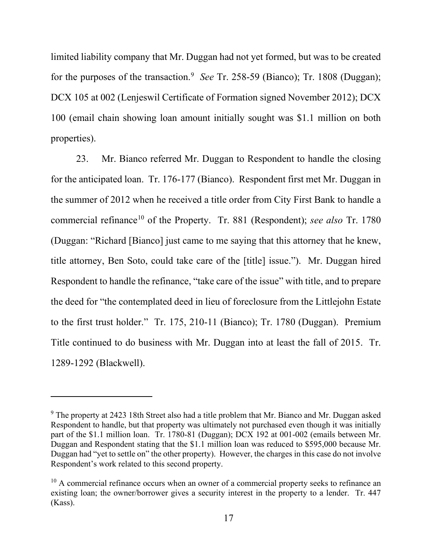limited liability company that Mr. Duggan had not yet formed, but was to be created for the purposes of the transaction.<sup>[9](#page-16-0)</sup> See Tr. 258-59 (Bianco); Tr. 1808 (Duggan); DCX 105 at 002 (Lenjeswil Certificate of Formation signed November 2012); DCX 100 (email chain showing loan amount initially sought was \$1.1 million on both properties).

23. Mr. Bianco referred Mr. Duggan to Respondent to handle the closing for the anticipated loan. Tr. 176-177 (Bianco). Respondent first met Mr. Duggan in the summer of 2012 when he received a title order from City First Bank to handle a commercial refinance<sup>[10](#page-16-1)</sup> of the Property. Tr. 881 (Respondent); *see also* Tr. 1780 (Duggan: "Richard [Bianco] just came to me saying that this attorney that he knew, title attorney, Ben Soto, could take care of the [title] issue."). Mr. Duggan hired Respondent to handle the refinance, "take care of the issue" with title, and to prepare the deed for "the contemplated deed in lieu of foreclosure from the Littlejohn Estate to the first trust holder." Tr. 175, 210-11 (Bianco); Tr. 1780 (Duggan). Premium Title continued to do business with Mr. Duggan into at least the fall of 2015. Tr. 1289-1292 (Blackwell).

<span id="page-16-0"></span><sup>&</sup>lt;sup>9</sup> The property at 2423 18th Street also had a title problem that Mr. Bianco and Mr. Duggan asked Respondent to handle, but that property was ultimately not purchased even though it was initially part of the \$1.1 million loan. Tr. 1780-81 (Duggan); DCX 192 at 001-002 (emails between Mr. Duggan and Respondent stating that the \$1.1 million loan was reduced to \$595,000 because Mr. Duggan had "yet to settle on" the other property). However, the charges in this case do not involve Respondent's work related to this second property.

<span id="page-16-1"></span> $10$  A commercial refinance occurs when an owner of a commercial property seeks to refinance an existing loan; the owner/borrower gives a security interest in the property to a lender. Tr. 447 (Kass).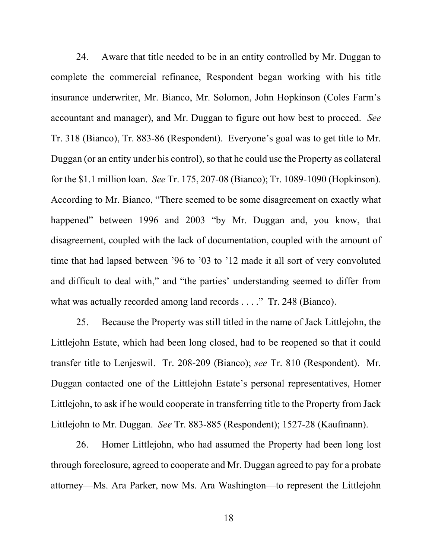24. Aware that title needed to be in an entity controlled by Mr. Duggan to complete the commercial refinance, Respondent began working with his title insurance underwriter, Mr. Bianco, Mr. Solomon, John Hopkinson (Coles Farm's accountant and manager), and Mr. Duggan to figure out how best to proceed. *See*  Tr. 318 (Bianco), Tr. 883-86 (Respondent). Everyone's goal was to get title to Mr. Duggan (or an entity under his control), so that he could use the Property as collateral for the \$1.1 million loan. *See* Tr. 175, 207-08 (Bianco); Tr. 1089-1090 (Hopkinson). According to Mr. Bianco, "There seemed to be some disagreement on exactly what happened" between 1996 and 2003 "by Mr. Duggan and, you know, that disagreement, coupled with the lack of documentation, coupled with the amount of time that had lapsed between '96 to '03 to '12 made it all sort of very convoluted and difficult to deal with," and "the parties' understanding seemed to differ from what was actually recorded among land records . . . ." Tr. 248 (Bianco).

25. Because the Property was still titled in the name of Jack Littlejohn, the Littlejohn Estate, which had been long closed, had to be reopened so that it could transfer title to Lenjeswil. Tr. 208-209 (Bianco); *see* Tr. 810 (Respondent). Mr. Duggan contacted one of the Littlejohn Estate's personal representatives, Homer Littlejohn, to ask if he would cooperate in transferring title to the Property from Jack Littlejohn to Mr. Duggan. *See* Tr. 883-885 (Respondent); 1527-28 (Kaufmann).

26. Homer Littlejohn, who had assumed the Property had been long lost through foreclosure, agreed to cooperate and Mr. Duggan agreed to pay for a probate attorney—Ms. Ara Parker, now Ms. Ara Washington—to represent the Littlejohn

18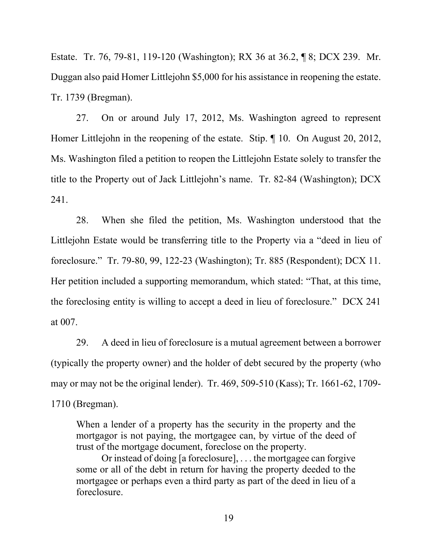Estate. Tr. 76, 79-81, 119-120 (Washington); RX 36 at 36.2, ¶ 8; DCX 239. Mr. Duggan also paid Homer Littlejohn \$5,000 for his assistance in reopening the estate. Tr. 1739 (Bregman).

27. On or around July 17, 2012, Ms. Washington agreed to represent Homer Littlejohn in the reopening of the estate. Stip. ¶ 10. On August 20, 2012, Ms. Washington filed a petition to reopen the Littlejohn Estate solely to transfer the title to the Property out of Jack Littlejohn's name. Tr. 82-84 (Washington); DCX 241.

28. When she filed the petition, Ms. Washington understood that the Littlejohn Estate would be transferring title to the Property via a "deed in lieu of foreclosure." Tr. 79-80, 99, 122-23 (Washington); Tr. 885 (Respondent); DCX 11. Her petition included a supporting memorandum, which stated: "That, at this time, the foreclosing entity is willing to accept a deed in lieu of foreclosure." DCX 241 at 007.

29. A deed in lieu of foreclosure is a mutual agreement between a borrower (typically the property owner) and the holder of debt secured by the property (who may or may not be the original lender). Tr. 469, 509-510 (Kass); Tr. 1661-62, 1709- 1710 (Bregman).

When a lender of a property has the security in the property and the mortgagor is not paying, the mortgagee can, by virtue of the deed of trust of the mortgage document, foreclose on the property.

Or instead of doing [a foreclosure], . . . the mortgagee can forgive some or all of the debt in return for having the property deeded to the mortgagee or perhaps even a third party as part of the deed in lieu of a foreclosure.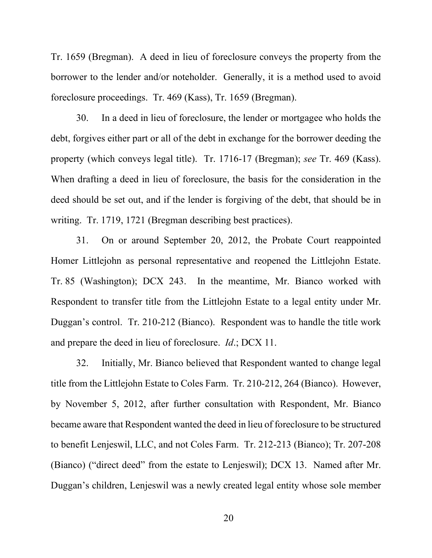Tr. 1659 (Bregman). A deed in lieu of foreclosure conveys the property from the borrower to the lender and/or noteholder. Generally, it is a method used to avoid foreclosure proceedings. Tr. 469 (Kass), Tr. 1659 (Bregman).

30. In a deed in lieu of foreclosure, the lender or mortgagee who holds the debt, forgives either part or all of the debt in exchange for the borrower deeding the property (which conveys legal title). Tr. 1716-17 (Bregman); *see* Tr. 469 (Kass). When drafting a deed in lieu of foreclosure, the basis for the consideration in the deed should be set out, and if the lender is forgiving of the debt, that should be in writing. Tr. 1719, 1721 (Bregman describing best practices).

31. On or around September 20, 2012, the Probate Court reappointed Homer Littlejohn as personal representative and reopened the Littlejohn Estate. Tr. 85 (Washington); DCX 243. In the meantime, Mr. Bianco worked with Respondent to transfer title from the Littlejohn Estate to a legal entity under Mr. Duggan's control. Tr. 210-212 (Bianco). Respondent was to handle the title work and prepare the deed in lieu of foreclosure. *Id*.; DCX 11.

32. Initially, Mr. Bianco believed that Respondent wanted to change legal title from the Littlejohn Estate to Coles Farm. Tr. 210-212, 264 (Bianco). However, by November 5, 2012, after further consultation with Respondent, Mr. Bianco became aware that Respondent wanted the deed in lieu of foreclosure to be structured to benefit Lenjeswil, LLC, and not Coles Farm. Tr. 212-213 (Bianco); Tr. 207-208 (Bianco) ("direct deed" from the estate to Lenjeswil); DCX 13. Named after Mr. Duggan's children, Lenjeswil was a newly created legal entity whose sole member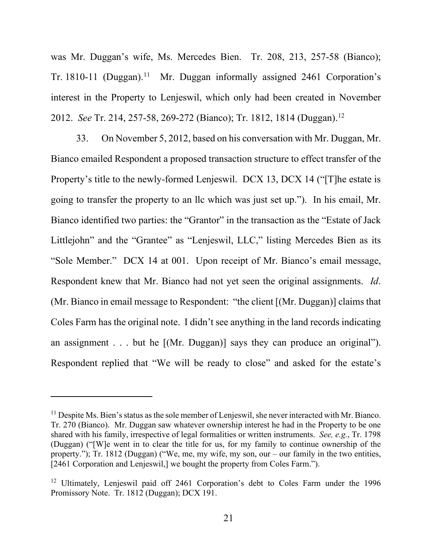was Mr. Duggan's wife, Ms. Mercedes Bien. Tr. 208, 213, 257-58 (Bianco); Tr. 1810-[11](#page-20-0) (Duggan).<sup>11</sup> Mr. Duggan informally assigned 2461 Corporation's interest in the Property to Lenjeswil, which only had been created in November 20[12](#page-20-1). *See Tr.* 214, 257-58, 269-272 (Bianco); Tr. 1812, 1814 (Duggan).<sup>12</sup>

33. On November 5, 2012, based on his conversation with Mr. Duggan, Mr. Bianco emailed Respondent a proposed transaction structure to effect transfer of the Property's title to the newly-formed Lenjeswil. DCX 13, DCX 14 ("[T]he estate is going to transfer the property to an llc which was just set up."). In his email, Mr. Bianco identified two parties: the "Grantor" in the transaction as the "Estate of Jack Littlejohn" and the "Grantee" as "Lenjeswil, LLC," listing Mercedes Bien as its "Sole Member." DCX 14 at 001. Upon receipt of Mr. Bianco's email message, Respondent knew that Mr. Bianco had not yet seen the original assignments. *Id*. (Mr. Bianco in email message to Respondent: "the client [(Mr. Duggan)] claims that Coles Farm has the original note. I didn't see anything in the land records indicating an assignment . . . but he [(Mr. Duggan)] says they can produce an original"). Respondent replied that "We will be ready to close" and asked for the estate's

<span id="page-20-0"></span> $<sup>11</sup>$  Despite Ms. Bien's status as the sole member of Lenjeswil, she never interacted with Mr. Bianco.</sup> Tr. 270 (Bianco). Mr. Duggan saw whatever ownership interest he had in the Property to be one shared with his family, irrespective of legal formalities or written instruments. *See, e.g.*, Tr. 1798 (Duggan) ("[W]e went in to clear the title for us, for my family to continue ownership of the property."); Tr. 1812 (Duggan) ("We, me, my wife, my son, our – our family in the two entities, [2461 Corporation and Lenjeswil,] we bought the property from Coles Farm.").

<span id="page-20-1"></span><sup>&</sup>lt;sup>12</sup> Ultimately, Lenjeswil paid off 2461 Corporation's debt to Coles Farm under the 1996 Promissory Note. Tr. 1812 (Duggan); DCX 191.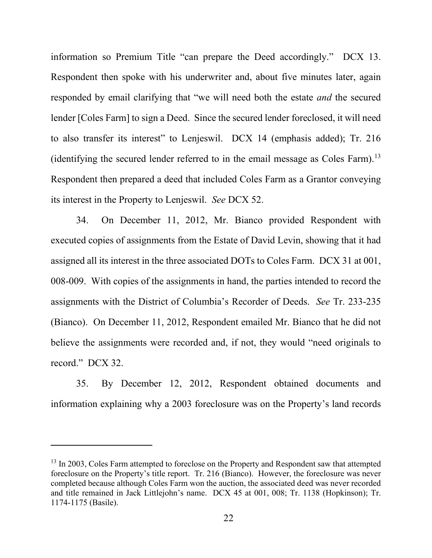information so Premium Title "can prepare the Deed accordingly." DCX 13. Respondent then spoke with his underwriter and, about five minutes later, again responded by email clarifying that "we will need both the estate *and* the secured lender [Coles Farm] to sign a Deed. Since the secured lender foreclosed, it will need to also transfer its interest" to Lenjeswil. DCX 14 (emphasis added); Tr. 216 (identifying the secured lender referred to in the email message as Coles Farm).[13](#page-21-0) Respondent then prepared a deed that included Coles Farm as a Grantor conveying its interest in the Property to Lenjeswil. *See* DCX 52.

34. On December 11, 2012, Mr. Bianco provided Respondent with executed copies of assignments from the Estate of David Levin, showing that it had assigned all its interest in the three associated DOTs to Coles Farm. DCX 31 at 001, 008-009. With copies of the assignments in hand, the parties intended to record the assignments with the District of Columbia's Recorder of Deeds. *See* Tr. 233-235 (Bianco). On December 11, 2012, Respondent emailed Mr. Bianco that he did not believe the assignments were recorded and, if not, they would "need originals to record." DCX 32.

35. By December 12, 2012, Respondent obtained documents and information explaining why a 2003 foreclosure was on the Property's land records

<span id="page-21-0"></span><sup>&</sup>lt;sup>13</sup> In 2003, Coles Farm attempted to foreclose on the Property and Respondent saw that attempted foreclosure on the Property's title report. Tr. 216 (Bianco). However, the foreclosure was never completed because although Coles Farm won the auction, the associated deed was never recorded and title remained in Jack Littlejohn's name. DCX 45 at 001, 008; Tr. 1138 (Hopkinson); Tr. 1174-1175 (Basile).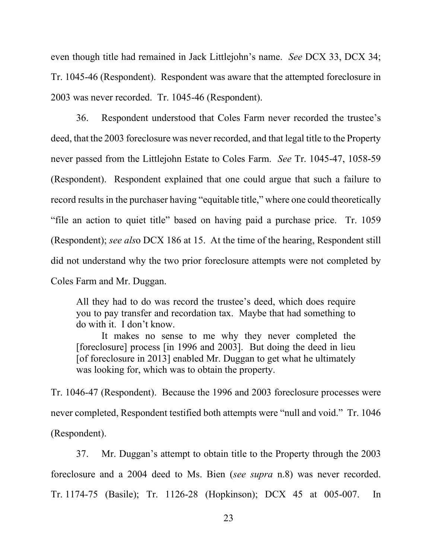even though title had remained in Jack Littlejohn's name. *See* DCX 33, DCX 34; Tr. 1045-46 (Respondent). Respondent was aware that the attempted foreclosure in 2003 was never recorded. Tr. 1045-46 (Respondent).

36. Respondent understood that Coles Farm never recorded the trustee's deed, that the 2003 foreclosure was never recorded, and that legal title to the Property never passed from the Littlejohn Estate to Coles Farm. *See* Tr. 1045-47, 1058-59 (Respondent). Respondent explained that one could argue that such a failure to record results in the purchaser having "equitable title," where one could theoretically "file an action to quiet title" based on having paid a purchase price. Tr. 1059 (Respondent); *see als*o DCX 186 at 15. At the time of the hearing, Respondent still did not understand why the two prior foreclosure attempts were not completed by Coles Farm and Mr. Duggan.

All they had to do was record the trustee's deed, which does require you to pay transfer and recordation tax. Maybe that had something to do with it. I don't know.

It makes no sense to me why they never completed the [foreclosure] process [in 1996 and 2003]. But doing the deed in lieu [of foreclosure in 2013] enabled Mr. Duggan to get what he ultimately was looking for, which was to obtain the property.

Tr. 1046-47 (Respondent). Because the 1996 and 2003 foreclosure processes were never completed, Respondent testified both attempts were "null and void." Tr. 1046 (Respondent).

37. Mr. Duggan's attempt to obtain title to the Property through the 2003 foreclosure and a 2004 deed to Ms. Bien (*see supra* n.8) was never recorded. Tr. 1174-75 (Basile); Tr. 1126-28 (Hopkinson); DCX 45 at 005-007. In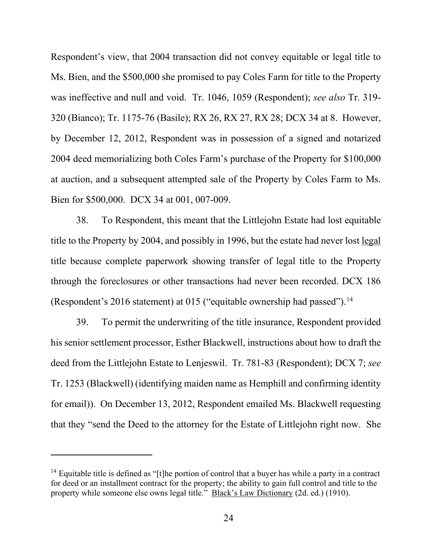Respondent's view, that 2004 transaction did not convey equitable or legal title to Ms. Bien, and the \$500,000 she promised to pay Coles Farm for title to the Property was ineffective and null and void. Tr. 1046, 1059 (Respondent); *see also* Tr. 319- 320 (Bianco); Tr. 1175-76 (Basile); RX 26, RX 27, RX 28; DCX 34 at 8. However, by December 12, 2012, Respondent was in possession of a signed and notarized 2004 deed memorializing both Coles Farm's purchase of the Property for \$100,000 at auction, and a subsequent attempted sale of the Property by Coles Farm to Ms. Bien for \$500,000. DCX 34 at 001, 007-009.

38. To Respondent, this meant that the Littlejohn Estate had lost equitable title to the Property by 2004, and possibly in 1996, but the estate had never lost legal title because complete paperwork showing transfer of legal title to the Property through the foreclosures or other transactions had never been recorded. DCX 186 (Respondent's 2016 statement) at 015 ("equitable ownership had passed").<sup>[14](#page-23-0)</sup>

39. To permit the underwriting of the title insurance, Respondent provided his senior settlement processor, Esther Blackwell, instructions about how to draft the deed from the Littlejohn Estate to Lenjeswil. Tr. 781-83 (Respondent); DCX 7; *see* Tr. 1253 (Blackwell) (identifying maiden name as Hemphill and confirming identity for email)). On December 13, 2012, Respondent emailed Ms. Blackwell requesting that they "send the Deed to the attorney for the Estate of Littlejohn right now. She

<span id="page-23-0"></span><sup>&</sup>lt;sup>14</sup> Equitable title is defined as "[t]he portion of control that a buyer has while a party in a contract for deed or an installment contract for the property; the ability to gain full control and title to the property while someone else owns legal title." Black's Law Dictionary (2d. ed.) (1910).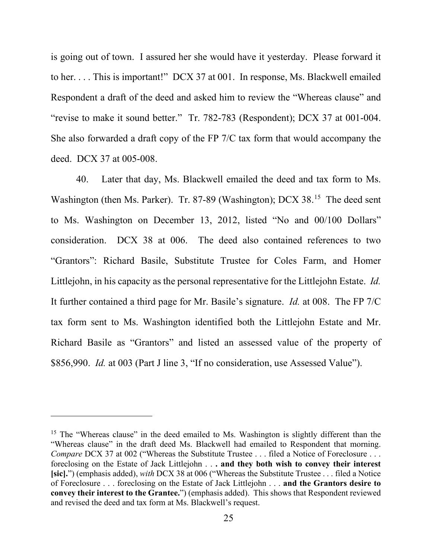is going out of town. I assured her she would have it yesterday. Please forward it to her. . . . This is important!" DCX 37 at 001. In response, Ms. Blackwell emailed Respondent a draft of the deed and asked him to review the "Whereas clause" and "revise to make it sound better." Tr. 782-783 (Respondent); DCX 37 at 001-004. She also forwarded a draft copy of the FP 7/C tax form that would accompany the deed. DCX 37 at 005-008.

40. Later that day, Ms. Blackwell emailed the deed and tax form to Ms. Washington (then Ms. Parker). Tr. 87-89 (Washington); DCX 38.<sup>15</sup> The deed sent to Ms. Washington on December 13, 2012, listed "No and 00/100 Dollars" consideration. DCX 38 at 006. The deed also contained references to two "Grantors": Richard Basile, Substitute Trustee for Coles Farm, and Homer Littlejohn, in his capacity as the personal representative for the Littlejohn Estate. *Id.* It further contained a third page for Mr. Basile's signature. *Id.* at 008. The FP 7/C tax form sent to Ms. Washington identified both the Littlejohn Estate and Mr. Richard Basile as "Grantors" and listed an assessed value of the property of \$856,990. *Id.* at 003 (Part J line 3, "If no consideration, use Assessed Value").

<span id="page-24-0"></span><sup>&</sup>lt;sup>15</sup> The "Whereas clause" in the deed emailed to Ms. Washington is slightly different than the "Whereas clause" in the draft deed Ms. Blackwell had emailed to Respondent that morning. *Compare* DCX 37 at 002 ("Whereas the Substitute Trustee . . . filed a Notice of Foreclosure . . . foreclosing on the Estate of Jack Littlejohn . . **. and they both wish to convey their interest [sic].**") (emphasis added), *with* DCX 38 at 006 ("Whereas the Substitute Trustee . . . filed a Notice of Foreclosure . . . foreclosing on the Estate of Jack Littlejohn . . . **and the Grantors desire to convey their interest to the Grantee.**") (emphasis added). This shows that Respondent reviewed and revised the deed and tax form at Ms. Blackwell's request.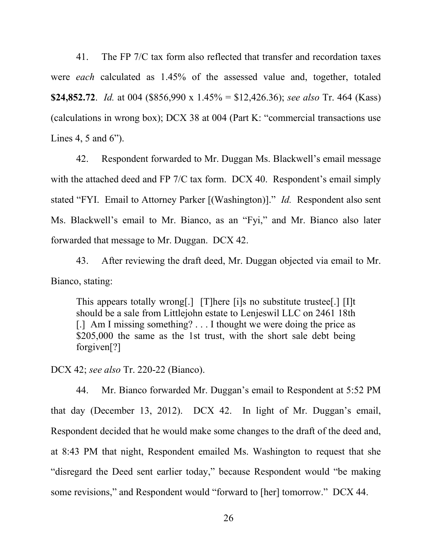41. The FP 7/C tax form also reflected that transfer and recordation taxes were *each* calculated as 1.45% of the assessed value and, together, totaled **\$24,852.72**. *Id.* at 004 (\$856,990 x 1.45% = \$12,426.36); *see also* Tr. 464 (Kass) (calculations in wrong box); DCX 38 at 004 (Part K: "commercial transactions use Lines 4, 5 and 6").

42. Respondent forwarded to Mr. Duggan Ms. Blackwell's email message with the attached deed and FP 7/C tax form. DCX 40. Respondent's email simply stated "FYI. Email to Attorney Parker [(Washington)]." *Id.* Respondent also sent Ms. Blackwell's email to Mr. Bianco, as an "Fyi," and Mr. Bianco also later forwarded that message to Mr. Duggan. DCX 42.

43. After reviewing the draft deed, Mr. Duggan objected via email to Mr. Bianco, stating:

This appears totally wrong[.] [T]here [i]s no substitute trustee[.] [I]t should be a sale from Littlejohn estate to Lenjeswil LLC on 2461 18th [.] Am I missing something? . . . I thought we were doing the price as \$205,000 the same as the 1st trust, with the short sale debt being forgiven[?]

DCX 42; *see also* Tr. 220-22 (Bianco).

44. Mr. Bianco forwarded Mr. Duggan's email to Respondent at 5:52 PM that day (December 13, 2012). DCX 42. In light of Mr. Duggan's email, Respondent decided that he would make some changes to the draft of the deed and, at 8:43 PM that night, Respondent emailed Ms. Washington to request that she "disregard the Deed sent earlier today," because Respondent would "be making some revisions," and Respondent would "forward to [her] tomorrow." DCX 44.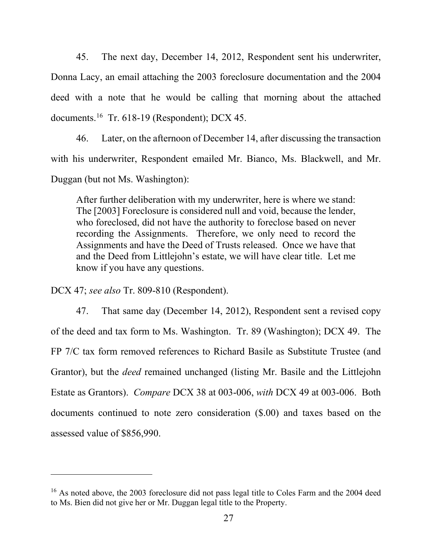45. The next day, December 14, 2012, Respondent sent his underwriter, Donna Lacy, an email attaching the 2003 foreclosure documentation and the 2004 deed with a note that he would be calling that morning about the attached documents.<sup>16</sup> Tr. 618-19 (Respondent); DCX 45.

46. Later, on the afternoon of December 14, after discussing the transaction with his underwriter, Respondent emailed Mr. Bianco, Ms. Blackwell, and Mr. Duggan (but not Ms. Washington):

After further deliberation with my underwriter, here is where we stand: The [2003] Foreclosure is considered null and void, because the lender, who foreclosed, did not have the authority to foreclose based on never recording the Assignments. Therefore, we only need to record the Assignments and have the Deed of Trusts released. Once we have that and the Deed from Littlejohn's estate, we will have clear title. Let me know if you have any questions.

DCX 47; *see also* Tr. 809-810 (Respondent).

47. That same day (December 14, 2012), Respondent sent a revised copy of the deed and tax form to Ms. Washington. Tr. 89 (Washington); DCX 49. The FP 7/C tax form removed references to Richard Basile as Substitute Trustee (and Grantor), but the *deed* remained unchanged (listing Mr. Basile and the Littlejohn Estate as Grantors). *Compare* DCX 38 at 003-006, *with* DCX 49 at 003-006. Both documents continued to note zero consideration (\$.00) and taxes based on the assessed value of \$856,990.

<span id="page-26-0"></span><sup>&</sup>lt;sup>16</sup> As noted above, the 2003 foreclosure did not pass legal title to Coles Farm and the 2004 deed to Ms. Bien did not give her or Mr. Duggan legal title to the Property.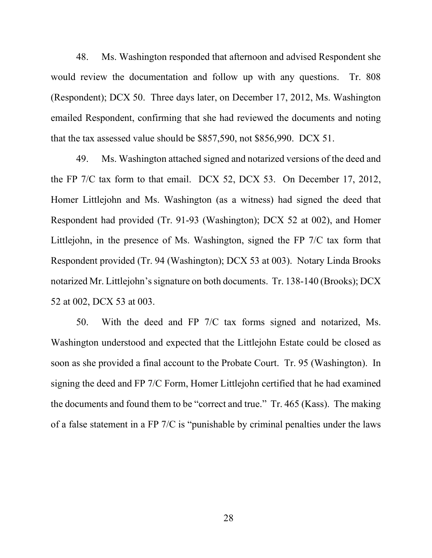48. Ms. Washington responded that afternoon and advised Respondent she would review the documentation and follow up with any questions. Tr. 808 (Respondent); DCX 50. Three days later, on December 17, 2012, Ms. Washington emailed Respondent, confirming that she had reviewed the documents and noting that the tax assessed value should be \$857,590, not \$856,990. DCX 51.

49. Ms. Washington attached signed and notarized versions of the deed and the FP 7/C tax form to that email. DCX 52, DCX 53. On December 17, 2012, Homer Littlejohn and Ms. Washington (as a witness) had signed the deed that Respondent had provided (Tr. 91-93 (Washington); DCX 52 at 002), and Homer Littlejohn, in the presence of Ms. Washington, signed the FP 7/C tax form that Respondent provided (Tr. 94 (Washington); DCX 53 at 003). Notary Linda Brooks notarized Mr. Littlejohn's signature on both documents. Tr. 138-140 (Brooks); DCX 52 at 002, DCX 53 at 003.

50. With the deed and FP 7/C tax forms signed and notarized, Ms. Washington understood and expected that the Littlejohn Estate could be closed as soon as she provided a final account to the Probate Court. Tr. 95 (Washington). In signing the deed and FP 7/C Form, Homer Littlejohn certified that he had examined the documents and found them to be "correct and true." Tr. 465 (Kass). The making of a false statement in a FP 7/C is "punishable by criminal penalties under the laws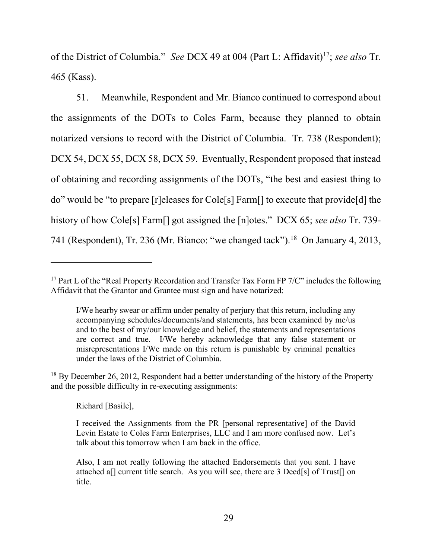of the District of Columbia." *See* DCX 49 at 004 (Part L: Affidavit)<sup>[17](#page-28-0)</sup>; *see also* Tr. 465 (Kass).

51. Meanwhile, Respondent and Mr. Bianco continued to correspond about the assignments of the DOTs to Coles Farm, because they planned to obtain notarized versions to record with the District of Columbia. Tr. 738 (Respondent); DCX 54, DCX 55, DCX 58, DCX 59. Eventually, Respondent proposed that instead of obtaining and recording assignments of the DOTs, "the best and easiest thing to do" would be "to prepare [r]eleases for Cole[s] Farm[] to execute that provide[d] the history of how Cole[s] Farm[] got assigned the [n]otes." DCX 65; *see also* Tr. 739- 741 (Respondent), Tr. 236 (Mr. Bianco: "we changed tack").<sup>[18](#page-28-1)</sup> On January 4, 2013,

<span id="page-28-1"></span> $18$  By December 26, 2012, Respondent had a better understanding of the history of the Property and the possible difficulty in re-executing assignments:

Richard [Basile],

<span id="page-28-0"></span><sup>&</sup>lt;sup>17</sup> Part L of the "Real Property Recordation and Transfer Tax Form FP  $7/C$ " includes the following Affidavit that the Grantor and Grantee must sign and have notarized:

I/We hearby swear or affirm under penalty of perjury that this return, including any accompanying schedules/documents/and statements, has been examined by me/us and to the best of my/our knowledge and belief, the statements and representations are correct and true. I/We hereby acknowledge that any false statement or misrepresentations I/We made on this return is punishable by criminal penalties under the laws of the District of Columbia.

I received the Assignments from the PR [personal representative] of the David Levin Estate to Coles Farm Enterprises, LLC and I am more confused now. Let's talk about this tomorrow when I am back in the office.

Also, I am not really following the attached Endorsements that you sent. I have attached a[] current title search. As you will see, there are 3 Deed[s] of Trust[] on title.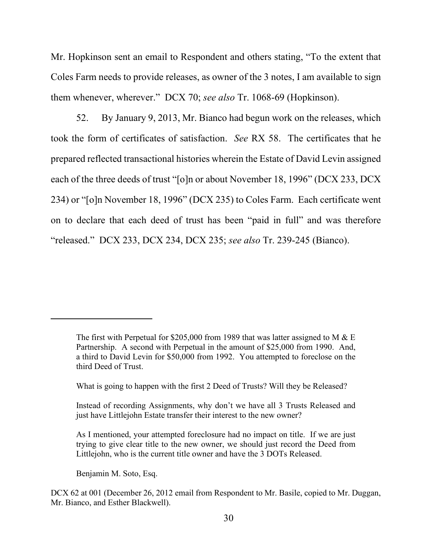Mr. Hopkinson sent an email to Respondent and others stating, "To the extent that Coles Farm needs to provide releases, as owner of the 3 notes, I am available to sign them whenever, wherever." DCX 70; *see also* Tr. 1068-69 (Hopkinson).

52. By January 9, 2013, Mr. Bianco had begun work on the releases, which took the form of certificates of satisfaction. *See* RX 58. The certificates that he prepared reflected transactional histories wherein the Estate of David Levin assigned each of the three deeds of trust "[o]n or about November 18, 1996" (DCX 233, DCX 234) or "[o]n November 18, 1996" (DCX 235) to Coles Farm. Each certificate went on to declare that each deed of trust has been "paid in full" and was therefore "released." DCX 233, DCX 234, DCX 235; *see also* Tr. 239-245 (Bianco).

Benjamin M. Soto, Esq.

The first with Perpetual for \$205,000 from 1989 that was latter assigned to M  $& \& \to \text{E}$ Partnership. A second with Perpetual in the amount of \$25,000 from 1990. And, a third to David Levin for \$50,000 from 1992. You attempted to foreclose on the third Deed of Trust.

What is going to happen with the first 2 Deed of Trusts? Will they be Released?

Instead of recording Assignments, why don't we have all 3 Trusts Released and just have Littlejohn Estate transfer their interest to the new owner?

As I mentioned, your attempted foreclosure had no impact on title. If we are just trying to give clear title to the new owner, we should just record the Deed from Littlejohn, who is the current title owner and have the 3 DOTs Released.

DCX 62 at 001 (December 26, 2012 email from Respondent to Mr. Basile, copied to Mr. Duggan, Mr. Bianco, and Esther Blackwell).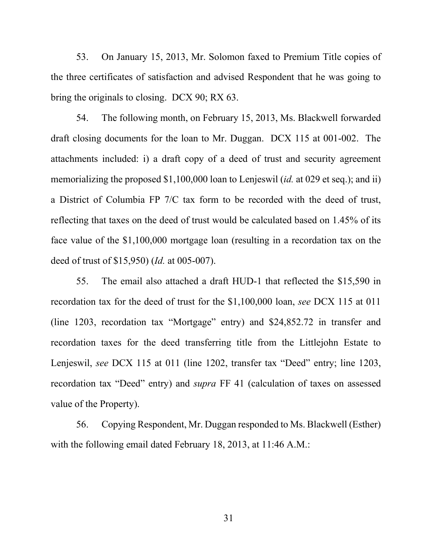53. On January 15, 2013, Mr. Solomon faxed to Premium Title copies of the three certificates of satisfaction and advised Respondent that he was going to bring the originals to closing. DCX 90; RX 63.

54. The following month, on February 15, 2013, Ms. Blackwell forwarded draft closing documents for the loan to Mr. Duggan. DCX 115 at 001-002. The attachments included: i) a draft copy of a deed of trust and security agreement memorializing the proposed \$1,100,000 loan to Lenjeswil (*id.* at 029 et seq.); and ii) a District of Columbia FP 7/C tax form to be recorded with the deed of trust, reflecting that taxes on the deed of trust would be calculated based on 1.45% of its face value of the \$1,100,000 mortgage loan (resulting in a recordation tax on the deed of trust of \$15,950) (*Id.* at 005-007).

55. The email also attached a draft HUD-1 that reflected the \$15,590 in recordation tax for the deed of trust for the \$1,100,000 loan, *see* DCX 115 at 011 (line 1203, recordation tax "Mortgage" entry) and \$24,852.72 in transfer and recordation taxes for the deed transferring title from the Littlejohn Estate to Lenjeswil, *see* DCX 115 at 011 (line 1202, transfer tax "Deed" entry; line 1203, recordation tax "Deed" entry) and *supra* FF 41 (calculation of taxes on assessed value of the Property).

56. Copying Respondent, Mr. Duggan responded to Ms. Blackwell (Esther) with the following email dated February 18, 2013, at 11:46 A.M.:

31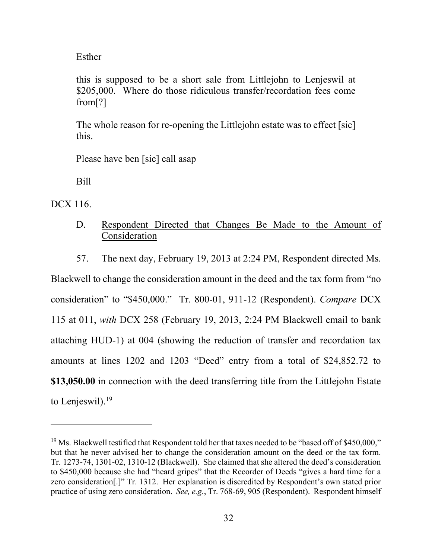Esther

this is supposed to be a short sale from Littlejohn to Lenjeswil at \$205,000. Where do those ridiculous transfer/recordation fees come from[?]

The whole reason for re-opening the Littlejohn estate was to effect [sic] this.

Please have ben [sic] call asap

Bill

DCX 116.

# D. Respondent Directed that Changes Be Made to the Amount of Consideration

57. The next day, February 19, 2013 at 2:24 PM, Respondent directed Ms.

Blackwell to change the consideration amount in the deed and the tax form from "no consideration" to "\$450,000." Tr. 800-01, 911-12 (Respondent). *Compare* DCX 115 at 011, *with* DCX 258 (February 19, 2013, 2:24 PM Blackwell email to bank attaching HUD-1) at 004 (showing the reduction of transfer and recordation tax amounts at lines 1202 and 1203 "Deed" entry from a total of \$24,852.72 to **\$13,050.00** in connection with the deed transferring title from the Littlejohn Estate to Lenjeswil).<sup>[19](#page-31-0)</sup>

<span id="page-31-0"></span><sup>&</sup>lt;sup>19</sup> Ms. Blackwell testified that Respondent told her that taxes needed to be "based off of \$450,000," but that he never advised her to change the consideration amount on the deed or the tax form. Tr. 1273-74, 1301-02, 1310-12 (Blackwell). She claimed that she altered the deed's consideration to \$450,000 because she had "heard gripes" that the Recorder of Deeds "gives a hard time for a zero consideration[.]" Tr. 1312. Her explanation is discredited by Respondent's own stated prior practice of using zero consideration. *See, e.g.*, Tr. 768-69, 905 (Respondent). Respondent himself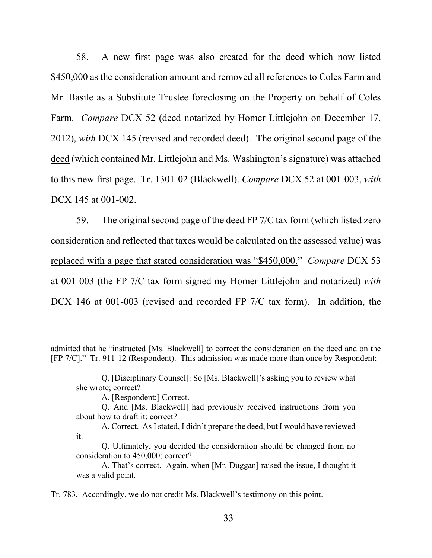58. A new first page was also created for the deed which now listed \$450,000 as the consideration amount and removed all references to Coles Farm and Mr. Basile as a Substitute Trustee foreclosing on the Property on behalf of Coles Farm. *Compare* DCX 52 (deed notarized by Homer Littlejohn on December 17, 2012), *with* DCX 145 (revised and recorded deed). The original second page of the deed (which contained Mr. Littlejohn and Ms. Washington's signature) was attached to this new first page. Tr. 1301-02 (Blackwell). *Compare* DCX 52 at 001-003, *with* DCX 145 at 001-002.

59. The original second page of the deed FP 7/C tax form (which listed zero consideration and reflected that taxes would be calculated on the assessed value) was replaced with a page that stated consideration was "\$450,000." *Compare* DCX 53 at 001-003 (the FP 7/C tax form signed my Homer Littlejohn and notarized) *with* DCX 146 at 001-003 (revised and recorded FP 7/C tax form). In addition, the

admitted that he "instructed [Ms. Blackwell] to correct the consideration on the deed and on the [FP 7/C]." Tr. 911-12 (Respondent). This admission was made more than once by Respondent:

Q. [Disciplinary Counsel]: So [Ms. Blackwell]'s asking you to review what she wrote; correct?

A. [Respondent:] Correct.

Q. And [Ms. Blackwell] had previously received instructions from you about how to draft it; correct?

A. Correct. As I stated, I didn't prepare the deed, but I would have reviewed it.

Q. Ultimately, you decided the consideration should be changed from no consideration to 450,000; correct?

A. That's correct. Again, when [Mr. Duggan] raised the issue, I thought it was a valid point.

Tr. 783. Accordingly, we do not credit Ms. Blackwell's testimony on this point.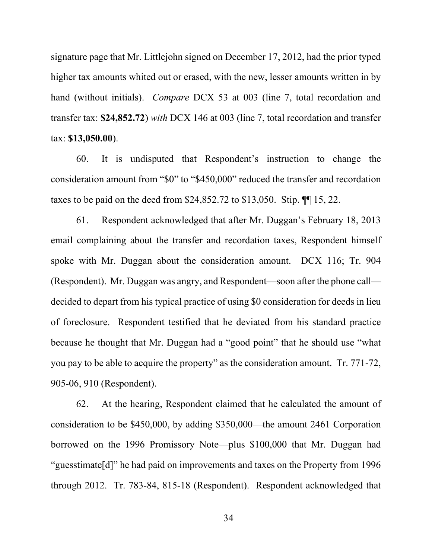signature page that Mr. Littlejohn signed on December 17, 2012, had the prior typed higher tax amounts whited out or erased, with the new, lesser amounts written in by hand (without initials). *Compare* DCX 53 at 003 (line 7, total recordation and transfer tax: **\$24,852.72**) *with* DCX 146 at 003 (line 7, total recordation and transfer tax: **\$13,050.00**).

60. It is undisputed that Respondent's instruction to change the consideration amount from "\$0" to "\$450,000" reduced the transfer and recordation taxes to be paid on the deed from \$24,852.72 to \$13,050. Stip. ¶¶ 15, 22.

61. Respondent acknowledged that after Mr. Duggan's February 18, 2013 email complaining about the transfer and recordation taxes, Respondent himself spoke with Mr. Duggan about the consideration amount. DCX 116; Tr. 904 (Respondent). Mr. Duggan was angry, and Respondent—soon after the phone call decided to depart from his typical practice of using \$0 consideration for deeds in lieu of foreclosure. Respondent testified that he deviated from his standard practice because he thought that Mr. Duggan had a "good point" that he should use "what you pay to be able to acquire the property" as the consideration amount. Tr. 771-72, 905-06, 910 (Respondent).

62. At the hearing, Respondent claimed that he calculated the amount of consideration to be \$450,000, by adding \$350,000—the amount 2461 Corporation borrowed on the 1996 Promissory Note—plus \$100,000 that Mr. Duggan had "guesstimate[d]" he had paid on improvements and taxes on the Property from 1996 through 2012. Tr. 783-84, 815-18 (Respondent). Respondent acknowledged that

34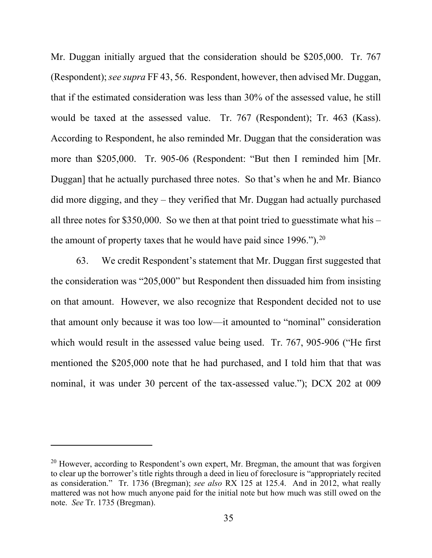Mr. Duggan initially argued that the consideration should be \$205,000. Tr. 767 (Respondent); *see supra* FF 43, 56. Respondent, however, then advised Mr. Duggan, that if the estimated consideration was less than 30% of the assessed value, he still would be taxed at the assessed value. Tr. 767 (Respondent); Tr. 463 (Kass). According to Respondent, he also reminded Mr. Duggan that the consideration was more than \$205,000. Tr. 905-06 (Respondent: "But then I reminded him [Mr. Duggan] that he actually purchased three notes. So that's when he and Mr. Bianco did more digging, and they – they verified that Mr. Duggan had actually purchased all three notes for \$350,000. So we then at that point tried to guesstimate what his – the amount of property taxes that he would have paid since  $1996$ .").<sup>20</sup>

63. We credit Respondent's statement that Mr. Duggan first suggested that the consideration was "205,000" but Respondent then dissuaded him from insisting on that amount. However, we also recognize that Respondent decided not to use that amount only because it was too low—it amounted to "nominal" consideration which would result in the assessed value being used. Tr. 767, 905-906 ("He first mentioned the \$205,000 note that he had purchased, and I told him that that was nominal, it was under 30 percent of the tax-assessed value."); DCX 202 at 009

<span id="page-34-0"></span> $20$  However, according to Respondent's own expert, Mr. Bregman, the amount that was forgiven to clear up the borrower's title rights through a deed in lieu of foreclosure is "appropriately recited as consideration." Tr. 1736 (Bregman); *see also* RX 125 at 125.4. And in 2012, what really mattered was not how much anyone paid for the initial note but how much was still owed on the note. *See* Tr. 1735 (Bregman).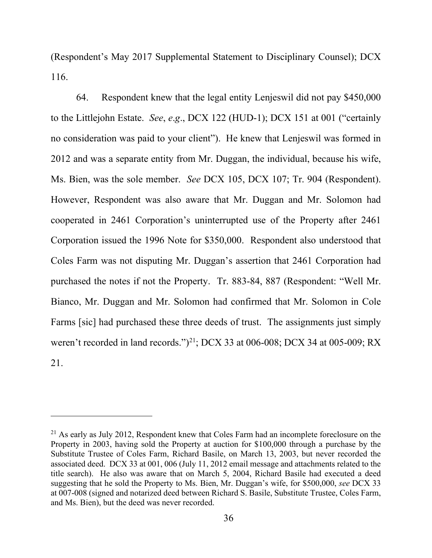(Respondent's May 2017 Supplemental Statement to Disciplinary Counsel); DCX 116.

64. Respondent knew that the legal entity Lenjeswil did not pay \$450,000 to the Littlejohn Estate. *See*, *e*.*g*., DCX 122 (HUD-1); DCX 151 at 001 ("certainly no consideration was paid to your client"). He knew that Lenjeswil was formed in 2012 and was a separate entity from Mr. Duggan, the individual, because his wife, Ms. Bien, was the sole member. *See* DCX 105, DCX 107; Tr. 904 (Respondent). However, Respondent was also aware that Mr. Duggan and Mr. Solomon had cooperated in 2461 Corporation's uninterrupted use of the Property after 2461 Corporation issued the 1996 Note for \$350,000. Respondent also understood that Coles Farm was not disputing Mr. Duggan's assertion that 2461 Corporation had purchased the notes if not the Property. Tr. 883-84, 887 (Respondent: "Well Mr. Bianco, Mr. Duggan and Mr. Solomon had confirmed that Mr. Solomon in Cole Farms [sic] had purchased these three deeds of trust. The assignments just simply weren't recorded in land records.")<sup>21</sup>; DCX 33 at 006-008; DCX 34 at 005-009; RX 21.

<span id="page-35-0"></span><sup>&</sup>lt;sup>21</sup> As early as July 2012, Respondent knew that Coles Farm had an incomplete foreclosure on the Property in 2003, having sold the Property at auction for \$100,000 through a purchase by the Substitute Trustee of Coles Farm, Richard Basile, on March 13, 2003, but never recorded the associated deed. DCX 33 at 001, 006 (July 11, 2012 email message and attachments related to the title search). He also was aware that on March 5, 2004, Richard Basile had executed a deed suggesting that he sold the Property to Ms. Bien, Mr. Duggan's wife, for \$500,000, *see* DCX 33 at 007-008 (signed and notarized deed between Richard S. Basile, Substitute Trustee, Coles Farm, and Ms. Bien), but the deed was never recorded.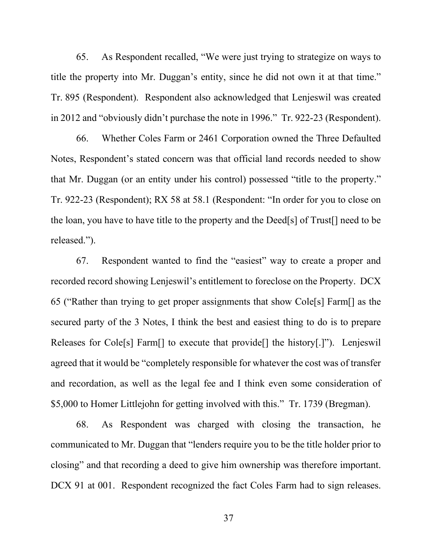65. As Respondent recalled, "We were just trying to strategize on ways to title the property into Mr. Duggan's entity, since he did not own it at that time." Tr. 895 (Respondent). Respondent also acknowledged that Lenjeswil was created in 2012 and "obviously didn't purchase the note in 1996." Tr. 922-23 (Respondent).

66. Whether Coles Farm or 2461 Corporation owned the Three Defaulted Notes, Respondent's stated concern was that official land records needed to show that Mr. Duggan (or an entity under his control) possessed "title to the property." Tr. 922-23 (Respondent); RX 58 at 58.1 (Respondent: "In order for you to close on the loan, you have to have title to the property and the Deed[s] of Trust[] need to be released.").

67. Respondent wanted to find the "easiest" way to create a proper and recorded record showing Lenjeswil's entitlement to foreclose on the Property. DCX 65 ("Rather than trying to get proper assignments that show Cole[s] Farm[] as the secured party of the 3 Notes, I think the best and easiest thing to do is to prepare Releases for Cole[s] Farm[] to execute that provide[] the history[.]"). Lenjeswil agreed that it would be "completely responsible for whatever the cost was of transfer and recordation, as well as the legal fee and I think even some consideration of \$5,000 to Homer Littlejohn for getting involved with this." Tr. 1739 (Bregman).

68. As Respondent was charged with closing the transaction, he communicated to Mr. Duggan that "lenders require you to be the title holder prior to closing" and that recording a deed to give him ownership was therefore important. DCX 91 at 001. Respondent recognized the fact Coles Farm had to sign releases.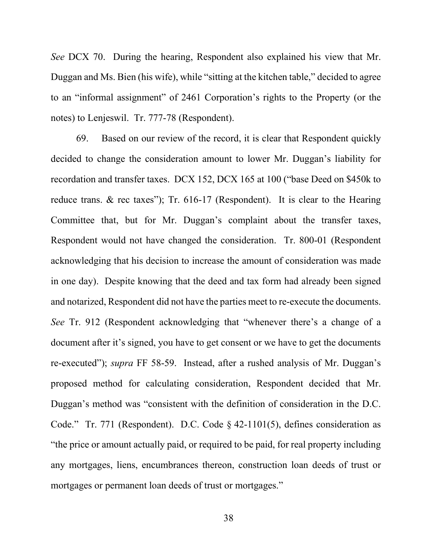*See* DCX 70. During the hearing, Respondent also explained his view that Mr. Duggan and Ms. Bien (his wife), while "sitting at the kitchen table," decided to agree to an "informal assignment" of 2461 Corporation's rights to the Property (or the notes) to Lenjeswil. Tr. 777-78 (Respondent).

69. Based on our review of the record, it is clear that Respondent quickly decided to change the consideration amount to lower Mr. Duggan's liability for recordation and transfer taxes. DCX 152, DCX 165 at 100 ("base Deed on \$450k to reduce trans. & rec taxes"); Tr. 616-17 (Respondent). It is clear to the Hearing Committee that, but for Mr. Duggan's complaint about the transfer taxes, Respondent would not have changed the consideration. Tr. 800-01 (Respondent acknowledging that his decision to increase the amount of consideration was made in one day). Despite knowing that the deed and tax form had already been signed and notarized, Respondent did not have the parties meet to re-execute the documents. *See* Tr. 912 (Respondent acknowledging that "whenever there's a change of a document after it's signed, you have to get consent or we have to get the documents re-executed"); *supra* FF 58-59. Instead, after a rushed analysis of Mr. Duggan's proposed method for calculating consideration, Respondent decided that Mr. Duggan's method was "consistent with the definition of consideration in the D.C. Code." Tr. 771 (Respondent). D.C. Code § 42-1101(5), defines consideration as "the price or amount actually paid, or required to be paid, for real property including any mortgages, liens, encumbrances thereon, construction loan deeds of trust or mortgages or permanent loan deeds of trust or mortgages."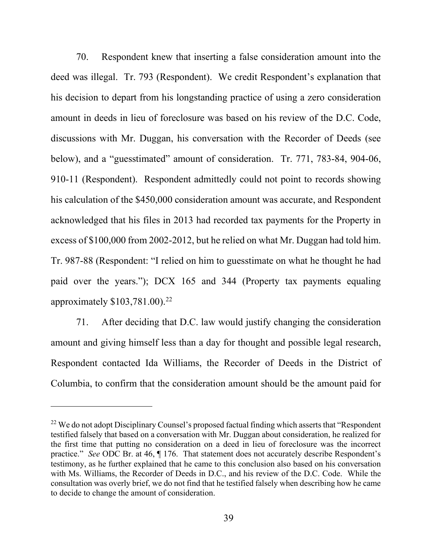70. Respondent knew that inserting a false consideration amount into the deed was illegal. Tr. 793 (Respondent). We credit Respondent's explanation that his decision to depart from his longstanding practice of using a zero consideration amount in deeds in lieu of foreclosure was based on his review of the D.C. Code, discussions with Mr. Duggan, his conversation with the Recorder of Deeds (see below), and a "guesstimated" amount of consideration. Tr. 771, 783-84, 904-06, 910-11 (Respondent). Respondent admittedly could not point to records showing his calculation of the \$450,000 consideration amount was accurate, and Respondent acknowledged that his files in 2013 had recorded tax payments for the Property in excess of \$100,000 from 2002-2012, but he relied on what Mr. Duggan had told him. Tr. 987-88 (Respondent: "I relied on him to guesstimate on what he thought he had paid over the years."); DCX 165 and 344 (Property tax payments equaling approximately  $$103,781.00$ .<sup>[22](#page-38-0)</sup>

71. After deciding that D.C. law would justify changing the consideration amount and giving himself less than a day for thought and possible legal research, Respondent contacted Ida Williams, the Recorder of Deeds in the District of Columbia, to confirm that the consideration amount should be the amount paid for

<span id="page-38-0"></span><sup>&</sup>lt;sup>22</sup> We do not adopt Disciplinary Counsel's proposed factual finding which asserts that "Respondent testified falsely that based on a conversation with Mr. Duggan about consideration, he realized for the first time that putting no consideration on a deed in lieu of foreclosure was the incorrect practice." *See* ODC Br. at 46, ¶ 176. That statement does not accurately describe Respondent's testimony, as he further explained that he came to this conclusion also based on his conversation with Ms. Williams, the Recorder of Deeds in D.C., and his review of the D.C. Code. While the consultation was overly brief, we do not find that he testified falsely when describing how he came to decide to change the amount of consideration.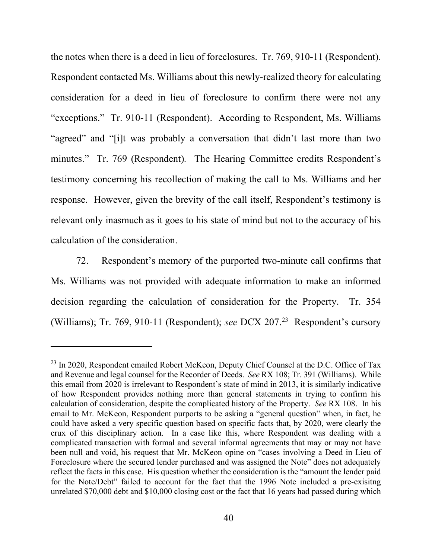the notes when there is a deed in lieu of foreclosures. Tr. 769, 910-11 (Respondent). Respondent contacted Ms. Williams about this newly-realized theory for calculating consideration for a deed in lieu of foreclosure to confirm there were not any "exceptions." Tr. 910-11 (Respondent). According to Respondent, Ms. Williams "agreed" and "[i]t was probably a conversation that didn't last more than two minutes." Tr. 769 (Respondent). The Hearing Committee credits Respondent's testimony concerning his recollection of making the call to Ms. Williams and her response. However, given the brevity of the call itself, Respondent's testimony is relevant only inasmuch as it goes to his state of mind but not to the accuracy of his calculation of the consideration.

72. Respondent's memory of the purported two-minute call confirms that Ms. Williams was not provided with adequate information to make an informed decision regarding the calculation of consideration for the Property. Tr. 354 (Williams); Tr. 769, 910-11 (Respondent); *see* DCX 207.[23](#page-39-0) Respondent's cursory

<span id="page-39-0"></span><sup>&</sup>lt;sup>23</sup> In 2020, Respondent emailed Robert McKeon, Deputy Chief Counsel at the D.C. Office of Tax and Revenue and legal counsel for the Recorder of Deeds. *See* RX 108; Tr. 391 (Williams). While this email from 2020 is irrelevant to Respondent's state of mind in 2013, it is similarly indicative of how Respondent provides nothing more than general statements in trying to confirm his calculation of consideration, despite the complicated history of the Property. *See* RX 108. In his email to Mr. McKeon, Respondent purports to be asking a "general question" when, in fact, he could have asked a very specific question based on specific facts that, by 2020, were clearly the crux of this disciplinary action. In a case like this, where Respondent was dealing with a complicated transaction with formal and several informal agreements that may or may not have been null and void, his request that Mr. McKeon opine on "cases involving a Deed in Lieu of Foreclosure where the secured lender purchased and was assigned the Note" does not adequately reflect the facts in this case. His question whether the consideration is the "amount the lender paid for the Note/Debt" failed to account for the fact that the 1996 Note included a pre-exisitng unrelated \$70,000 debt and \$10,000 closing cost or the fact that 16 years had passed during which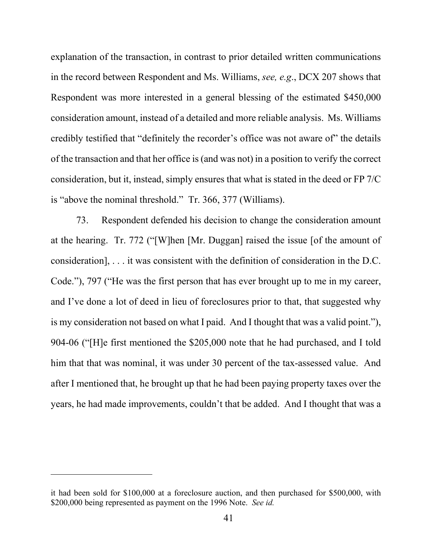explanation of the transaction, in contrast to prior detailed written communications in the record between Respondent and Ms. Williams, *see, e.g*., DCX 207 shows that Respondent was more interested in a general blessing of the estimated \$450,000 consideration amount, instead of a detailed and more reliable analysis. Ms. Williams credibly testified that "definitely the recorder's office was not aware of" the details of the transaction and that her office is (and was not) in a position to verify the correct consideration, but it, instead, simply ensures that what is stated in the deed or FP 7/C is "above the nominal threshold." Tr. 366, 377 (Williams).

73. Respondent defended his decision to change the consideration amount at the hearing. Tr. 772 ("[W]hen [Mr. Duggan] raised the issue [of the amount of consideration], . . . it was consistent with the definition of consideration in the D.C. Code."), 797 ("He was the first person that has ever brought up to me in my career, and I've done a lot of deed in lieu of foreclosures prior to that, that suggested why is my consideration not based on what I paid. And I thought that was a valid point."), 904-06 ("[H]e first mentioned the \$205,000 note that he had purchased, and I told him that that was nominal, it was under 30 percent of the tax-assessed value. And after I mentioned that, he brought up that he had been paying property taxes over the years, he had made improvements, couldn't that be added. And I thought that was a

it had been sold for \$100,000 at a foreclosure auction, and then purchased for \$500,000, with \$200,000 being represented as payment on the 1996 Note. *See id.*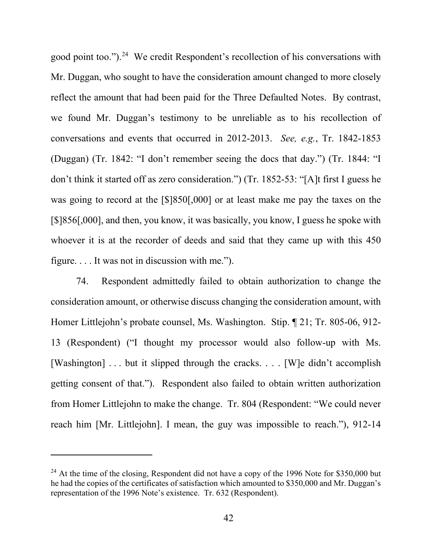good point too.").<sup>24</sup> We credit Respondent's recollection of his conversations with Mr. Duggan, who sought to have the consideration amount changed to more closely reflect the amount that had been paid for the Three Defaulted Notes. By contrast, we found Mr. Duggan's testimony to be unreliable as to his recollection of conversations and events that occurred in 2012-2013. *See, e.g.*, Tr. 1842-1853 (Duggan) (Tr. 1842: "I don't remember seeing the docs that day.") (Tr. 1844: "I don't think it started off as zero consideration.") (Tr. 1852-53: "[A]t first I guess he was going to record at the [\$]850[,000] or at least make me pay the taxes on the [\$]856[,000], and then, you know, it was basically, you know, I guess he spoke with whoever it is at the recorder of deeds and said that they came up with this 450 figure. . . . It was not in discussion with me.").

74. Respondent admittedly failed to obtain authorization to change the consideration amount, or otherwise discuss changing the consideration amount, with Homer Littlejohn's probate counsel, Ms. Washington. Stip. ¶ 21; Tr. 805-06, 912- 13 (Respondent) ("I thought my processor would also follow-up with Ms. [Washington] ... but it slipped through the cracks. ... [W]e didn't accomplish getting consent of that."). Respondent also failed to obtain written authorization from Homer Littlejohn to make the change. Tr. 804 (Respondent: "We could never reach him [Mr. Littlejohn]. I mean, the guy was impossible to reach."), 912-14

<span id="page-41-0"></span> $^{24}$  At the time of the closing, Respondent did not have a copy of the 1996 Note for \$350,000 but he had the copies of the certificates of satisfaction which amounted to \$350,000 and Mr. Duggan's representation of the 1996 Note's existence. Tr. 632 (Respondent).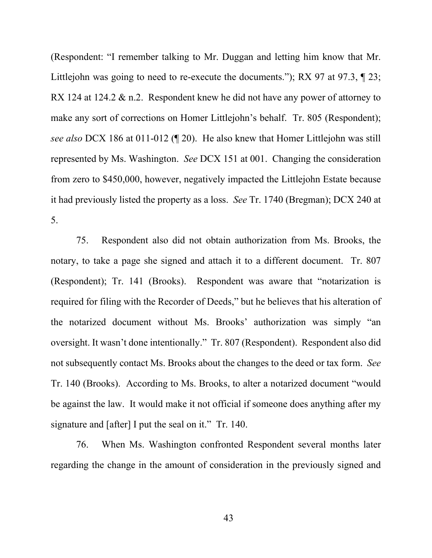(Respondent: "I remember talking to Mr. Duggan and letting him know that Mr. Littlejohn was going to need to re-execute the documents."); RX 97 at 97.3,  $\parallel$  23; RX 124 at 124.2 & n.2. Respondent knew he did not have any power of attorney to make any sort of corrections on Homer Littlejohn's behalf. Tr. 805 (Respondent); *see also* DCX 186 at 011-012 (¶ 20). He also knew that Homer Littlejohn was still represented by Ms. Washington. *See* DCX 151 at 001. Changing the consideration from zero to \$450,000, however, negatively impacted the Littlejohn Estate because it had previously listed the property as a loss. *See* Tr. 1740 (Bregman); DCX 240 at 5.

75. Respondent also did not obtain authorization from Ms. Brooks, the notary, to take a page she signed and attach it to a different document. Tr. 807 (Respondent); Tr. 141 (Brooks). Respondent was aware that "notarization is required for filing with the Recorder of Deeds," but he believes that his alteration of the notarized document without Ms. Brooks' authorization was simply "an oversight. It wasn't done intentionally." Tr. 807 (Respondent). Respondent also did not subsequently contact Ms. Brooks about the changes to the deed or tax form. *See*  Tr. 140 (Brooks). According to Ms. Brooks, to alter a notarized document "would be against the law. It would make it not official if someone does anything after my signature and [after] I put the seal on it." Tr. 140.

76. When Ms. Washington confronted Respondent several months later regarding the change in the amount of consideration in the previously signed and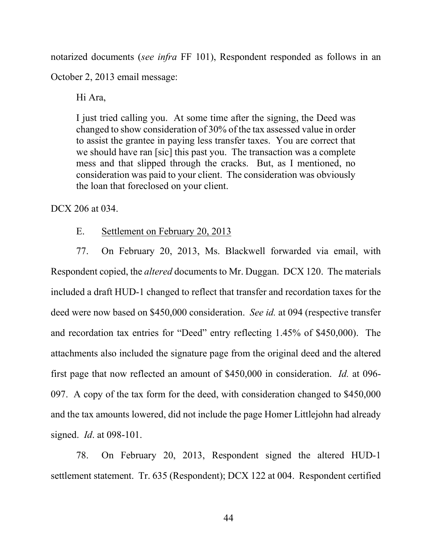notarized documents (*see infra* FF 101), Respondent responded as follows in an

October 2, 2013 email message:

Hi Ara,

I just tried calling you. At some time after the signing, the Deed was changed to show consideration of 30% of the tax assessed value in order to assist the grantee in paying less transfer taxes. You are correct that we should have ran [sic] this past you. The transaction was a complete mess and that slipped through the cracks. But, as I mentioned, no consideration was paid to your client. The consideration was obviously the loan that foreclosed on your client.

DCX 206 at 034.

E. Settlement on February 20, 2013

77. On February 20, 2013, Ms. Blackwell forwarded via email, with Respondent copied, the *altered* documents to Mr. Duggan. DCX 120. The materials included a draft HUD-1 changed to reflect that transfer and recordation taxes for the deed were now based on \$450,000 consideration. *See id.* at 094 (respective transfer and recordation tax entries for "Deed" entry reflecting 1.45% of \$450,000). The attachments also included the signature page from the original deed and the altered first page that now reflected an amount of \$450,000 in consideration. *Id.* at 096- 097. A copy of the tax form for the deed, with consideration changed to \$450,000 and the tax amounts lowered, did not include the page Homer Littlejohn had already signed. *Id*. at 098-101.

78. On February 20, 2013, Respondent signed the altered HUD-1 settlement statement. Tr. 635 (Respondent); DCX 122 at 004. Respondent certified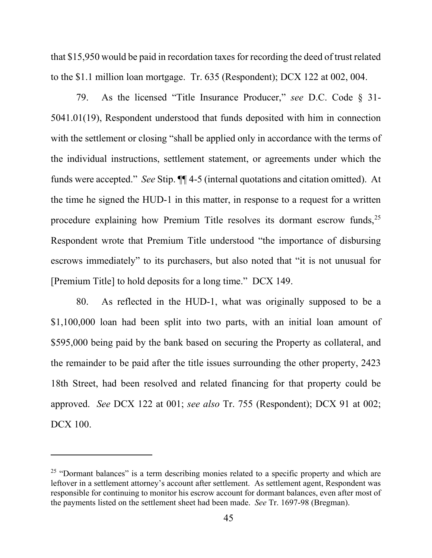that \$15,950 would be paid in recordation taxes for recording the deed of trust related to the \$1.1 million loan mortgage. Tr. 635 (Respondent); DCX 122 at 002, 004.

79. As the licensed "Title Insurance Producer," *see* D.C. Code § 31- 5041.01(19), Respondent understood that funds deposited with him in connection with the settlement or closing "shall be applied only in accordance with the terms of the individual instructions, settlement statement, or agreements under which the funds were accepted." *See* Stip. ¶¶ 4-5 (internal quotations and citation omitted). At the time he signed the HUD-1 in this matter, in response to a request for a written procedure explaining how Premium Title resolves its dormant escrow funds,  $2^5$ Respondent wrote that Premium Title understood "the importance of disbursing escrows immediately" to its purchasers, but also noted that "it is not unusual for [Premium Title] to hold deposits for a long time." DCX 149.

80. As reflected in the HUD-1, what was originally supposed to be a \$1,100,000 loan had been split into two parts, with an initial loan amount of \$595,000 being paid by the bank based on securing the Property as collateral, and the remainder to be paid after the title issues surrounding the other property, 2423 18th Street, had been resolved and related financing for that property could be approved. *See* DCX 122 at 001; *see also* Tr. 755 (Respondent); DCX 91 at 002; DCX 100.

<span id="page-44-0"></span> $25$  "Dormant balances" is a term describing monies related to a specific property and which are leftover in a settlement attorney's account after settlement. As settlement agent, Respondent was responsible for continuing to monitor his escrow account for dormant balances, even after most of the payments listed on the settlement sheet had been made. *See* Tr. 1697-98 (Bregman).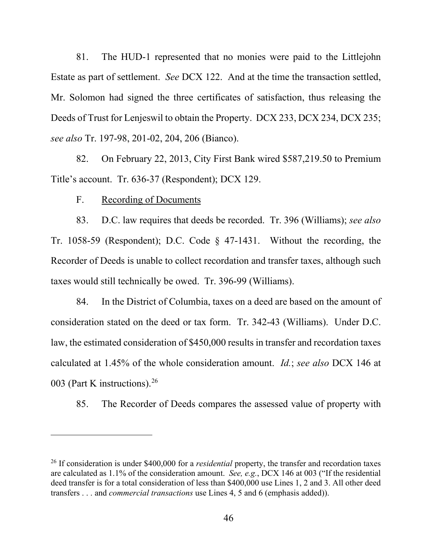81. The HUD-1 represented that no monies were paid to the Littlejohn Estate as part of settlement. *See* DCX 122. And at the time the transaction settled, Mr. Solomon had signed the three certificates of satisfaction, thus releasing the Deeds of Trust for Lenjeswil to obtain the Property. DCX 233, DCX 234, DCX 235; *see also* Tr. 197-98, 201-02, 204, 206 (Bianco).

82. On February 22, 2013, City First Bank wired \$587,219.50 to Premium Title's account. Tr. 636-37 (Respondent); DCX 129.

F. Recording of Documents

83. D.C. law requires that deeds be recorded. Tr. 396 (Williams); *see also*  Tr. 1058-59 (Respondent); D.C. Code § 47-1431. Without the recording, the Recorder of Deeds is unable to collect recordation and transfer taxes, although such taxes would still technically be owed. Tr. 396-99 (Williams).

84. In the District of Columbia, taxes on a deed are based on the amount of consideration stated on the deed or tax form. Tr. 342-43 (Williams). Under D.C. law, the estimated consideration of \$450,000 results in transfer and recordation taxes calculated at 1.45% of the whole consideration amount. *Id.*; *see also* DCX 146 at 003 (Part K instructions).[26](#page-45-0) 

85. The Recorder of Deeds compares the assessed value of property with

<span id="page-45-0"></span><sup>26</sup> If consideration is under \$400,000 for a *residential* property, the transfer and recordation taxes are calculated as 1.1% of the consideration amount. *See, e.g.*, DCX 146 at 003 ("If the residential deed transfer is for a total consideration of less than \$400,000 use Lines 1, 2 and 3. All other deed transfers . . . and *commercial transactions* use Lines 4, 5 and 6 (emphasis added)).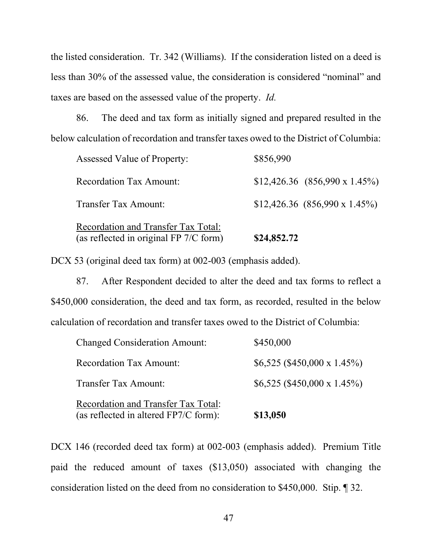the listed consideration. Tr. 342 (Williams). If the consideration listed on a deed is less than 30% of the assessed value, the consideration is considered "nominal" and taxes are based on the assessed value of the property. *Id.*

86. The deed and tax form as initially signed and prepared resulted in the below calculation of recordation and transfer taxes owed to the District of Columbia:

| Recordation and Transfer Tax Total:<br>(as reflected in original FP 7/C form) | \$24,852.72                            |
|-------------------------------------------------------------------------------|----------------------------------------|
| Transfer Tax Amount:                                                          | $$12,426.36$ $(856,990 \times 1.45\%)$ |
| <b>Recordation Tax Amount:</b>                                                | $$12,426.36$ $(856,990 \times 1.45\%)$ |
| Assessed Value of Property:                                                   | \$856,990                              |

DCX 53 (original deed tax form) at 002-003 (emphasis added).

87. After Respondent decided to alter the deed and tax forms to reflect a \$450,000 consideration, the deed and tax form, as recorded, resulted in the below calculation of recordation and transfer taxes owed to the District of Columbia:

| (as reflected in altered FP7/C form): | \$13,050                     |
|---------------------------------------|------------------------------|
| Recordation and Transfer Tax Total:   |                              |
| <b>Transfer Tax Amount:</b>           | $$6,525$ (\$450,000 x 1.45%) |
| <b>Recordation Tax Amount:</b>        | $$6,525$ (\$450,000 x 1.45%) |
| <b>Changed Consideration Amount:</b>  | \$450,000                    |

DCX 146 (recorded deed tax form) at 002-003 (emphasis added). Premium Title paid the reduced amount of taxes (\$13,050) associated with changing the consideration listed on the deed from no consideration to \$450,000. Stip. ¶ 32.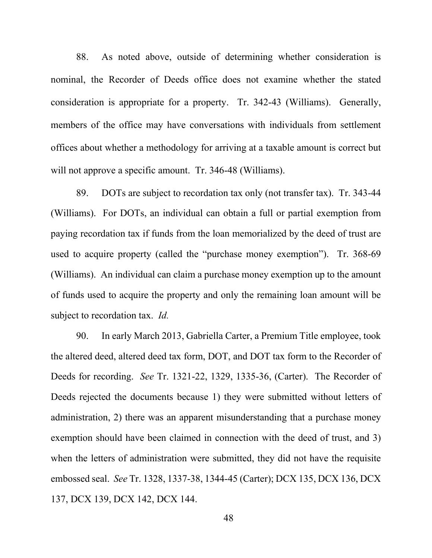88. As noted above, outside of determining whether consideration is nominal, the Recorder of Deeds office does not examine whether the stated consideration is appropriate for a property. Tr. 342-43 (Williams). Generally, members of the office may have conversations with individuals from settlement offices about whether a methodology for arriving at a taxable amount is correct but will not approve a specific amount. Tr. 346-48 (Williams).

89. DOTs are subject to recordation tax only (not transfer tax). Tr. 343-44 (Williams). For DOTs, an individual can obtain a full or partial exemption from paying recordation tax if funds from the loan memorialized by the deed of trust are used to acquire property (called the "purchase money exemption"). Tr. 368-69 (Williams). An individual can claim a purchase money exemption up to the amount of funds used to acquire the property and only the remaining loan amount will be subject to recordation tax. *Id.*

90. In early March 2013, Gabriella Carter, a Premium Title employee, took the altered deed, altered deed tax form, DOT, and DOT tax form to the Recorder of Deeds for recording. *See* Tr. 1321-22, 1329, 1335-36, (Carter). The Recorder of Deeds rejected the documents because 1) they were submitted without letters of administration, 2) there was an apparent misunderstanding that a purchase money exemption should have been claimed in connection with the deed of trust, and 3) when the letters of administration were submitted, they did not have the requisite embossed seal. *See* Tr. 1328, 1337-38, 1344-45 (Carter); DCX 135, DCX 136, DCX 137, DCX 139, DCX 142, DCX 144.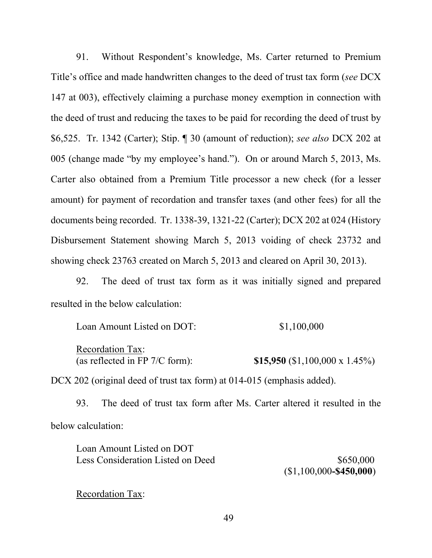91. Without Respondent's knowledge, Ms. Carter returned to Premium Title's office and made handwritten changes to the deed of trust tax form (*see* DCX 147 at 003), effectively claiming a purchase money exemption in connection with the deed of trust and reducing the taxes to be paid for recording the deed of trust by \$6,525. Tr. 1342 (Carter); Stip. ¶ 30 (amount of reduction); *see also* DCX 202 at 005 (change made "by my employee's hand."). On or around March 5, 2013, Ms. Carter also obtained from a Premium Title processor a new check (for a lesser amount) for payment of recordation and transfer taxes (and other fees) for all the documents being recorded. Tr. 1338-39, 1321-22 (Carter); DCX 202 at 024 (History Disbursement Statement showing March 5, 2013 voiding of check 23732 and showing check 23763 created on March 5, 2013 and cleared on April 30, 2013).

92. The deed of trust tax form as it was initially signed and prepared resulted in the below calculation:

Loan Amount Listed on DOT:  $$1,100,000$ Recordation Tax: (as reflected in FP 7/C form): **\$15,950** (\$1,100,000 x 1.45%)

DCX 202 (original deed of trust tax form) at 014-015 (emphasis added).

93. The deed of trust tax form after Ms. Carter altered it resulted in the below calculation:

| Loan Amount Listed on DOT         |                          |
|-----------------------------------|--------------------------|
| Less Consideration Listed on Deed | \$650,000                |
|                                   | $(1,100,000 - $450,000)$ |

Recordation Tax: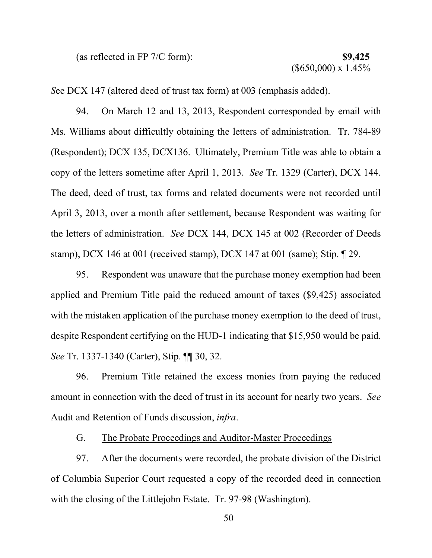(as reflected in FP 7/C form): **\$9,425**

*S*ee DCX 147 (altered deed of trust tax form) at 003 (emphasis added).

94. On March 12 and 13, 2013, Respondent corresponded by email with Ms. Williams about difficultly obtaining the letters of administration. Tr. 784-89 (Respondent); DCX 135, DCX136. Ultimately, Premium Title was able to obtain a copy of the letters sometime after April 1, 2013. *See* Tr. 1329 (Carter), DCX 144. The deed, deed of trust, tax forms and related documents were not recorded until April 3, 2013, over a month after settlement, because Respondent was waiting for the letters of administration. *See* DCX 144, DCX 145 at 002 (Recorder of Deeds stamp), DCX 146 at 001 (received stamp), DCX 147 at 001 (same); Stip. ¶ 29.

95. Respondent was unaware that the purchase money exemption had been applied and Premium Title paid the reduced amount of taxes (\$9,425) associated with the mistaken application of the purchase money exemption to the deed of trust, despite Respondent certifying on the HUD-1 indicating that \$15,950 would be paid. *See* Tr. 1337-1340 (Carter), Stip. ¶¶ 30, 32.

96. Premium Title retained the excess monies from paying the reduced amount in connection with the deed of trust in its account for nearly two years. *See*  Audit and Retention of Funds discussion, *infra*.

G. The Probate Proceedings and Auditor-Master Proceedings

97. After the documents were recorded, the probate division of the District of Columbia Superior Court requested a copy of the recorded deed in connection with the closing of the Littlejohn Estate. Tr. 97-98 (Washington).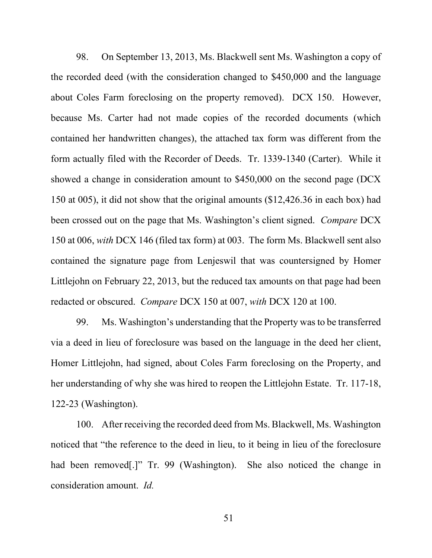98. On September 13, 2013, Ms. Blackwell sent Ms. Washington a copy of the recorded deed (with the consideration changed to \$450,000 and the language about Coles Farm foreclosing on the property removed). DCX 150. However, because Ms. Carter had not made copies of the recorded documents (which contained her handwritten changes), the attached tax form was different from the form actually filed with the Recorder of Deeds. Tr. 1339-1340 (Carter). While it showed a change in consideration amount to \$450,000 on the second page (DCX 150 at 005), it did not show that the original amounts (\$12,426.36 in each box) had been crossed out on the page that Ms. Washington's client signed. *Compare* DCX 150 at 006, *with* DCX 146 (filed tax form) at 003. The form Ms. Blackwell sent also contained the signature page from Lenjeswil that was countersigned by Homer Littlejohn on February 22, 2013, but the reduced tax amounts on that page had been redacted or obscured. *Compare* DCX 150 at 007, *with* DCX 120 at 100.

99. Ms. Washington's understanding that the Property was to be transferred via a deed in lieu of foreclosure was based on the language in the deed her client, Homer Littlejohn, had signed, about Coles Farm foreclosing on the Property, and her understanding of why she was hired to reopen the Littlejohn Estate. Tr. 117-18, 122-23 (Washington).

100. After receiving the recorded deed from Ms. Blackwell, Ms. Washington noticed that "the reference to the deed in lieu, to it being in lieu of the foreclosure had been removed[.]" Tr. 99 (Washington). She also noticed the change in consideration amount. *Id.*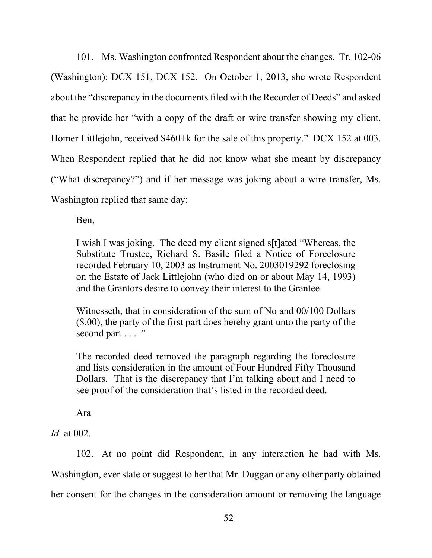101. Ms. Washington confronted Respondent about the changes. Tr. 102-06 (Washington); DCX 151, DCX 152. On October 1, 2013, she wrote Respondent about the "discrepancy in the documents filed with the Recorder of Deeds" and asked that he provide her "with a copy of the draft or wire transfer showing my client, Homer Littlejohn, received \$460+k for the sale of this property." DCX 152 at 003. When Respondent replied that he did not know what she meant by discrepancy ("What discrepancy?") and if her message was joking about a wire transfer, Ms. Washington replied that same day:

Ben,

I wish I was joking. The deed my client signed s[t]ated "Whereas, the Substitute Trustee, Richard S. Basile filed a Notice of Foreclosure recorded February 10, 2003 as Instrument No. 2003019292 foreclosing on the Estate of Jack Littlejohn (who died on or about May 14, 1993) and the Grantors desire to convey their interest to the Grantee.

Witnesseth, that in consideration of the sum of No and 00/100 Dollars (\$.00), the party of the first part does hereby grant unto the party of the second part . . . "

The recorded deed removed the paragraph regarding the foreclosure and lists consideration in the amount of Four Hundred Fifty Thousand Dollars. That is the discrepancy that I'm talking about and I need to see proof of the consideration that's listed in the recorded deed.

Ara

*Id.* at 002.

102. At no point did Respondent, in any interaction he had with Ms. Washington, ever state or suggest to her that Mr. Duggan or any other party obtained her consent for the changes in the consideration amount or removing the language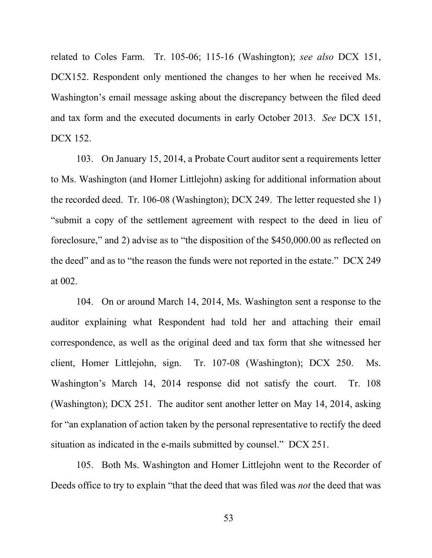related to Coles Farm. Tr. 105-06; 115-16 (Washington); *see also* DCX 151, DCX152. Respondent only mentioned the changes to her when he received Ms. Washington's email message asking about the discrepancy between the filed deed and tax form and the executed documents in early October 2013. *See* DCX 151, DCX 152.

103. On January 15, 2014, a Probate Court auditor sent a requirements letter to Ms. Washington (and Homer Littlejohn) asking for additional information about the recorded deed. Tr. 106-08 (Washington); DCX 249. The letter requested she 1) "submit a copy of the settlement agreement with respect to the deed in lieu of foreclosure," and 2) advise as to "the disposition of the \$450,000.00 as reflected on the deed" and as to "the reason the funds were not reported in the estate." DCX 249 at 002.

104. On or around March 14, 2014, Ms. Washington sent a response to the auditor explaining what Respondent had told her and attaching their email correspondence, as well as the original deed and tax form that she witnessed her client, Homer Littlejohn, sign. Tr. 107-08 (Washington); DCX 250. Ms. Washington's March 14, 2014 response did not satisfy the court. Tr. 108 (Washington); DCX 251. The auditor sent another letter on May 14, 2014, asking for "an explanation of action taken by the personal representative to rectify the deed situation as indicated in the e-mails submitted by counsel." DCX 251.

105. Both Ms. Washington and Homer Littlejohn went to the Recorder of Deeds office to try to explain "that the deed that was filed was *not* the deed that was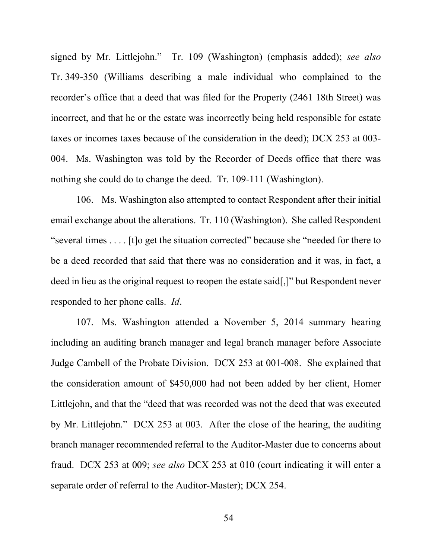signed by Mr. Littlejohn." Tr. 109 (Washington) (emphasis added); *see also*  Tr. 349-350 (Williams describing a male individual who complained to the recorder's office that a deed that was filed for the Property (2461 18th Street) was incorrect, and that he or the estate was incorrectly being held responsible for estate taxes or incomes taxes because of the consideration in the deed); DCX 253 at 003- 004. Ms. Washington was told by the Recorder of Deeds office that there was nothing she could do to change the deed. Tr. 109-111 (Washington).

106. Ms. Washington also attempted to contact Respondent after their initial email exchange about the alterations. Tr. 110 (Washington). She called Respondent "several times . . . . [t]o get the situation corrected" because she "needed for there to be a deed recorded that said that there was no consideration and it was, in fact, a deed in lieu as the original request to reopen the estate said[,]" but Respondent never responded to her phone calls. *Id*.

107. Ms. Washington attended a November 5, 2014 summary hearing including an auditing branch manager and legal branch manager before Associate Judge Cambell of the Probate Division. DCX 253 at 001-008. She explained that the consideration amount of \$450,000 had not been added by her client, Homer Littlejohn, and that the "deed that was recorded was not the deed that was executed by Mr. Littlejohn." DCX 253 at 003. After the close of the hearing, the auditing branch manager recommended referral to the Auditor-Master due to concerns about fraud. DCX 253 at 009; *see also* DCX 253 at 010 (court indicating it will enter a separate order of referral to the Auditor-Master); DCX 254.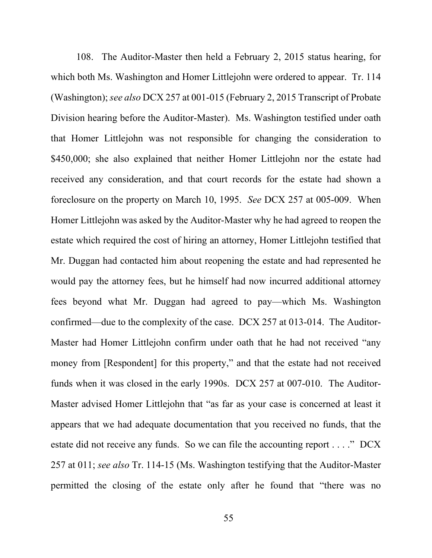108. The Auditor-Master then held a February 2, 2015 status hearing, for which both Ms. Washington and Homer Littlejohn were ordered to appear. Tr. 114 (Washington); *see also* DCX 257 at 001-015 (February 2, 2015 Transcript of Probate Division hearing before the Auditor-Master). Ms. Washington testified under oath that Homer Littlejohn was not responsible for changing the consideration to \$450,000; she also explained that neither Homer Littlejohn nor the estate had received any consideration, and that court records for the estate had shown a foreclosure on the property on March 10, 1995. *See* DCX 257 at 005-009. When Homer Littlejohn was asked by the Auditor-Master why he had agreed to reopen the estate which required the cost of hiring an attorney, Homer Littlejohn testified that Mr. Duggan had contacted him about reopening the estate and had represented he would pay the attorney fees, but he himself had now incurred additional attorney fees beyond what Mr. Duggan had agreed to pay—which Ms. Washington confirmed—due to the complexity of the case. DCX 257 at 013-014. The Auditor-Master had Homer Littlejohn confirm under oath that he had not received "any money from [Respondent] for this property," and that the estate had not received funds when it was closed in the early 1990s. DCX 257 at 007-010. The Auditor-Master advised Homer Littlejohn that "as far as your case is concerned at least it appears that we had adequate documentation that you received no funds, that the estate did not receive any funds. So we can file the accounting report . . . ." DCX 257 at 011; *see also* Tr. 114-15 (Ms. Washington testifying that the Auditor-Master permitted the closing of the estate only after he found that "there was no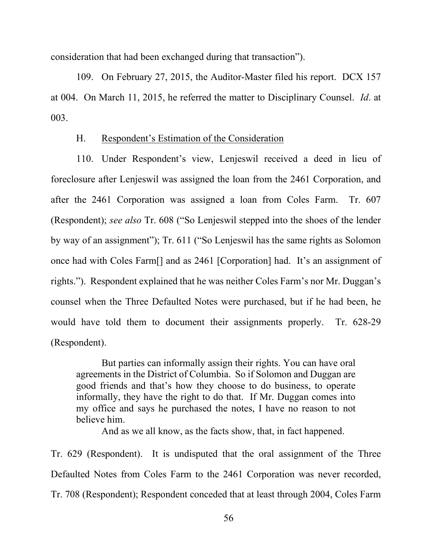consideration that had been exchanged during that transaction").

109. On February 27, 2015, the Auditor-Master filed his report. DCX 157 at 004. On March 11, 2015, he referred the matter to Disciplinary Counsel. *Id*. at 003.

## H. Respondent's Estimation of the Consideration

110. Under Respondent's view, Lenjeswil received a deed in lieu of foreclosure after Lenjeswil was assigned the loan from the 2461 Corporation, and after the 2461 Corporation was assigned a loan from Coles Farm. Tr. 607 (Respondent); *see also* Tr. 608 ("So Lenjeswil stepped into the shoes of the lender by way of an assignment"); Tr. 611 ("So Lenjeswil has the same rights as Solomon once had with Coles Farm[] and as 2461 [Corporation] had. It's an assignment of rights."). Respondent explained that he was neither Coles Farm's nor Mr. Duggan's counsel when the Three Defaulted Notes were purchased, but if he had been, he would have told them to document their assignments properly. Tr. 628-29 (Respondent).

But parties can informally assign their rights. You can have oral agreements in the District of Columbia. So if Solomon and Duggan are good friends and that's how they choose to do business, to operate informally, they have the right to do that. If Mr. Duggan comes into my office and says he purchased the notes, I have no reason to not believe him.

And as we all know, as the facts show, that, in fact happened.

Tr. 629 (Respondent). It is undisputed that the oral assignment of the Three Defaulted Notes from Coles Farm to the 2461 Corporation was never recorded, Tr. 708 (Respondent); Respondent conceded that at least through 2004, Coles Farm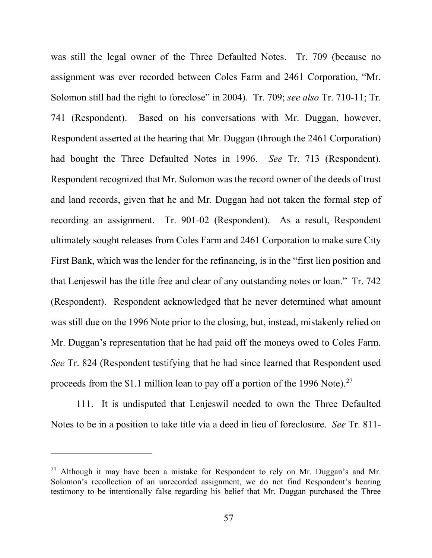was still the legal owner of the Three Defaulted Notes. Tr. 709 (because no assignment was ever recorded between Coles Farm and 2461 Corporation, "Mr. Solomon still had the right to foreclose" in 2004). Tr. 709; *see also* Tr. 710-11; Tr. 741 (Respondent). Based on his conversations with Mr. Duggan, however, Respondent asserted at the hearing that Mr. Duggan (through the 2461 Corporation) had bought the Three Defaulted Notes in 1996. *See* Tr. 713 (Respondent). Respondent recognized that Mr. Solomon was the record owner of the deeds of trust and land records, given that he and Mr. Duggan had not taken the formal step of recording an assignment. Tr. 901-02 (Respondent). As a result, Respondent ultimately sought releases from Coles Farm and 2461 Corporation to make sure City First Bank, which was the lender for the refinancing, is in the "first lien position and that Lenjeswil has the title free and clear of any outstanding notes or loan." Tr. 742 (Respondent). Respondent acknowledged that he never determined what amount was still due on the 1996 Note prior to the closing, but, instead, mistakenly relied on Mr. Duggan's representation that he had paid off the moneys owed to Coles Farm. *See* Tr. 824 (Respondent testifying that he had since learned that Respondent used proceeds from the \$1.1 million loan to pay off a portion of the 1996 Note).<sup>27</sup>

111. It is undisputed that Lenjeswil needed to own the Three Defaulted Notes to be in a position to take title via a deed in lieu of foreclosure. *See* Tr. 811-

<span id="page-56-0"></span> $27$  Although it may have been a mistake for Respondent to rely on Mr. Duggan's and Mr. Solomon's recollection of an unrecorded assignment, we do not find Respondent's hearing testimony to be intentionally false regarding his belief that Mr. Duggan purchased the Three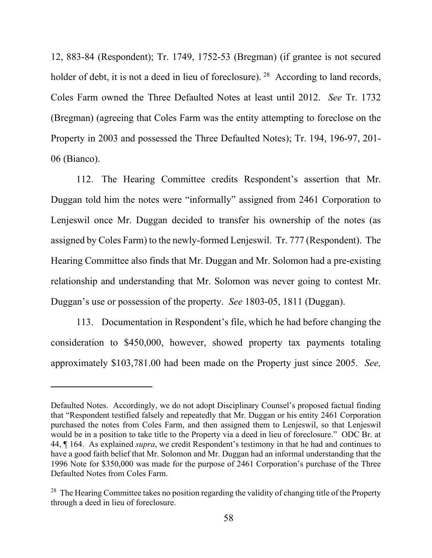12, 883-84 (Respondent); Tr. 1749, 1752-53 (Bregman) (if grantee is not secured holder of debt, it is not a deed in lieu of foreclosure). <sup>28</sup> According to land records, Coles Farm owned the Three Defaulted Notes at least until 2012. *See* Tr. 1732 (Bregman) (agreeing that Coles Farm was the entity attempting to foreclose on the Property in 2003 and possessed the Three Defaulted Notes); Tr. 194, 196-97, 201- 06 (Bianco).

112. The Hearing Committee credits Respondent's assertion that Mr. Duggan told him the notes were "informally" assigned from 2461 Corporation to Lenjeswil once Mr. Duggan decided to transfer his ownership of the notes (as assigned by Coles Farm) to the newly-formed Lenjeswil. Tr. 777 (Respondent). The Hearing Committee also finds that Mr. Duggan and Mr. Solomon had a pre-existing relationship and understanding that Mr. Solomon was never going to contest Mr. Duggan's use or possession of the property. *See* 1803-05, 1811 (Duggan).

113. Documentation in Respondent's file, which he had before changing the consideration to \$450,000, however, showed property tax payments totaling approximately \$103,781.00 had been made on the Property just since 2005. *See,*

Defaulted Notes. Accordingly, we do not adopt Disciplinary Counsel's proposed factual finding that "Respondent testified falsely and repeatedly that Mr. Duggan or his entity 2461 Corporation purchased the notes from Coles Farm, and then assigned them to Lenjeswil, so that Lenjeswil would be in a position to take title to the Property via a deed in lieu of foreclosure." ODC Br. at 44, ¶ 164. As explained *supra*, we credit Respondent's testimony in that he had and continues to have a good faith belief that Mr. Solomon and Mr. Duggan had an informal understanding that the 1996 Note for \$350,000 was made for the purpose of 2461 Corporation's purchase of the Three Defaulted Notes from Coles Farm.

<span id="page-57-0"></span><sup>&</sup>lt;sup>28</sup> The Hearing Committee takes no position regarding the validity of changing title of the Property through a deed in lieu of foreclosure.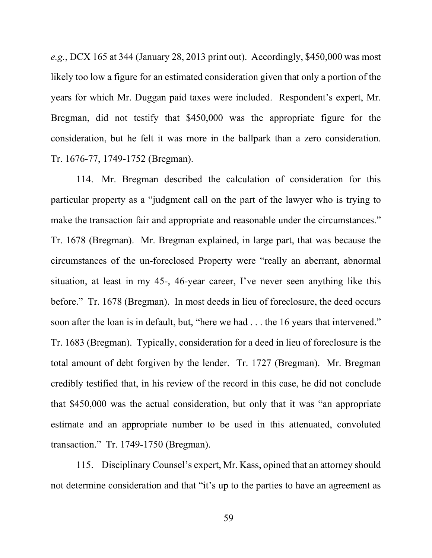*e.g.*, DCX 165 at 344 (January 28, 2013 print out). Accordingly, \$450,000 was most likely too low a figure for an estimated consideration given that only a portion of the years for which Mr. Duggan paid taxes were included. Respondent's expert, Mr. Bregman, did not testify that \$450,000 was the appropriate figure for the consideration, but he felt it was more in the ballpark than a zero consideration. Tr. 1676-77, 1749-1752 (Bregman).

114. Mr. Bregman described the calculation of consideration for this particular property as a "judgment call on the part of the lawyer who is trying to make the transaction fair and appropriate and reasonable under the circumstances." Tr. 1678 (Bregman). Mr. Bregman explained, in large part, that was because the circumstances of the un-foreclosed Property were "really an aberrant, abnormal situation, at least in my 45-, 46-year career, I've never seen anything like this before." Tr. 1678 (Bregman). In most deeds in lieu of foreclosure, the deed occurs soon after the loan is in default, but, "here we had . . . the 16 years that intervened." Tr. 1683 (Bregman). Typically, consideration for a deed in lieu of foreclosure is the total amount of debt forgiven by the lender. Tr. 1727 (Bregman). Mr. Bregman credibly testified that, in his review of the record in this case, he did not conclude that \$450,000 was the actual consideration, but only that it was "an appropriate estimate and an appropriate number to be used in this attenuated, convoluted transaction." Tr. 1749-1750 (Bregman).

115. Disciplinary Counsel's expert, Mr. Kass, opined that an attorney should not determine consideration and that "it's up to the parties to have an agreement as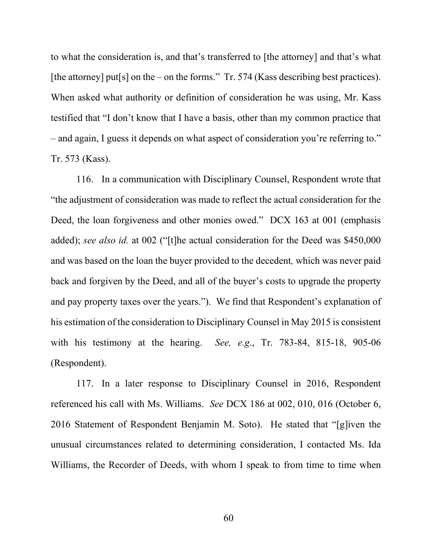to what the consideration is, and that's transferred to [the attorney] and that's what [the attorney] put[s] on the – on the forms." Tr. 574 (Kass describing best practices). When asked what authority or definition of consideration he was using, Mr. Kass testified that "I don't know that I have a basis, other than my common practice that – and again, I guess it depends on what aspect of consideration you're referring to." Tr. 573 (Kass).

116. In a communication with Disciplinary Counsel, Respondent wrote that "the adjustment of consideration was made to reflect the actual consideration for the Deed, the loan forgiveness and other monies owed." DCX 163 at 001 (emphasis added); *see also id.* at 002 ("[t]he actual consideration for the Deed was \$450,000 and was based on the loan the buyer provided to the decedent*,* which was never paid back and forgiven by the Deed, and all of the buyer's costs to upgrade the property and pay property taxes over the years."). We find that Respondent's explanation of his estimation of the consideration to Disciplinary Counsel in May 2015 is consistent with his testimony at the hearing. *See, e.g*., Tr. 783-84, 815-18, 905-06 (Respondent).

117. In a later response to Disciplinary Counsel in 2016, Respondent referenced his call with Ms. Williams. *See* DCX 186 at 002, 010, 016 (October 6, 2016 Statement of Respondent Benjamin M. Soto). He stated that "[g]iven the unusual circumstances related to determining consideration, I contacted Ms. Ida Williams, the Recorder of Deeds, with whom I speak to from time to time when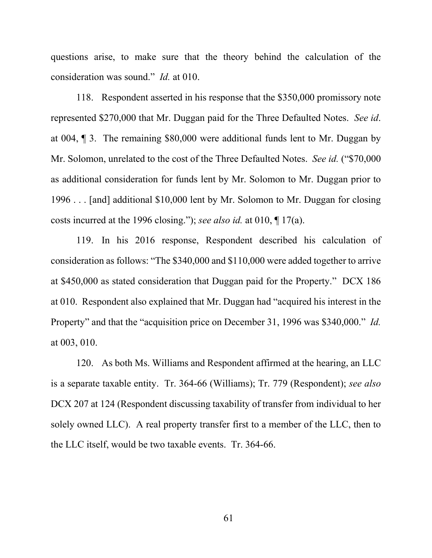questions arise, to make sure that the theory behind the calculation of the consideration was sound." *Id.* at 010.

118. Respondent asserted in his response that the \$350,000 promissory note represented \$270,000 that Mr. Duggan paid for the Three Defaulted Notes. *See id*. at 004, ¶ 3. The remaining \$80,000 were additional funds lent to Mr. Duggan by Mr. Solomon, unrelated to the cost of the Three Defaulted Notes. *See id.* ("\$70,000 as additional consideration for funds lent by Mr. Solomon to Mr. Duggan prior to 1996 . . . [and] additional \$10,000 lent by Mr. Solomon to Mr. Duggan for closing costs incurred at the 1996 closing."); *see also id.* at 010, ¶ 17(a).

119. In his 2016 response, Respondent described his calculation of consideration as follows: "The \$340,000 and \$110,000 were added together to arrive at \$450,000 as stated consideration that Duggan paid for the Property." DCX 186 at 010. Respondent also explained that Mr. Duggan had "acquired his interest in the Property" and that the "acquisition price on December 31, 1996 was \$340,000." *Id.* at 003, 010.

120. As both Ms. Williams and Respondent affirmed at the hearing, an LLC is a separate taxable entity. Tr. 364-66 (Williams); Tr. 779 (Respondent); *see also* DCX 207 at 124 (Respondent discussing taxability of transfer from individual to her solely owned LLC). A real property transfer first to a member of the LLC, then to the LLC itself, would be two taxable events. Tr. 364-66.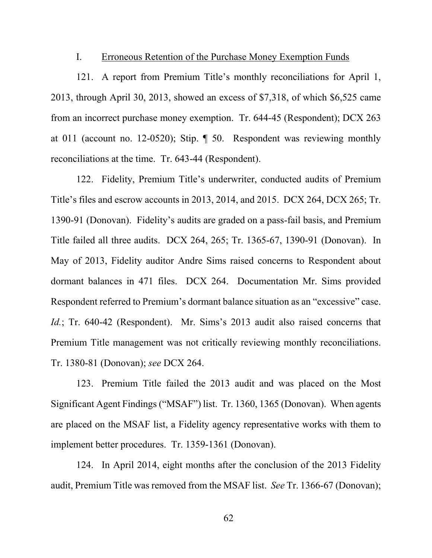## I. Erroneous Retention of the Purchase Money Exemption Funds

121. A report from Premium Title's monthly reconciliations for April 1, 2013, through April 30, 2013, showed an excess of \$7,318, of which \$6,525 came from an incorrect purchase money exemption. Tr. 644-45 (Respondent); DCX 263 at 011 (account no. 12-0520); Stip. ¶ 50. Respondent was reviewing monthly reconciliations at the time. Tr. 643-44 (Respondent).

122. Fidelity, Premium Title's underwriter, conducted audits of Premium Title's files and escrow accounts in 2013, 2014, and 2015. DCX 264, DCX 265; Tr. 1390-91 (Donovan). Fidelity's audits are graded on a pass-fail basis, and Premium Title failed all three audits. DCX 264, 265; Tr. 1365-67, 1390-91 (Donovan). In May of 2013, Fidelity auditor Andre Sims raised concerns to Respondent about dormant balances in 471 files. DCX 264. Documentation Mr. Sims provided Respondent referred to Premium's dormant balance situation as an "excessive" case. *Id.*; Tr. 640-42 (Respondent). Mr. Sims's 2013 audit also raised concerns that Premium Title management was not critically reviewing monthly reconciliations. Tr. 1380-81 (Donovan); *see* DCX 264.

123. Premium Title failed the 2013 audit and was placed on the Most Significant Agent Findings ("MSAF") list. Tr. 1360, 1365 (Donovan). When agents are placed on the MSAF list, a Fidelity agency representative works with them to implement better procedures. Tr. 1359-1361 (Donovan).

124. In April 2014, eight months after the conclusion of the 2013 Fidelity audit, Premium Title was removed from the MSAF list. *See* Tr. 1366-67 (Donovan);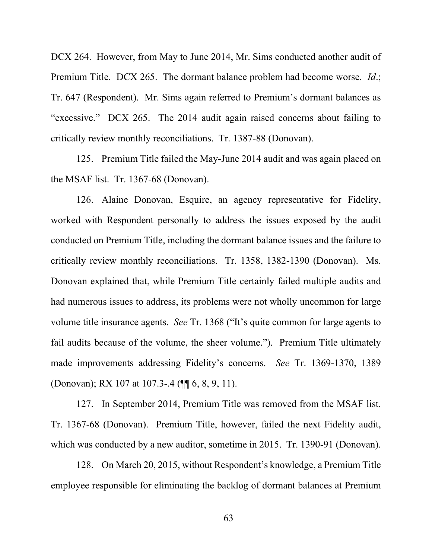DCX 264. However, from May to June 2014, Mr. Sims conducted another audit of Premium Title. DCX 265. The dormant balance problem had become worse. *Id*.; Tr. 647 (Respondent). Mr. Sims again referred to Premium's dormant balances as "excessive." DCX 265. The 2014 audit again raised concerns about failing to critically review monthly reconciliations. Tr. 1387-88 (Donovan).

125. Premium Title failed the May-June 2014 audit and was again placed on the MSAF list. Tr. 1367-68 (Donovan).

126. Alaine Donovan, Esquire, an agency representative for Fidelity, worked with Respondent personally to address the issues exposed by the audit conducted on Premium Title, including the dormant balance issues and the failure to critically review monthly reconciliations. Tr. 1358, 1382-1390 (Donovan). Ms. Donovan explained that, while Premium Title certainly failed multiple audits and had numerous issues to address, its problems were not wholly uncommon for large volume title insurance agents. *See* Tr. 1368 ("It's quite common for large agents to fail audits because of the volume, the sheer volume."). Premium Title ultimately made improvements addressing Fidelity's concerns. *See* Tr. 1369-1370, 1389 (Donovan); RX 107 at 107.3-.4 (¶¶ 6, 8, 9, 11).

127. In September 2014, Premium Title was removed from the MSAF list. Tr. 1367-68 (Donovan). Premium Title, however, failed the next Fidelity audit, which was conducted by a new auditor, sometime in 2015. Tr. 1390-91 (Donovan).

128. On March 20, 2015, without Respondent's knowledge, a Premium Title employee responsible for eliminating the backlog of dormant balances at Premium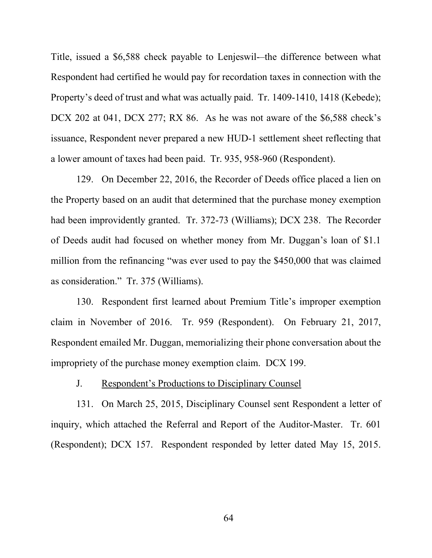Title, issued a \$6,588 check payable to Lenjeswil-–the difference between what Respondent had certified he would pay for recordation taxes in connection with the Property's deed of trust and what was actually paid. Tr. 1409-1410, 1418 (Kebede); DCX 202 at 041, DCX 277; RX 86. As he was not aware of the \$6,588 check's issuance, Respondent never prepared a new HUD-1 settlement sheet reflecting that a lower amount of taxes had been paid. Tr. 935, 958-960 (Respondent).

129. On December 22, 2016, the Recorder of Deeds office placed a lien on the Property based on an audit that determined that the purchase money exemption had been improvidently granted. Tr. 372-73 (Williams); DCX 238. The Recorder of Deeds audit had focused on whether money from Mr. Duggan's loan of \$1.1 million from the refinancing "was ever used to pay the \$450,000 that was claimed as consideration." Tr. 375 (Williams).

130. Respondent first learned about Premium Title's improper exemption claim in November of 2016. Tr. 959 (Respondent). On February 21, 2017, Respondent emailed Mr. Duggan, memorializing their phone conversation about the impropriety of the purchase money exemption claim. DCX 199.

## J. Respondent's Productions to Disciplinary Counsel

131. On March 25, 2015, Disciplinary Counsel sent Respondent a letter of inquiry, which attached the Referral and Report of the Auditor-Master. Tr. 601 (Respondent); DCX 157. Respondent responded by letter dated May 15, 2015.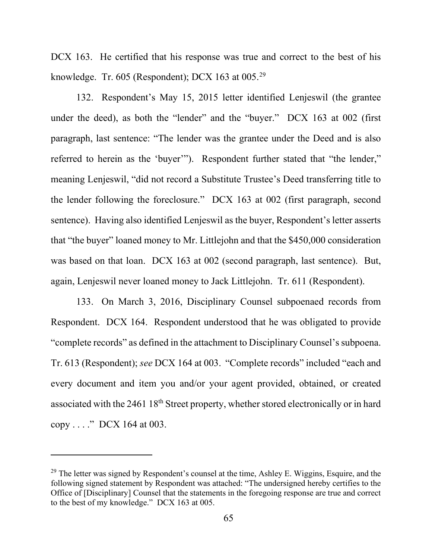DCX 163. He certified that his response was true and correct to the best of his knowledge. Tr. 605 (Respondent); DCX 163 at 005.[29](#page-64-0) 

132. Respondent's May 15, 2015 letter identified Lenjeswil (the grantee under the deed), as both the "lender" and the "buyer." DCX 163 at 002 (first paragraph, last sentence: "The lender was the grantee under the Deed and is also referred to herein as the 'buyer'"). Respondent further stated that "the lender," meaning Lenjeswil, "did not record a Substitute Trustee's Deed transferring title to the lender following the foreclosure." DCX 163 at 002 (first paragraph, second sentence). Having also identified Lenjeswil as the buyer, Respondent's letter asserts that "the buyer" loaned money to Mr. Littlejohn and that the \$450,000 consideration was based on that loan. DCX 163 at 002 (second paragraph, last sentence). But, again, Lenjeswil never loaned money to Jack Littlejohn. Tr. 611 (Respondent).

133. On March 3, 2016, Disciplinary Counsel subpoenaed records from Respondent. DCX 164. Respondent understood that he was obligated to provide "complete records" as defined in the attachment to Disciplinary Counsel's subpoena. Tr. 613 (Respondent); *see* DCX 164 at 003. "Complete records" included "each and every document and item you and/or your agent provided, obtained, or created associated with the 2461 18<sup>th</sup> Street property, whether stored electronically or in hard copy . . . ." DCX 164 at 003.

<span id="page-64-0"></span> $29$  The letter was signed by Respondent's counsel at the time, Ashley E. Wiggins, Esquire, and the following signed statement by Respondent was attached: "The undersigned hereby certifies to the Office of [Disciplinary] Counsel that the statements in the foregoing response are true and correct to the best of my knowledge." DCX 163 at 005.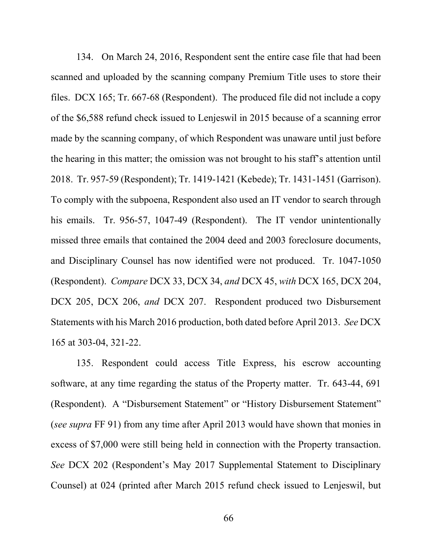134. On March 24, 2016, Respondent sent the entire case file that had been scanned and uploaded by the scanning company Premium Title uses to store their files. DCX 165; Tr. 667-68 (Respondent). The produced file did not include a copy of the \$6,588 refund check issued to Lenjeswil in 2015 because of a scanning error made by the scanning company, of which Respondent was unaware until just before the hearing in this matter; the omission was not brought to his staff's attention until 2018. Tr. 957-59 (Respondent); Tr. 1419-1421 (Kebede); Tr. 1431-1451 (Garrison). To comply with the subpoena, Respondent also used an IT vendor to search through his emails. Tr. 956-57, 1047-49 (Respondent). The IT vendor unintentionally missed three emails that contained the 2004 deed and 2003 foreclosure documents, and Disciplinary Counsel has now identified were not produced. Tr. 1047-1050 (Respondent). *Compare* DCX 33, DCX 34, *and* DCX 45, *with* DCX 165, DCX 204, DCX 205, DCX 206, *and* DCX 207. Respondent produced two Disbursement Statements with his March 2016 production, both dated before April 2013. *See* DCX 165 at 303-04, 321-22.

135. Respondent could access Title Express, his escrow accounting software, at any time regarding the status of the Property matter. Tr. 643-44, 691 (Respondent). A "Disbursement Statement" or "History Disbursement Statement" (*see supra* FF 91) from any time after April 2013 would have shown that monies in excess of \$7,000 were still being held in connection with the Property transaction. *See* DCX 202 (Respondent's May 2017 Supplemental Statement to Disciplinary Counsel) at 024 (printed after March 2015 refund check issued to Lenjeswil, but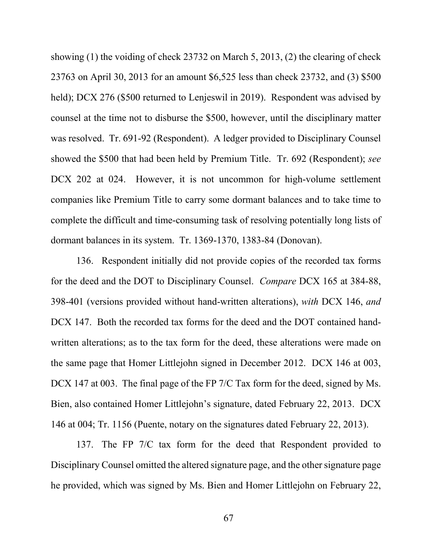showing (1) the voiding of check 23732 on March 5, 2013, (2) the clearing of check 23763 on April 30, 2013 for an amount \$6,525 less than check 23732, and (3) \$500 held); DCX 276 (\$500 returned to Lenjeswil in 2019). Respondent was advised by counsel at the time not to disburse the \$500, however, until the disciplinary matter was resolved. Tr. 691-92 (Respondent). A ledger provided to Disciplinary Counsel showed the \$500 that had been held by Premium Title. Tr. 692 (Respondent); *see*  DCX 202 at 024. However, it is not uncommon for high-volume settlement companies like Premium Title to carry some dormant balances and to take time to complete the difficult and time-consuming task of resolving potentially long lists of dormant balances in its system. Tr. 1369-1370, 1383-84 (Donovan).

136. Respondent initially did not provide copies of the recorded tax forms for the deed and the DOT to Disciplinary Counsel. *Compare* DCX 165 at 384-88, 398-401 (versions provided without hand-written alterations), *with* DCX 146, *and*  DCX 147. Both the recorded tax forms for the deed and the DOT contained handwritten alterations; as to the tax form for the deed, these alterations were made on the same page that Homer Littlejohn signed in December 2012. DCX 146 at 003, DCX 147 at 003. The final page of the FP 7/C Tax form for the deed, signed by Ms. Bien, also contained Homer Littlejohn's signature, dated February 22, 2013. DCX 146 at 004; Tr. 1156 (Puente, notary on the signatures dated February 22, 2013).

137. The FP 7/C tax form for the deed that Respondent provided to Disciplinary Counsel omitted the altered signature page, and the other signature page he provided, which was signed by Ms. Bien and Homer Littlejohn on February 22,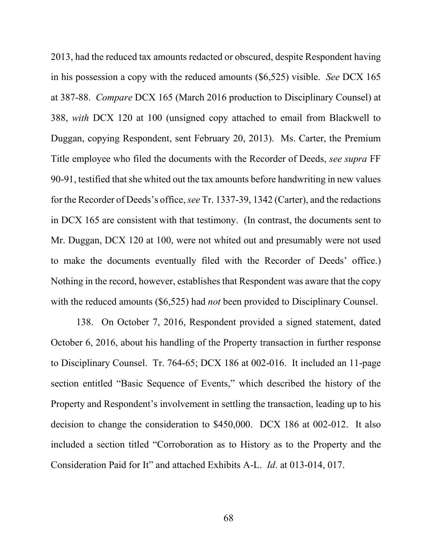2013, had the reduced tax amounts redacted or obscured, despite Respondent having in his possession a copy with the reduced amounts (\$6,525) visible. *See* DCX 165 at 387-88. *Compare* DCX 165 (March 2016 production to Disciplinary Counsel) at 388, *with* DCX 120 at 100 (unsigned copy attached to email from Blackwell to Duggan, copying Respondent, sent February 20, 2013). Ms. Carter, the Premium Title employee who filed the documents with the Recorder of Deeds, *see supra* FF 90-91, testified that she whited out the tax amounts before handwriting in new values for the Recorder of Deeds's office, *see* Tr. 1337-39, 1342 (Carter), and the redactions in DCX 165 are consistent with that testimony. (In contrast, the documents sent to Mr. Duggan, DCX 120 at 100, were not whited out and presumably were not used to make the documents eventually filed with the Recorder of Deeds' office.) Nothing in the record, however, establishes that Respondent was aware that the copy with the reduced amounts (\$6,525) had *not* been provided to Disciplinary Counsel.

138. On October 7, 2016, Respondent provided a signed statement, dated October 6, 2016, about his handling of the Property transaction in further response to Disciplinary Counsel. Tr. 764-65; DCX 186 at 002-016. It included an 11-page section entitled "Basic Sequence of Events," which described the history of the Property and Respondent's involvement in settling the transaction, leading up to his decision to change the consideration to \$450,000. DCX 186 at 002-012. It also included a section titled "Corroboration as to History as to the Property and the Consideration Paid for It" and attached Exhibits A-L. *Id*. at 013-014, 017.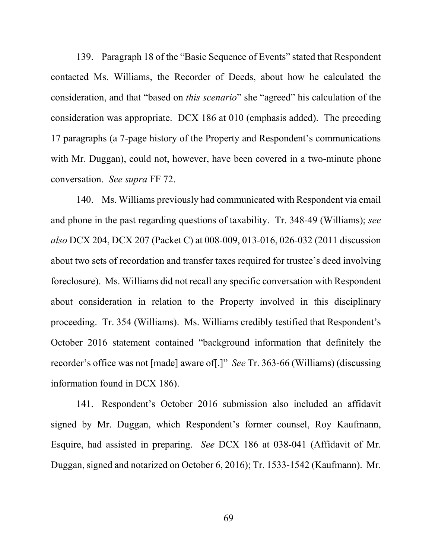139. Paragraph 18 of the "Basic Sequence of Events" stated that Respondent contacted Ms. Williams, the Recorder of Deeds, about how he calculated the consideration, and that "based on *this scenario*" she "agreed" his calculation of the consideration was appropriate. DCX 186 at 010 (emphasis added). The preceding 17 paragraphs (a 7-page history of the Property and Respondent's communications with Mr. Duggan), could not, however, have been covered in a two-minute phone conversation. *See supra* FF 72.

140. Ms. Williams previously had communicated with Respondent via email and phone in the past regarding questions of taxability. Tr. 348-49 (Williams); *see also* DCX 204, DCX 207 (Packet C) at 008-009, 013-016, 026-032 (2011 discussion about two sets of recordation and transfer taxes required for trustee's deed involving foreclosure). Ms. Williams did not recall any specific conversation with Respondent about consideration in relation to the Property involved in this disciplinary proceeding. Tr. 354 (Williams). Ms. Williams credibly testified that Respondent's October 2016 statement contained "background information that definitely the recorder's office was not [made] aware of[.]" *See* Tr. 363-66 (Williams) (discussing information found in DCX 186).

141. Respondent's October 2016 submission also included an affidavit signed by Mr. Duggan, which Respondent's former counsel, Roy Kaufmann, Esquire, had assisted in preparing. *See* DCX 186 at 038-041 (Affidavit of Mr. Duggan, signed and notarized on October 6, 2016); Tr. 1533-1542 (Kaufmann). Mr.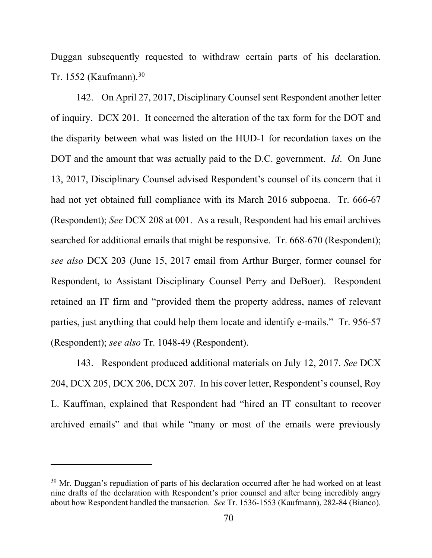Duggan subsequently requested to withdraw certain parts of his declaration. Tr. 1552 (Kaufmann).[30](#page-69-0)

142. On April 27, 2017, Disciplinary Counsel sent Respondent another letter of inquiry. DCX 201. It concerned the alteration of the tax form for the DOT and the disparity between what was listed on the HUD-1 for recordation taxes on the DOT and the amount that was actually paid to the D.C. government. *Id*. On June 13, 2017, Disciplinary Counsel advised Respondent's counsel of its concern that it had not yet obtained full compliance with its March 2016 subpoena. Tr. 666-67 (Respondent); *See* DCX 208 at 001. As a result, Respondent had his email archives searched for additional emails that might be responsive. Tr. 668-670 (Respondent); *see also* DCX 203 (June 15, 2017 email from Arthur Burger, former counsel for Respondent, to Assistant Disciplinary Counsel Perry and DeBoer). Respondent retained an IT firm and "provided them the property address, names of relevant parties, just anything that could help them locate and identify e-mails." Tr. 956-57 (Respondent); *see also* Tr. 1048-49 (Respondent).

143. Respondent produced additional materials on July 12, 2017. *See* DCX 204, DCX 205, DCX 206, DCX 207. In his cover letter, Respondent's counsel, Roy L. Kauffman, explained that Respondent had "hired an IT consultant to recover archived emails" and that while "many or most of the emails were previously

<span id="page-69-0"></span> $30$  Mr. Duggan's repudiation of parts of his declaration occurred after he had worked on at least nine drafts of the declaration with Respondent's prior counsel and after being incredibly angry about how Respondent handled the transaction. *See* Tr. 1536-1553 (Kaufmann), 282-84 (Bianco).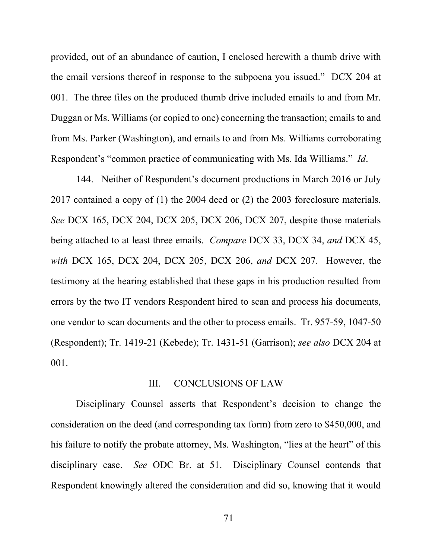provided, out of an abundance of caution, I enclosed herewith a thumb drive with the email versions thereof in response to the subpoena you issued." DCX 204 at 001. The three files on the produced thumb drive included emails to and from Mr. Duggan or Ms. Williams (or copied to one) concerning the transaction; emails to and from Ms. Parker (Washington), and emails to and from Ms. Williams corroborating Respondent's "common practice of communicating with Ms. Ida Williams." *Id*.

144. Neither of Respondent's document productions in March 2016 or July 2017 contained a copy of (1) the 2004 deed or (2) the 2003 foreclosure materials. *See* DCX 165, DCX 204, DCX 205, DCX 206, DCX 207, despite those materials being attached to at least three emails. *Compare* DCX 33, DCX 34, *and* DCX 45, *with* DCX 165, DCX 204, DCX 205, DCX 206, *and* DCX 207. However, the testimony at the hearing established that these gaps in his production resulted from errors by the two IT vendors Respondent hired to scan and process his documents, one vendor to scan documents and the other to process emails. Tr. 957-59, 1047-50 (Respondent); Tr. 1419-21 (Kebede); Tr. 1431-51 (Garrison); *see also* DCX 204 at 001.

## III. CONCLUSIONS OF LAW

Disciplinary Counsel asserts that Respondent's decision to change the consideration on the deed (and corresponding tax form) from zero to \$450,000, and his failure to notify the probate attorney, Ms. Washington, "lies at the heart" of this disciplinary case. *See* ODC Br. at 51. Disciplinary Counsel contends that Respondent knowingly altered the consideration and did so, knowing that it would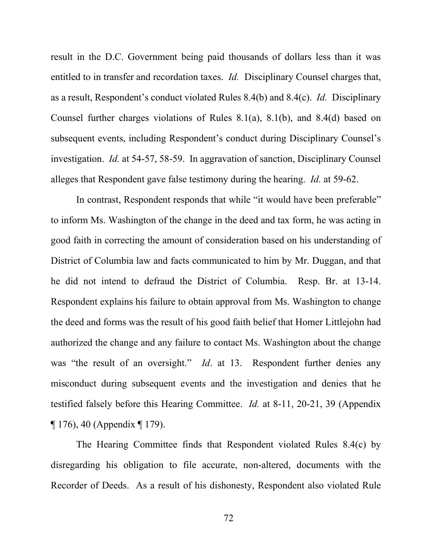result in the D.C. Government being paid thousands of dollars less than it was entitled to in transfer and recordation taxes. *Id.* Disciplinary Counsel charges that, as a result, Respondent's conduct violated Rules 8.4(b) and 8.4(c). *Id.* Disciplinary Counsel further charges violations of Rules 8.1(a), 8.1(b), and 8.4(d) based on subsequent events, including Respondent's conduct during Disciplinary Counsel's investigation. *Id.* at 54-57, 58-59. In aggravation of sanction, Disciplinary Counsel alleges that Respondent gave false testimony during the hearing. *Id.* at 59-62.

In contrast, Respondent responds that while "it would have been preferable" to inform Ms. Washington of the change in the deed and tax form, he was acting in good faith in correcting the amount of consideration based on his understanding of District of Columbia law and facts communicated to him by Mr. Duggan, and that he did not intend to defraud the District of Columbia. Resp. Br. at 13-14. Respondent explains his failure to obtain approval from Ms. Washington to change the deed and forms was the result of his good faith belief that Homer Littlejohn had authorized the change and any failure to contact Ms. Washington about the change was "the result of an oversight." *Id.* at 13. Respondent further denies any misconduct during subsequent events and the investigation and denies that he testified falsely before this Hearing Committee. *Id.* at 8-11, 20-21, 39 (Appendix ¶ 176), 40 (Appendix ¶ 179).

The Hearing Committee finds that Respondent violated Rules 8.4(c) by disregarding his obligation to file accurate, non-altered, documents with the Recorder of Deeds. As a result of his dishonesty, Respondent also violated Rule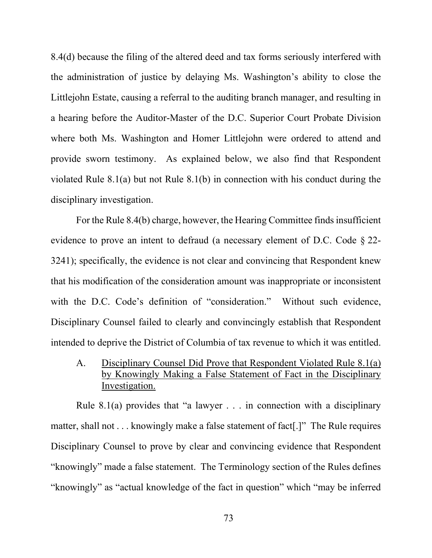8.4(d) because the filing of the altered deed and tax forms seriously interfered with the administration of justice by delaying Ms. Washington's ability to close the Littlejohn Estate, causing a referral to the auditing branch manager, and resulting in a hearing before the Auditor-Master of the D.C. Superior Court Probate Division where both Ms. Washington and Homer Littlejohn were ordered to attend and provide sworn testimony. As explained below, we also find that Respondent violated Rule 8.1(a) but not Rule 8.1(b) in connection with his conduct during the disciplinary investigation.

For the Rule 8.4(b) charge, however, the Hearing Committee finds insufficient evidence to prove an intent to defraud (a necessary element of D.C. Code § 22- 3241); specifically, the evidence is not clear and convincing that Respondent knew that his modification of the consideration amount was inappropriate or inconsistent with the D.C. Code's definition of "consideration." Without such evidence, Disciplinary Counsel failed to clearly and convincingly establish that Respondent intended to deprive the District of Columbia of tax revenue to which it was entitled.

A. Disciplinary Counsel Did Prove that Respondent Violated Rule 8.1(a) by Knowingly Making a False Statement of Fact in the Disciplinary Investigation.

Rule 8.1(a) provides that "a lawyer  $\ldots$  in connection with a disciplinary matter, shall not . . . knowingly make a false statement of fact.]" The Rule requires Disciplinary Counsel to prove by clear and convincing evidence that Respondent "knowingly" made a false statement. The Terminology section of the Rules defines "knowingly" as "actual knowledge of the fact in question" which "may be inferred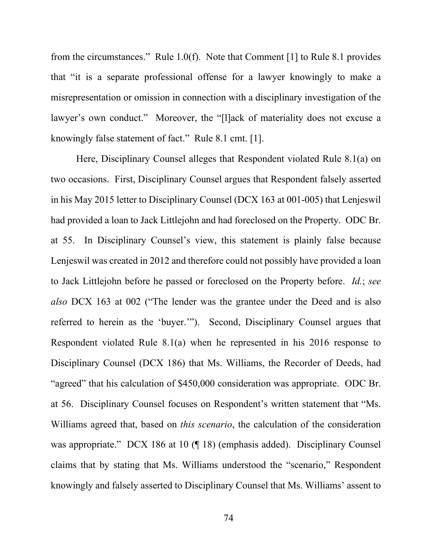from the circumstances." Rule 1.0(f). Note that Comment [1] to Rule 8.1 provides that "it is a separate professional offense for a lawyer knowingly to make a misrepresentation or omission in connection with a disciplinary investigation of the lawyer's own conduct." Moreover, the "[l]ack of materiality does not excuse a knowingly false statement of fact." Rule 8.1 cmt. [1].

Here, Disciplinary Counsel alleges that Respondent violated Rule 8.1(a) on two occasions. First, Disciplinary Counsel argues that Respondent falsely asserted in his May 2015 letter to Disciplinary Counsel (DCX 163 at 001-005) that Lenjeswil had provided a loan to Jack Littlejohn and had foreclosed on the Property. ODC Br. at 55. In Disciplinary Counsel's view, this statement is plainly false because Lenjeswil was created in 2012 and therefore could not possibly have provided a loan to Jack Littlejohn before he passed or foreclosed on the Property before. *Id.*; *see also* DCX 163 at 002 ("The lender was the grantee under the Deed and is also referred to herein as the 'buyer.'").Second, Disciplinary Counsel argues that Respondent violated Rule 8.1(a) when he represented in his 2016 response to Disciplinary Counsel (DCX 186) that Ms. Williams, the Recorder of Deeds, had "agreed" that his calculation of \$450,000 consideration was appropriate. ODC Br. at 56. Disciplinary Counsel focuses on Respondent's written statement that "Ms. Williams agreed that, based on *this scenario*, the calculation of the consideration was appropriate." DCX 186 at 10 (¶ 18) (emphasis added). Disciplinary Counsel claims that by stating that Ms. Williams understood the "scenario," Respondent knowingly and falsely asserted to Disciplinary Counsel that Ms. Williams' assent to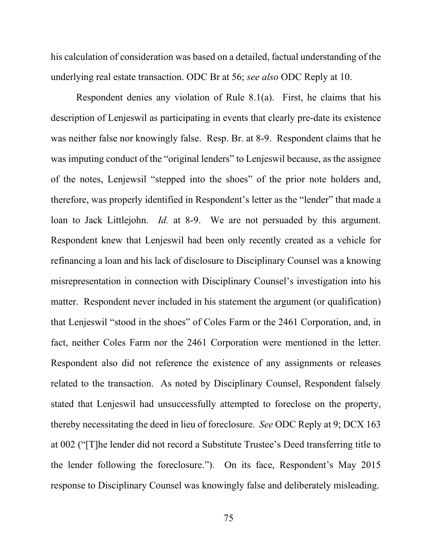his calculation of consideration was based on a detailed, factual understanding of the underlying real estate transaction. ODC Br at 56; *see also* ODC Reply at 10.

Respondent denies any violation of Rule 8.1(a). First, he claims that his description of Lenjeswil as participating in events that clearly pre-date its existence was neither false nor knowingly false. Resp. Br. at 8-9. Respondent claims that he was imputing conduct of the "original lenders" to Lenjeswil because, as the assignee of the notes, Lenjewsil "stepped into the shoes" of the prior note holders and, therefore, was properly identified in Respondent's letter as the "lender" that made a loan to Jack Littlejohn. *Id.* at 8-9. We are not persuaded by this argument. Respondent knew that Lenjeswil had been only recently created as a vehicle for refinancing a loan and his lack of disclosure to Disciplinary Counsel was a knowing misrepresentation in connection with Disciplinary Counsel's investigation into his matter. Respondent never included in his statement the argument (or qualification) that Lenjeswil "stood in the shoes" of Coles Farm or the 2461 Corporation, and, in fact, neither Coles Farm nor the 2461 Corporation were mentioned in the letter. Respondent also did not reference the existence of any assignments or releases related to the transaction. As noted by Disciplinary Counsel, Respondent falsely stated that Lenjeswil had unsuccessfully attempted to foreclose on the property, thereby necessitating the deed in lieu of foreclosure. *See* ODC Reply at 9; DCX 163 at 002 ("[T]he lender did not record a Substitute Trustee's Deed transferring title to the lender following the foreclosure."). On its face, Respondent's May 2015 response to Disciplinary Counsel was knowingly false and deliberately misleading.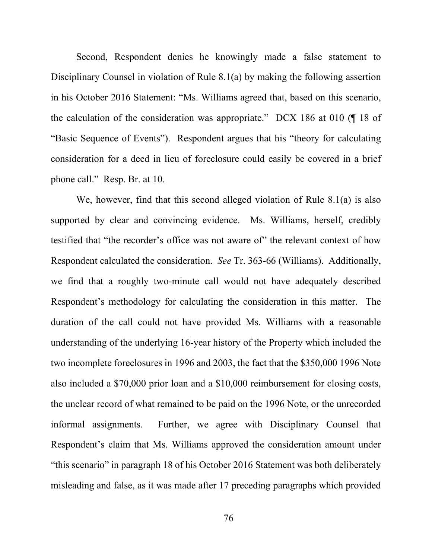Second, Respondent denies he knowingly made a false statement to Disciplinary Counsel in violation of Rule 8.1(a) by making the following assertion in his October 2016 Statement: "Ms. Williams agreed that, based on this scenario, the calculation of the consideration was appropriate." DCX 186 at 010 (¶ 18 of "Basic Sequence of Events"). Respondent argues that his "theory for calculating consideration for a deed in lieu of foreclosure could easily be covered in a brief phone call." Resp. Br. at 10.

We, however, find that this second alleged violation of Rule 8.1(a) is also supported by clear and convincing evidence. Ms. Williams, herself, credibly testified that "the recorder's office was not aware of" the relevant context of how Respondent calculated the consideration. *See* Tr. 363-66 (Williams). Additionally, we find that a roughly two-minute call would not have adequately described Respondent's methodology for calculating the consideration in this matter. The duration of the call could not have provided Ms. Williams with a reasonable understanding of the underlying 16-year history of the Property which included the two incomplete foreclosures in 1996 and 2003, the fact that the \$350,000 1996 Note also included a \$70,000 prior loan and a \$10,000 reimbursement for closing costs, the unclear record of what remained to be paid on the 1996 Note, or the unrecorded informal assignments. Further, we agree with Disciplinary Counsel that Respondent's claim that Ms. Williams approved the consideration amount under "this scenario" in paragraph 18 of his October 2016 Statement was both deliberately misleading and false, as it was made after 17 preceding paragraphs which provided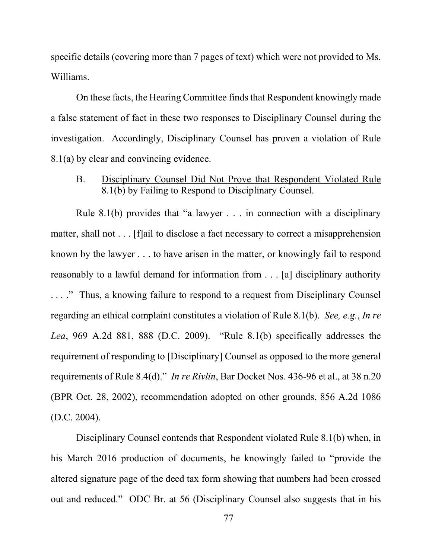specific details (covering more than 7 pages of text) which were not provided to Ms. Williams.

On these facts, the Hearing Committee finds that Respondent knowingly made a false statement of fact in these two responses to Disciplinary Counsel during the investigation. Accordingly, Disciplinary Counsel has proven a violation of Rule 8.1(a) by clear and convincing evidence.

# B. Disciplinary Counsel Did Not Prove that Respondent Violated Rule 8.1(b) by Failing to Respond to Disciplinary Counsel.

Rule 8.1(b) provides that "a lawyer . . . in connection with a disciplinary matter, shall not . . . [f]ail to disclose a fact necessary to correct a misapprehension known by the lawyer . . . to have arisen in the matter, or knowingly fail to respond reasonably to a lawful demand for information from . . . [a] disciplinary authority . . . ." Thus, a knowing failure to respond to a request from Disciplinary Counsel regarding an ethical complaint constitutes a violation of Rule 8.1(b). *See, e.g.*, *In re Lea*, 969 A.2d 881, 888 (D.C. 2009). "Rule 8.1(b) specifically addresses the requirement of responding to [Disciplinary] Counsel as opposed to the more general requirements of Rule 8.4(d)." *In re Rivlin*, Bar Docket Nos. 436-96 et al., at 38 n.20 (BPR Oct. 28, 2002), recommendation adopted on other grounds, 856 A.2d 1086 (D.C. 2004).

Disciplinary Counsel contends that Respondent violated Rule 8.1(b) when, in his March 2016 production of documents, he knowingly failed to "provide the altered signature page of the deed tax form showing that numbers had been crossed out and reduced." ODC Br. at 56 (Disciplinary Counsel also suggests that in his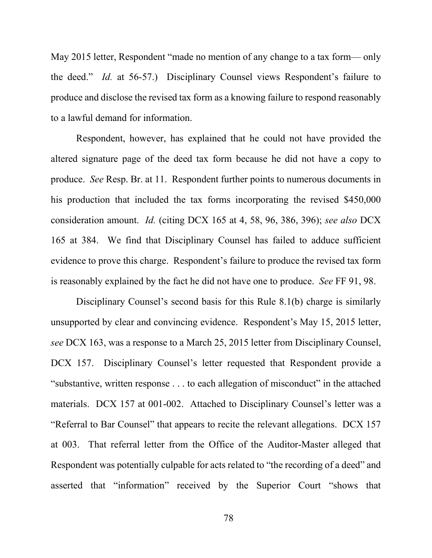May 2015 letter, Respondent "made no mention of any change to a tax form— only the deed." *Id.* at 56-57.) Disciplinary Counsel views Respondent's failure to produce and disclose the revised tax form as a knowing failure to respond reasonably to a lawful demand for information.

Respondent, however, has explained that he could not have provided the altered signature page of the deed tax form because he did not have a copy to produce. *See* Resp. Br. at 11. Respondent further points to numerous documents in his production that included the tax forms incorporating the revised \$450,000 consideration amount. *Id.* (citing DCX 165 at 4, 58, 96, 386, 396); *see also* DCX 165 at 384. We find that Disciplinary Counsel has failed to adduce sufficient evidence to prove this charge. Respondent's failure to produce the revised tax form is reasonably explained by the fact he did not have one to produce. *See* FF 91, 98.

Disciplinary Counsel's second basis for this Rule 8.1(b) charge is similarly unsupported by clear and convincing evidence. Respondent's May 15, 2015 letter, *see* DCX 163, was a response to a March 25, 2015 letter from Disciplinary Counsel, DCX 157. Disciplinary Counsel's letter requested that Respondent provide a "substantive, written response . . . to each allegation of misconduct" in the attached materials. DCX 157 at 001-002. Attached to Disciplinary Counsel's letter was a "Referral to Bar Counsel" that appears to recite the relevant allegations. DCX 157 at 003. That referral letter from the Office of the Auditor-Master alleged that Respondent was potentially culpable for acts related to "the recording of a deed" and asserted that "information" received by the Superior Court "shows that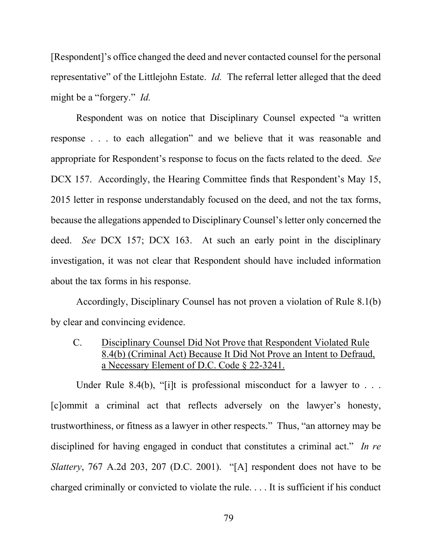[Respondent]'s office changed the deed and never contacted counsel for the personal representative" of the Littlejohn Estate. *Id.* The referral letter alleged that the deed might be a "forgery." *Id.*

Respondent was on notice that Disciplinary Counsel expected "a written response . . . to each allegation" and we believe that it was reasonable and appropriate for Respondent's response to focus on the facts related to the deed. *See* DCX 157. Accordingly, the Hearing Committee finds that Respondent's May 15, 2015 letter in response understandably focused on the deed, and not the tax forms, because the allegations appended to Disciplinary Counsel's letter only concerned the deed. *See* DCX 157; DCX 163. At such an early point in the disciplinary investigation, it was not clear that Respondent should have included information about the tax forms in his response.

Accordingly, Disciplinary Counsel has not proven a violation of Rule 8.1(b) by clear and convincing evidence.

C. Disciplinary Counsel Did Not Prove that Respondent Violated Rule 8.4(b) (Criminal Act) Because It Did Not Prove an Intent to Defraud, a Necessary Element of D.C. Code § 22-3241.

Under Rule 8.4(b), "[i]t is professional misconduct for a lawyer to  $\dots$ [c]ommit a criminal act that reflects adversely on the lawyer's honesty, trustworthiness, or fitness as a lawyer in other respects." Thus, "an attorney may be disciplined for having engaged in conduct that constitutes a criminal act." *In re Slattery*, 767 A.2d 203, 207 (D.C. 2001). "[A] respondent does not have to be charged criminally or convicted to violate the rule. . . . It is sufficient if his conduct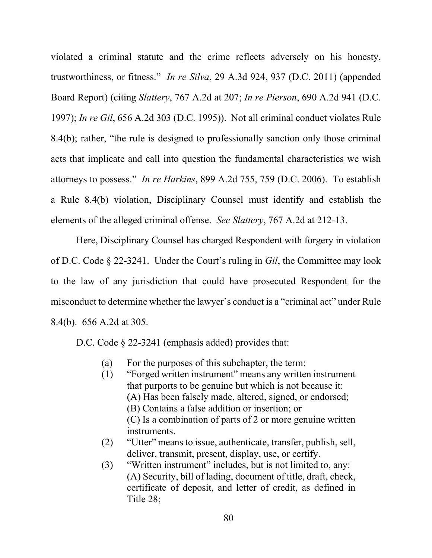violated a criminal statute and the crime reflects adversely on his honesty, trustworthiness, or fitness." *In re Silva*, 29 A.3d 924, 937 (D.C. 2011) (appended Board Report) (citing *Slattery*, 767 A.2d at 207; *In re Pierson*, 690 A.2d 941 (D.C. 1997); *In re Gil*, 656 A.2d 303 (D.C. 1995)). Not all criminal conduct violates Rule 8.4(b); rather, "the rule is designed to professionally sanction only those criminal acts that implicate and call into question the fundamental characteristics we wish attorneys to possess." *In re Harkins*, 899 A.2d 755, 759 (D.C. 2006). To establish a Rule 8.4(b) violation, Disciplinary Counsel must identify and establish the elements of the alleged criminal offense. *See Slattery*, 767 A.2d at 212-13.

Here, Disciplinary Counsel has charged Respondent with forgery in violation of D.C. Code § 22-3241. Under the Court's ruling in *Gil*, the Committee may look to the law of any jurisdiction that could have prosecuted Respondent for the misconduct to determine whether the lawyer's conduct is a "criminal act" under Rule 8.4(b). 656 A.2d at 305.

D.C. Code § 22-3241 (emphasis added) provides that:

- (a) For the purposes of this subchapter, the term:
- (1) "Forged written instrument" means any written instrument that purports to be genuine but which is not because it: (A) Has been falsely made, altered, signed, or endorsed; (B) Contains a false addition or insertion; or (C) Is a combination of parts of 2 or more genuine written instruments.
- (2) "Utter" means to issue, authenticate, transfer, publish, sell, deliver, transmit, present, display, use, or certify.
- (3) "Written instrument" includes, but is not limited to, any: (A) Security, bill of lading, document of title, draft, check, certificate of deposit, and letter of credit, as defined in Title 28;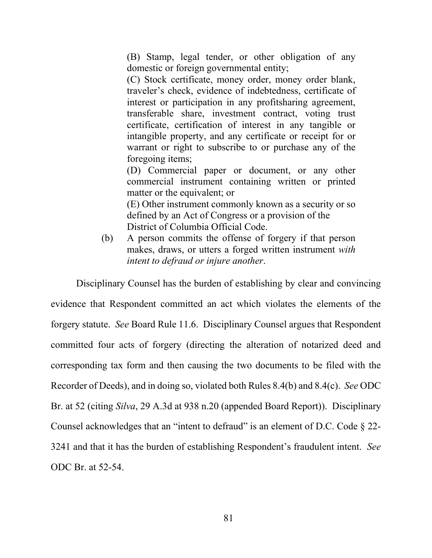(B) Stamp, legal tender, or other obligation of any domestic or foreign governmental entity;

(C) Stock certificate, money order, money order blank, traveler's check, evidence of indebtedness, certificate of interest or participation in any profitsharing agreement, transferable share, investment contract, voting trust certificate, certification of interest in any tangible or intangible property, and any certificate or receipt for or warrant or right to subscribe to or purchase any of the foregoing items;

(D) Commercial paper or document, or any other commercial instrument containing written or printed matter or the equivalent; or (E) Other instrument commonly known as a security or so defined by an Act of Congress or a provision of the District of Columbia Official Code.

(b) A person commits the offense of forgery if that person makes, draws, or utters a forged written instrument *with intent to defraud or injure another*.

Disciplinary Counsel has the burden of establishing by clear and convincing evidence that Respondent committed an act which violates the elements of the forgery statute. *See* Board Rule 11.6. Disciplinary Counsel argues that Respondent committed four acts of forgery (directing the alteration of notarized deed and corresponding tax form and then causing the two documents to be filed with the Recorder of Deeds), and in doing so, violated both Rules 8.4(b) and 8.4(c). *See* ODC Br. at 52 (citing *Silva*, 29 A.3d at 938 n.20 (appended Board Report)). Disciplinary Counsel acknowledges that an "intent to defraud" is an element of D.C. Code § 22- 3241 and that it has the burden of establishing Respondent's fraudulent intent. *See* ODC Br. at 52-54.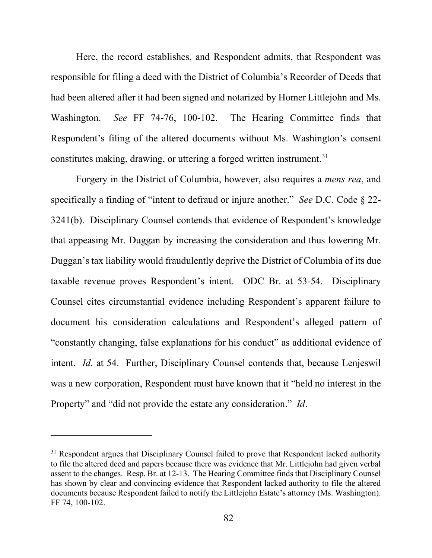Here, the record establishes, and Respondent admits, that Respondent was responsible for filing a deed with the District of Columbia's Recorder of Deeds that had been altered after it had been signed and notarized by Homer Littlejohn and Ms. Washington. *See* FF 74-76, 100-102. The Hearing Committee finds that Respondent's filing of the altered documents without Ms. Washington's consent constitutes making, drawing, or uttering a forged written instrument.<sup>[31](#page-81-0)</sup>

Forgery in the District of Columbia, however, also requires a *mens rea*, and specifically a finding of "intent to defraud or injure another." *See* D.C. Code § 22- 3241(b). Disciplinary Counsel contends that evidence of Respondent's knowledge that appeasing Mr. Duggan by increasing the consideration and thus lowering Mr. Duggan's tax liability would fraudulently deprive the District of Columbia of its due taxable revenue proves Respondent's intent. ODC Br. at 53-54. Disciplinary Counsel cites circumstantial evidence including Respondent's apparent failure to document his consideration calculations and Respondent's alleged pattern of "constantly changing, false explanations for his conduct" as additional evidence of intent. *Id.* at 54. Further, Disciplinary Counsel contends that, because Lenjeswil was a new corporation, Respondent must have known that it "held no interest in the Property" and "did not provide the estate any consideration." *Id*.

<span id="page-81-0"></span><sup>&</sup>lt;sup>31</sup> Respondent argues that Disciplinary Counsel failed to prove that Respondent lacked authority to file the altered deed and papers because there was evidence that Mr. Littlejohn had given verbal assent to the changes. Resp. Br. at 12-13. The Hearing Committee finds that Disciplinary Counsel has shown by clear and convincing evidence that Respondent lacked authority to file the altered documents because Respondent failed to notify the Littlejohn Estate's attorney (Ms. Washington). FF 74, 100-102.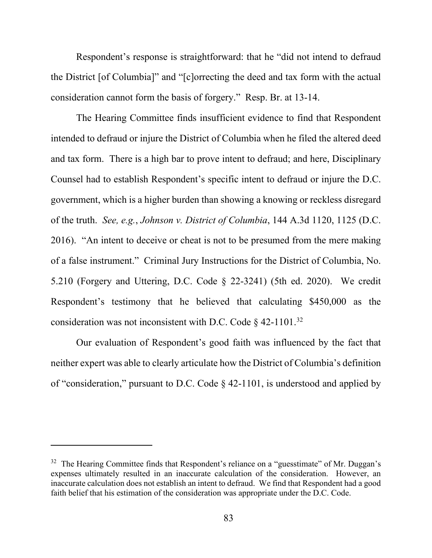Respondent's response is straightforward: that he "did not intend to defraud the District [of Columbia]" and "[c]orrecting the deed and tax form with the actual consideration cannot form the basis of forgery." Resp. Br. at 13-14.

The Hearing Committee finds insufficient evidence to find that Respondent intended to defraud or injure the District of Columbia when he filed the altered deed and tax form. There is a high bar to prove intent to defraud; and here, Disciplinary Counsel had to establish Respondent's specific intent to defraud or injure the D.C. government, which is a higher burden than showing a knowing or reckless disregard of the truth. *See, e.g.*, *Johnson v. District of Columbia*, 144 A.3d 1120, 1125 (D.C. 2016). "An intent to deceive or cheat is not to be presumed from the mere making of a false instrument." Criminal Jury Instructions for the District of Columbia, No. 5.210 (Forgery and Uttering, D.C. Code § 22-3241) (5th ed. 2020). We credit Respondent's testimony that he believed that calculating \$450,000 as the consideration was not inconsistent with D.C. Code § 42-1101[.32](#page-82-0) 

Our evaluation of Respondent's good faith was influenced by the fact that neither expert was able to clearly articulate how the District of Columbia's definition of "consideration," pursuant to D.C. Code § 42-1101, is understood and applied by

<span id="page-82-0"></span> $32$  The Hearing Committee finds that Respondent's reliance on a "guesstimate" of Mr. Duggan's expenses ultimately resulted in an inaccurate calculation of the consideration. However, an inaccurate calculation does not establish an intent to defraud. We find that Respondent had a good faith belief that his estimation of the consideration was appropriate under the D.C. Code.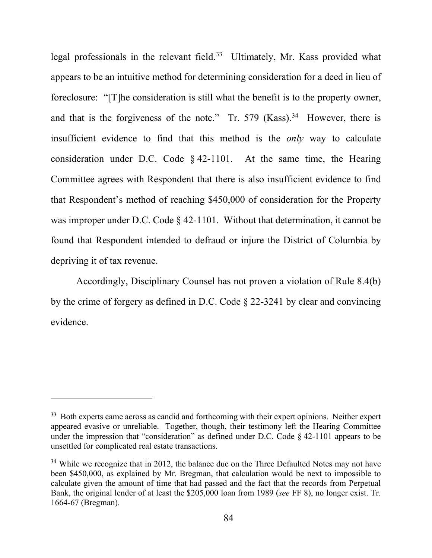legal professionals in the relevant field.<sup>[33](#page-83-0)</sup> Ultimately, Mr. Kass provided what appears to be an intuitive method for determining consideration for a deed in lieu of foreclosure: "[T]he consideration is still what the benefit is to the property owner, and that is the forgiveness of the note." Tr. 579  $(Kass)$ .<sup>[34](#page-83-1)</sup> However, there is insufficient evidence to find that this method is the *only* way to calculate consideration under D.C. Code § 42-1101. At the same time, the Hearing Committee agrees with Respondent that there is also insufficient evidence to find that Respondent's method of reaching \$450,000 of consideration for the Property was improper under D.C. Code § 42-1101. Without that determination, it cannot be found that Respondent intended to defraud or injure the District of Columbia by depriving it of tax revenue.

Accordingly, Disciplinary Counsel has not proven a violation of Rule 8.4(b) by the crime of forgery as defined in D.C. Code § 22-3241 by clear and convincing evidence.

<span id="page-83-0"></span><sup>&</sup>lt;sup>33</sup> Both experts came across as candid and forthcoming with their expert opinions. Neither expert appeared evasive or unreliable. Together, though, their testimony left the Hearing Committee under the impression that "consideration" as defined under D.C. Code § 42-1101 appears to be unsettled for complicated real estate transactions.

<span id="page-83-1"></span> $34$  While we recognize that in 2012, the balance due on the Three Defaulted Notes may not have been \$450,000, as explained by Mr. Bregman, that calculation would be next to impossible to calculate given the amount of time that had passed and the fact that the records from Perpetual Bank, the original lender of at least the \$205,000 loan from 1989 (*see* FF 8), no longer exist. Tr. 1664-67 (Bregman).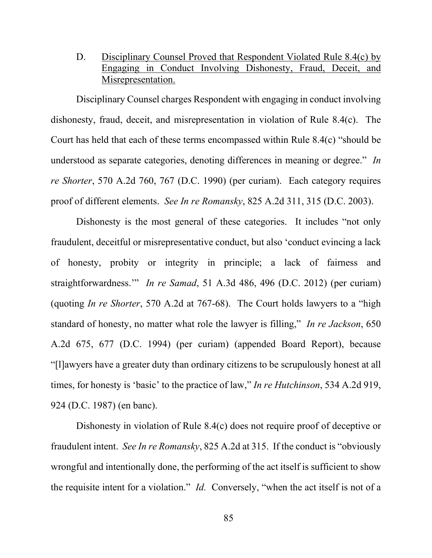D. Disciplinary Counsel Proved that Respondent Violated Rule 8.4(c) by Engaging in Conduct Involving Dishonesty, Fraud, Deceit, and Misrepresentation.

Disciplinary Counsel charges Respondent with engaging in conduct involving dishonesty, fraud, deceit, and misrepresentation in violation of Rule 8.4(c). The Court has held that each of these terms encompassed within Rule 8.4(c) "should be understood as separate categories, denoting differences in meaning or degree." *In re Shorter*, 570 A.2d 760, 767 (D.C. 1990) (per curiam). Each category requires proof of different elements. *See In re Romansky*, 825 A.2d 311, 315 (D.C. 2003).

Dishonesty is the most general of these categories. It includes "not only fraudulent, deceitful or misrepresentative conduct, but also 'conduct evincing a lack of honesty, probity or integrity in principle; a lack of fairness and straightforwardness.'" *In re Samad*, 51 A.3d 486, 496 (D.C. 2012) (per curiam) (quoting *In re Shorter*, 570 A.2d at 767-68). The Court holds lawyers to a "high standard of honesty, no matter what role the lawyer is filling," *In re Jackson*, 650 A.2d 675, 677 (D.C. 1994) (per curiam) (appended Board Report), because "[l]awyers have a greater duty than ordinary citizens to be scrupulously honest at all times, for honesty is 'basic' to the practice of law," *In re Hutchinson*, 534 A.2d 919, 924 (D.C. 1987) (en banc).

Dishonesty in violation of Rule 8.4(c) does not require proof of deceptive or fraudulent intent. *See In re Romansky*, 825 A.2d at 315. If the conduct is "obviously wrongful and intentionally done, the performing of the act itself is sufficient to show the requisite intent for a violation." *Id.* Conversely, "when the act itself is not of a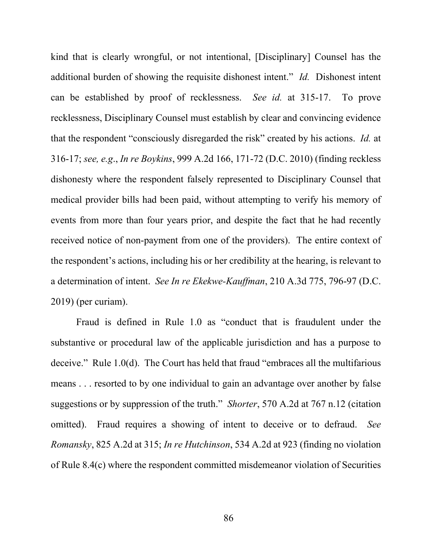kind that is clearly wrongful, or not intentional, [Disciplinary] Counsel has the additional burden of showing the requisite dishonest intent." *Id.* Dishonest intent can be established by proof of recklessness. *See id.* at 315-17. To prove recklessness, Disciplinary Counsel must establish by clear and convincing evidence that the respondent "consciously disregarded the risk" created by his actions. *Id.* at 316-17; *see, e.g*., *In re Boykins*, 999 A.2d 166, 171-72 (D.C. 2010) (finding reckless dishonesty where the respondent falsely represented to Disciplinary Counsel that medical provider bills had been paid, without attempting to verify his memory of events from more than four years prior, and despite the fact that he had recently received notice of non-payment from one of the providers). The entire context of the respondent's actions, including his or her credibility at the hearing, is relevant to a determination of intent. *See In re Ekekwe-Kauffman*, 210 A.3d 775, 796-97 (D.C. 2019) (per curiam).

Fraud is defined in Rule 1.0 as "conduct that is fraudulent under the substantive or procedural law of the applicable jurisdiction and has a purpose to deceive." Rule 1.0(d). The Court has held that fraud "embraces all the multifarious means . . . resorted to by one individual to gain an advantage over another by false suggestions or by suppression of the truth." *Shorter*, 570 A.2d at 767 n.12 (citation omitted). Fraud requires a showing of intent to deceive or to defraud. *See Romansky*, 825 A.2d at 315; *In re Hutchinson*, 534 A.2d at 923 (finding no violation of Rule 8.4(c) where the respondent committed misdemeanor violation of Securities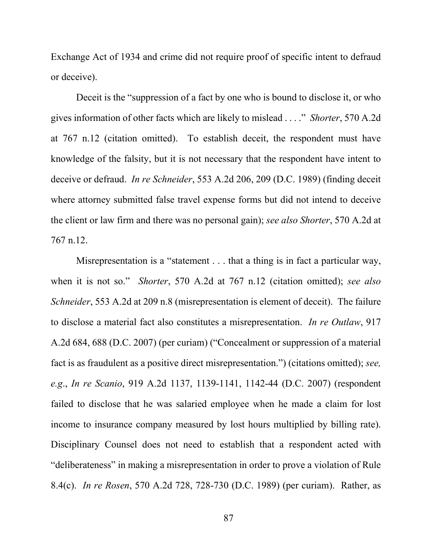Exchange Act of 1934 and crime did not require proof of specific intent to defraud or deceive).

Deceit is the "suppression of a fact by one who is bound to disclose it, or who gives information of other facts which are likely to mislead . . . ." *Shorter*, 570 A.2d at 767 n.12 (citation omitted). To establish deceit, the respondent must have knowledge of the falsity, but it is not necessary that the respondent have intent to deceive or defraud. *In re Schneider*, 553 A.2d 206, 209 (D.C. 1989) (finding deceit where attorney submitted false travel expense forms but did not intend to deceive the client or law firm and there was no personal gain); *see also Shorter*, 570 A.2d at 767 n.12.

Misrepresentation is a "statement . . . that a thing is in fact a particular way, when it is not so." *Shorter*, 570 A.2d at 767 n.12 (citation omitted); *see also Schneider*, 553 A.2d at 209 n.8 (misrepresentation is element of deceit). The failure to disclose a material fact also constitutes a misrepresentation. *In re Outlaw*, 917 A.2d 684, 688 (D.C. 2007) (per curiam) ("Concealment or suppression of a material fact is as fraudulent as a positive direct misrepresentation.") (citations omitted); *see, e.g*., *In re Scanio*, 919 A.2d 1137, 1139-1141, 1142-44 (D.C. 2007) (respondent failed to disclose that he was salaried employee when he made a claim for lost income to insurance company measured by lost hours multiplied by billing rate). Disciplinary Counsel does not need to establish that a respondent acted with "deliberateness" in making a misrepresentation in order to prove a violation of Rule 8.4(c). *In re Rosen*, 570 A.2d 728, 728-730 (D.C. 1989) (per curiam). Rather, as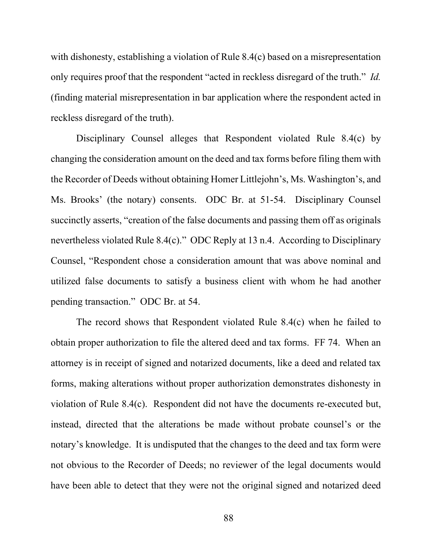with dishonesty, establishing a violation of Rule 8.4(c) based on a misrepresentation only requires proof that the respondent "acted in reckless disregard of the truth." *Id.* (finding material misrepresentation in bar application where the respondent acted in reckless disregard of the truth).

Disciplinary Counsel alleges that Respondent violated Rule 8.4(c) by changing the consideration amount on the deed and tax forms before filing them with the Recorder of Deeds without obtaining Homer Littlejohn's, Ms. Washington's, and Ms. Brooks' (the notary) consents. ODC Br. at 51-54. Disciplinary Counsel succinctly asserts, "creation of the false documents and passing them off as originals nevertheless violated Rule 8.4(c)." ODC Reply at 13 n.4. According to Disciplinary Counsel, "Respondent chose a consideration amount that was above nominal and utilized false documents to satisfy a business client with whom he had another pending transaction." ODC Br. at 54.

The record shows that Respondent violated Rule 8.4(c) when he failed to obtain proper authorization to file the altered deed and tax forms. FF 74. When an attorney is in receipt of signed and notarized documents, like a deed and related tax forms, making alterations without proper authorization demonstrates dishonesty in violation of Rule 8.4(c). Respondent did not have the documents re-executed but, instead, directed that the alterations be made without probate counsel's or the notary's knowledge. It is undisputed that the changes to the deed and tax form were not obvious to the Recorder of Deeds; no reviewer of the legal documents would have been able to detect that they were not the original signed and notarized deed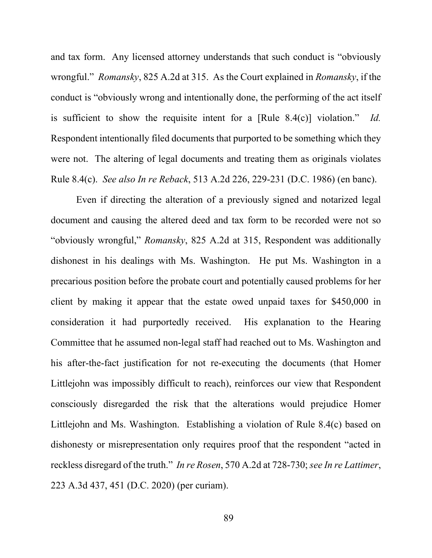and tax form. Any licensed attorney understands that such conduct is "obviously wrongful." *Romansky*, 825 A.2d at 315. As the Court explained in *Romansky*, if the conduct is "obviously wrong and intentionally done, the performing of the act itself is sufficient to show the requisite intent for a [Rule 8.4(c)] violation." *Id.* Respondent intentionally filed documents that purported to be something which they were not. The altering of legal documents and treating them as originals violates Rule 8.4(c). *See also In re Reback*, 513 A.2d 226, 229-231 (D.C. 1986) (en banc).

Even if directing the alteration of a previously signed and notarized legal document and causing the altered deed and tax form to be recorded were not so "obviously wrongful," *Romansky*, 825 A.2d at 315, Respondent was additionally dishonest in his dealings with Ms. Washington. He put Ms. Washington in a precarious position before the probate court and potentially caused problems for her client by making it appear that the estate owed unpaid taxes for \$450,000 in consideration it had purportedly received. His explanation to the Hearing Committee that he assumed non-legal staff had reached out to Ms. Washington and his after-the-fact justification for not re-executing the documents (that Homer Littlejohn was impossibly difficult to reach), reinforces our view that Respondent consciously disregarded the risk that the alterations would prejudice Homer Littlejohn and Ms. Washington. Establishing a violation of Rule 8.4(c) based on dishonesty or misrepresentation only requires proof that the respondent "acted in reckless disregard of the truth." *In re Rosen*, 570 A.2d at 728-730; *see In re Lattimer*, 223 A.3d 437, 451 (D.C. 2020) (per curiam).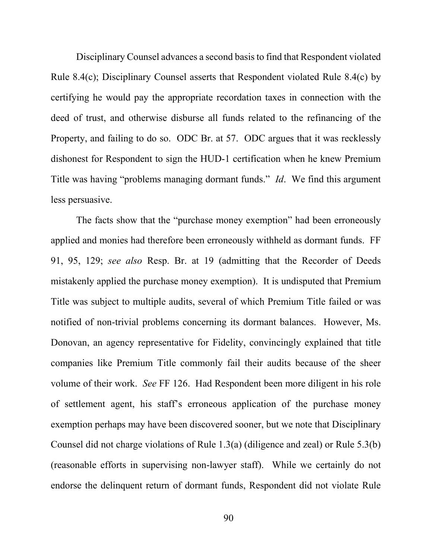Disciplinary Counsel advances a second basis to find that Respondent violated Rule 8.4(c); Disciplinary Counsel asserts that Respondent violated Rule 8.4(c) by certifying he would pay the appropriate recordation taxes in connection with the deed of trust, and otherwise disburse all funds related to the refinancing of the Property, and failing to do so. ODC Br. at 57. ODC argues that it was recklessly dishonest for Respondent to sign the HUD-1 certification when he knew Premium Title was having "problems managing dormant funds." *Id*. We find this argument less persuasive.

The facts show that the "purchase money exemption" had been erroneously applied and monies had therefore been erroneously withheld as dormant funds. FF 91, 95, 129; *see also* Resp. Br. at 19 (admitting that the Recorder of Deeds mistakenly applied the purchase money exemption). It is undisputed that Premium Title was subject to multiple audits, several of which Premium Title failed or was notified of non-trivial problems concerning its dormant balances. However, Ms. Donovan, an agency representative for Fidelity, convincingly explained that title companies like Premium Title commonly fail their audits because of the sheer volume of their work. *See* FF 126. Had Respondent been more diligent in his role of settlement agent, his staff's erroneous application of the purchase money exemption perhaps may have been discovered sooner, but we note that Disciplinary Counsel did not charge violations of Rule 1.3(a) (diligence and zeal) or Rule 5.3(b) (reasonable efforts in supervising non-lawyer staff). While we certainly do not endorse the delinquent return of dormant funds, Respondent did not violate Rule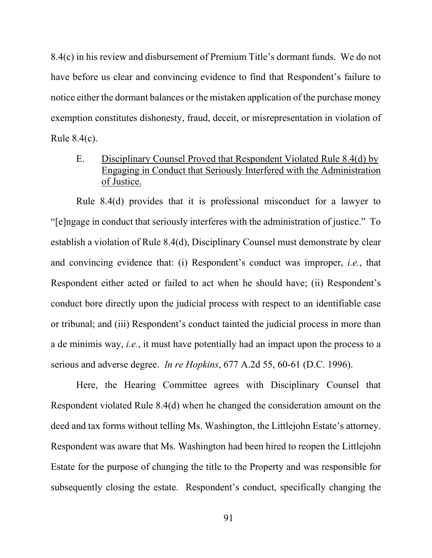8.4(c) in his review and disbursement of Premium Title's dormant funds. We do not have before us clear and convincing evidence to find that Respondent's failure to notice either the dormant balances or the mistaken application of the purchase money exemption constitutes dishonesty, fraud, deceit, or misrepresentation in violation of Rule 8.4(c).

# E. Disciplinary Counsel Proved that Respondent Violated Rule 8.4(d) by Engaging in Conduct that Seriously Interfered with the Administration of Justice.

Rule 8.4(d) provides that it is professional misconduct for a lawyer to "[e]ngage in conduct that seriously interferes with the administration of justice." To establish a violation of Rule 8.4(d), Disciplinary Counsel must demonstrate by clear and convincing evidence that: (i) Respondent's conduct was improper, *i.e.*, that Respondent either acted or failed to act when he should have; (ii) Respondent's conduct bore directly upon the judicial process with respect to an identifiable case or tribunal; and (iii) Respondent's conduct tainted the judicial process in more than a de minimis way, *i.e.*, it must have potentially had an impact upon the process to a serious and adverse degree. *In re Hopkins*, 677 A.2d 55, 60-61 (D.C. 1996).

Here, the Hearing Committee agrees with Disciplinary Counsel that Respondent violated Rule 8.4(d) when he changed the consideration amount on the deed and tax forms without telling Ms. Washington, the Littlejohn Estate's attorney. Respondent was aware that Ms. Washington had been hired to reopen the Littlejohn Estate for the purpose of changing the title to the Property and was responsible for subsequently closing the estate. Respondent's conduct, specifically changing the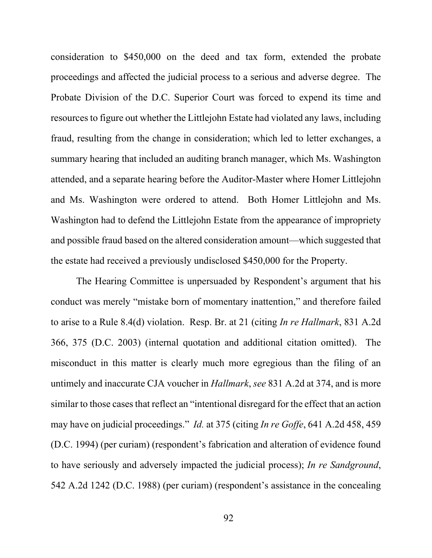consideration to \$450,000 on the deed and tax form, extended the probate proceedings and affected the judicial process to a serious and adverse degree. The Probate Division of the D.C. Superior Court was forced to expend its time and resources to figure out whether the Littlejohn Estate had violated any laws, including fraud, resulting from the change in consideration; which led to letter exchanges, a summary hearing that included an auditing branch manager, which Ms. Washington attended, and a separate hearing before the Auditor-Master where Homer Littlejohn and Ms. Washington were ordered to attend. Both Homer Littlejohn and Ms. Washington had to defend the Littlejohn Estate from the appearance of impropriety and possible fraud based on the altered consideration amount—which suggested that the estate had received a previously undisclosed \$450,000 for the Property.

The Hearing Committee is unpersuaded by Respondent's argument that his conduct was merely "mistake born of momentary inattention," and therefore failed to arise to a Rule 8.4(d) violation. Resp. Br. at 21 (citing *In re Hallmark*, 831 A.2d 366, 375 (D.C. 2003) (internal quotation and additional citation omitted). The misconduct in this matter is clearly much more egregious than the filing of an untimely and inaccurate CJA voucher in *Hallmark*, *see* 831 A.2d at 374, and is more similar to those cases that reflect an "intentional disregard for the effect that an action may have on judicial proceedings." *Id.* at 375 (citing *In re Goffe*, 641 A.2d 458, 459 (D.C. 1994) (per curiam) (respondent's fabrication and alteration of evidence found to have seriously and adversely impacted the judicial process); *In re Sandground*, 542 A.2d 1242 (D.C. 1988) (per curiam) (respondent's assistance in the concealing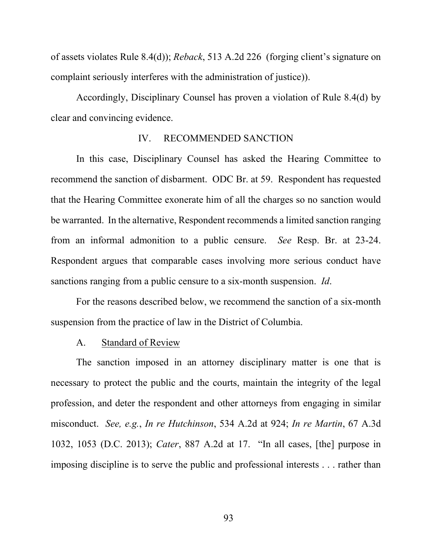of assets violates Rule 8.4(d)); *Reback*, 513 A.2d 226 (forging client's signature on complaint seriously interferes with the administration of justice)).

Accordingly, Disciplinary Counsel has proven a violation of Rule 8.4(d) by clear and convincing evidence.

### IV. RECOMMENDED SANCTION

In this case, Disciplinary Counsel has asked the Hearing Committee to recommend the sanction of disbarment. ODC Br. at 59. Respondent has requested that the Hearing Committee exonerate him of all the charges so no sanction would be warranted. In the alternative, Respondent recommends a limited sanction ranging from an informal admonition to a public censure. *See* Resp. Br. at 23-24. Respondent argues that comparable cases involving more serious conduct have sanctions ranging from a public censure to a six-month suspension. *Id*.

For the reasons described below, we recommend the sanction of a six-month suspension from the practice of law in the District of Columbia.

#### A. Standard of Review

The sanction imposed in an attorney disciplinary matter is one that is necessary to protect the public and the courts, maintain the integrity of the legal profession, and deter the respondent and other attorneys from engaging in similar misconduct. *See, e.g.*, *In re Hutchinson*, 534 A.2d at 924; *In re Martin*, 67 A.3d 1032, 1053 (D.C. 2013); *Cater*, 887 A.2d at 17. "In all cases, [the] purpose in imposing discipline is to serve the public and professional interests . . . rather than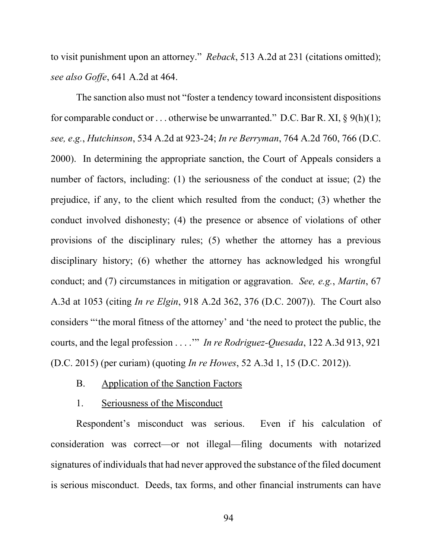to visit punishment upon an attorney." *Reback*, 513 A.2d at 231 (citations omitted); *see also Goffe*, 641 A.2d at 464.

The sanction also must not "foster a tendency toward inconsistent dispositions for comparable conduct or ... otherwise be unwarranted." D.C. Bar R. XI,  $\S$  9(h)(1); *see, e*.*g.*, *Hutchinson*, 534 A.2d at 923-24; *In re Berryman*, 764 A.2d 760, 766 (D.C. 2000). In determining the appropriate sanction, the Court of Appeals considers a number of factors, including: (1) the seriousness of the conduct at issue; (2) the prejudice, if any, to the client which resulted from the conduct; (3) whether the conduct involved dishonesty; (4) the presence or absence of violations of other provisions of the disciplinary rules; (5) whether the attorney has a previous disciplinary history; (6) whether the attorney has acknowledged his wrongful conduct; and (7) circumstances in mitigation or aggravation. *See, e.g.*, *Martin*, 67 A.3d at 1053 (citing *In re Elgin*, 918 A.2d 362, 376 (D.C. 2007)). The Court also considers "'the moral fitness of the attorney' and 'the need to protect the public, the courts, and the legal profession . . . .'" *In re Rodriguez-Quesada*, 122 A.3d 913, 921 (D.C. 2015) (per curiam) (quoting *In re Howes*, 52 A.3d 1, 15 (D.C. 2012)).

- B. Application of the Sanction Factors
- 1. Seriousness of the Misconduct

Respondent's misconduct was serious. Even if his calculation of consideration was correct—or not illegal—filing documents with notarized signatures of individuals that had never approved the substance of the filed document is serious misconduct. Deeds, tax forms, and other financial instruments can have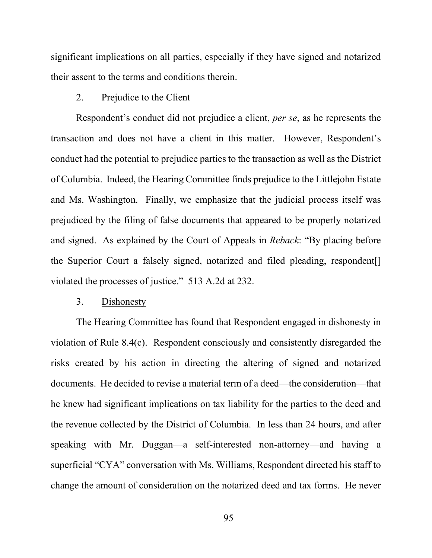significant implications on all parties, especially if they have signed and notarized their assent to the terms and conditions therein.

### 2. Prejudice to the Client

Respondent's conduct did not prejudice a client, *per se*, as he represents the transaction and does not have a client in this matter. However, Respondent's conduct had the potential to prejudice parties to the transaction as well as the District of Columbia. Indeed, the Hearing Committee finds prejudice to the Littlejohn Estate and Ms. Washington. Finally, we emphasize that the judicial process itself was prejudiced by the filing of false documents that appeared to be properly notarized and signed. As explained by the Court of Appeals in *Reback*: "By placing before the Superior Court a falsely signed, notarized and filed pleading, respondent[] violated the processes of justice." 513 A.2d at 232.

#### 3. Dishonesty

The Hearing Committee has found that Respondent engaged in dishonesty in violation of Rule 8.4(c). Respondent consciously and consistently disregarded the risks created by his action in directing the altering of signed and notarized documents. He decided to revise a material term of a deed—the consideration—that he knew had significant implications on tax liability for the parties to the deed and the revenue collected by the District of Columbia. In less than 24 hours, and after speaking with Mr. Duggan—a self-interested non-attorney—and having a superficial "CYA" conversation with Ms. Williams, Respondent directed his staff to change the amount of consideration on the notarized deed and tax forms. He never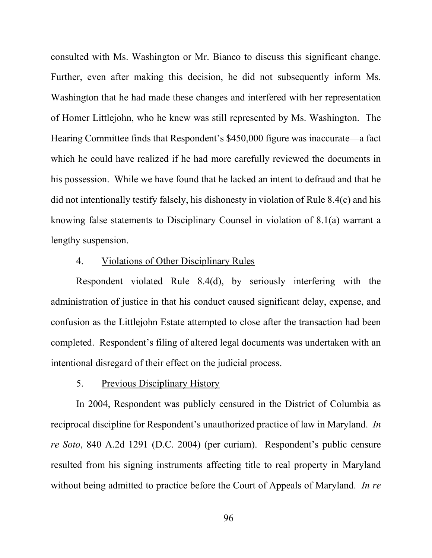consulted with Ms. Washington or Mr. Bianco to discuss this significant change. Further, even after making this decision, he did not subsequently inform Ms. Washington that he had made these changes and interfered with her representation of Homer Littlejohn, who he knew was still represented by Ms. Washington. The Hearing Committee finds that Respondent's \$450,000 figure was inaccurate—a fact which he could have realized if he had more carefully reviewed the documents in his possession. While we have found that he lacked an intent to defraud and that he did not intentionally testify falsely, his dishonesty in violation of Rule 8.4(c) and his knowing false statements to Disciplinary Counsel in violation of 8.1(a) warrant a lengthy suspension.

## 4. Violations of Other Disciplinary Rules

Respondent violated Rule 8.4(d), by seriously interfering with the administration of justice in that his conduct caused significant delay, expense, and confusion as the Littlejohn Estate attempted to close after the transaction had been completed. Respondent's filing of altered legal documents was undertaken with an intentional disregard of their effect on the judicial process.

#### 5. Previous Disciplinary History

In 2004, Respondent was publicly censured in the District of Columbia as reciprocal discipline for Respondent's unauthorized practice of law in Maryland. *In re Soto*, 840 A.2d 1291 (D.C. 2004) (per curiam). Respondent's public censure resulted from his signing instruments affecting title to real property in Maryland without being admitted to practice before the Court of Appeals of Maryland. *In re*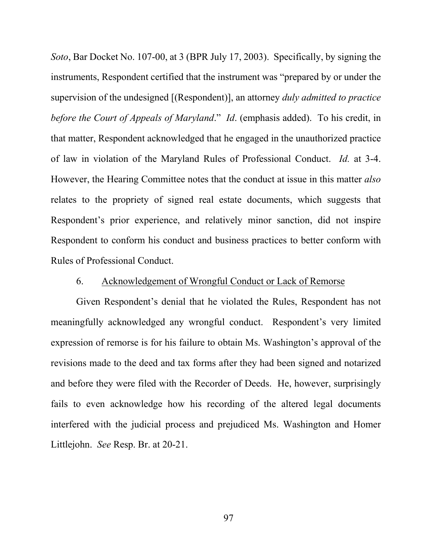*Soto*, Bar Docket No. 107-00, at 3 (BPR July 17, 2003). Specifically, by signing the instruments, Respondent certified that the instrument was "prepared by or under the supervision of the undesigned [(Respondent)], an attorney *duly admitted to practice before the Court of Appeals of Maryland*." *Id*. (emphasis added). To his credit, in that matter, Respondent acknowledged that he engaged in the unauthorized practice of law in violation of the Maryland Rules of Professional Conduct. *Id.* at 3-4. However, the Hearing Committee notes that the conduct at issue in this matter *also* relates to the propriety of signed real estate documents, which suggests that Respondent's prior experience, and relatively minor sanction, did not inspire Respondent to conform his conduct and business practices to better conform with Rules of Professional Conduct.

## 6. Acknowledgement of Wrongful Conduct or Lack of Remorse

Given Respondent's denial that he violated the Rules, Respondent has not meaningfully acknowledged any wrongful conduct. Respondent's very limited expression of remorse is for his failure to obtain Ms. Washington's approval of the revisions made to the deed and tax forms after they had been signed and notarized and before they were filed with the Recorder of Deeds. He, however, surprisingly fails to even acknowledge how his recording of the altered legal documents interfered with the judicial process and prejudiced Ms. Washington and Homer Littlejohn. *See* Resp. Br. at 20-21.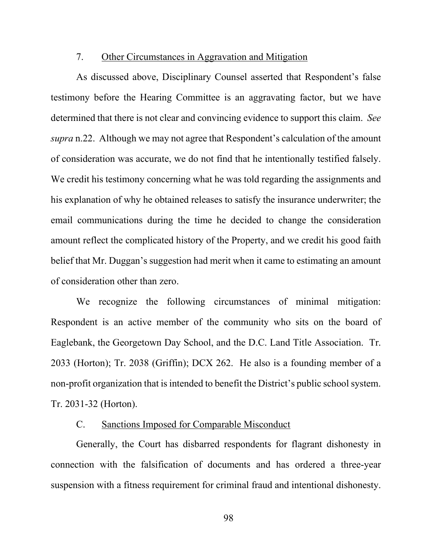#### 7. Other Circumstances in Aggravation and Mitigation

As discussed above, Disciplinary Counsel asserted that Respondent's false testimony before the Hearing Committee is an aggravating factor, but we have determined that there is not clear and convincing evidence to support this claim. *See supra* n.22. Although we may not agree that Respondent's calculation of the amount of consideration was accurate, we do not find that he intentionally testified falsely. We credit his testimony concerning what he was told regarding the assignments and his explanation of why he obtained releases to satisfy the insurance underwriter; the email communications during the time he decided to change the consideration amount reflect the complicated history of the Property, and we credit his good faith belief that Mr. Duggan's suggestion had merit when it came to estimating an amount of consideration other than zero.

We recognize the following circumstances of minimal mitigation: Respondent is an active member of the community who sits on the board of Eaglebank, the Georgetown Day School, and the D.C. Land Title Association. Tr. 2033 (Horton); Tr. 2038 (Griffin); DCX 262. He also is a founding member of a non-profit organization that is intended to benefit the District's public school system. Tr. 2031-32 (Horton).

## C. Sanctions Imposed for Comparable Misconduct

Generally, the Court has disbarred respondents for flagrant dishonesty in connection with the falsification of documents and has ordered a three-year suspension with a fitness requirement for criminal fraud and intentional dishonesty.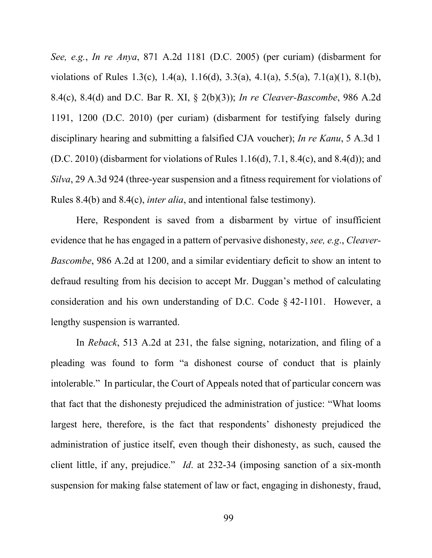*See, e.g.*, *In re Anya*, 871 A.2d 1181 (D.C. 2005) (per curiam) (disbarment for violations of Rules 1.3(c), 1.4(a), 1.16(d), 3.3(a), 4.1(a), 5.5(a), 7.1(a)(1), 8.1(b), 8.4(c), 8.4(d) and D.C. Bar R. XI, § 2(b)(3)); *In re Cleaver-Bascombe*, 986 A.2d 1191, 1200 (D.C. 2010) (per curiam) (disbarment for testifying falsely during disciplinary hearing and submitting a falsified CJA voucher); *In re Kanu*, 5 A.3d 1 (D.C. 2010) (disbarment for violations of Rules  $1.16(d)$ ,  $7.1$ ,  $8.4(c)$ , and  $8.4(d)$ ); and *Silva*, 29 A.3d 924 (three-year suspension and a fitness requirement for violations of Rules 8.4(b) and 8.4(c), *inter alia*, and intentional false testimony).

Here, Respondent is saved from a disbarment by virtue of insufficient evidence that he has engaged in a pattern of pervasive dishonesty, *see, e.g*., *Cleaver-Bascombe*, 986 A.2d at 1200, and a similar evidentiary deficit to show an intent to defraud resulting from his decision to accept Mr. Duggan's method of calculating consideration and his own understanding of D.C. Code § 42-1101. However, a lengthy suspension is warranted.

In *Reback*, 513 A.2d at 231, the false signing, notarization, and filing of a pleading was found to form "a dishonest course of conduct that is plainly intolerable." In particular, the Court of Appeals noted that of particular concern was that fact that the dishonesty prejudiced the administration of justice: "What looms largest here, therefore, is the fact that respondents' dishonesty prejudiced the administration of justice itself, even though their dishonesty, as such, caused the client little, if any, prejudice." *Id*. at 232-34 (imposing sanction of a six-month suspension for making false statement of law or fact, engaging in dishonesty, fraud,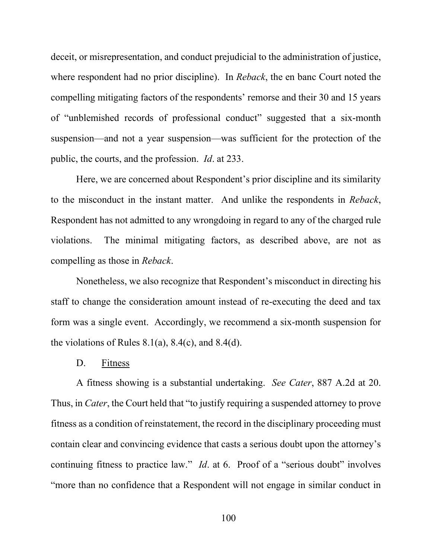deceit, or misrepresentation, and conduct prejudicial to the administration of justice, where respondent had no prior discipline). In *Reback*, the en banc Court noted the compelling mitigating factors of the respondents' remorse and their 30 and 15 years of "unblemished records of professional conduct" suggested that a six-month suspension—and not a year suspension—was sufficient for the protection of the public, the courts, and the profession. *Id*. at 233.

Here, we are concerned about Respondent's prior discipline and its similarity to the misconduct in the instant matter. And unlike the respondents in *Reback*, Respondent has not admitted to any wrongdoing in regard to any of the charged rule violations. The minimal mitigating factors, as described above, are not as compelling as those in *Reback*.

Nonetheless, we also recognize that Respondent's misconduct in directing his staff to change the consideration amount instead of re-executing the deed and tax form was a single event. Accordingly, we recommend a six-month suspension for the violations of Rules  $8.1(a)$ ,  $8.4(c)$ , and  $8.4(d)$ .

### D. Fitness

A fitness showing is a substantial undertaking. *See Cater*, 887 A.2d at 20. Thus, in *Cater*, the Court held that "to justify requiring a suspended attorney to prove fitness as a condition of reinstatement, the record in the disciplinary proceeding must contain clear and convincing evidence that casts a serious doubt upon the attorney's continuing fitness to practice law." *Id.* at 6. Proof of a "serious doubt" involves "more than no confidence that a Respondent will not engage in similar conduct in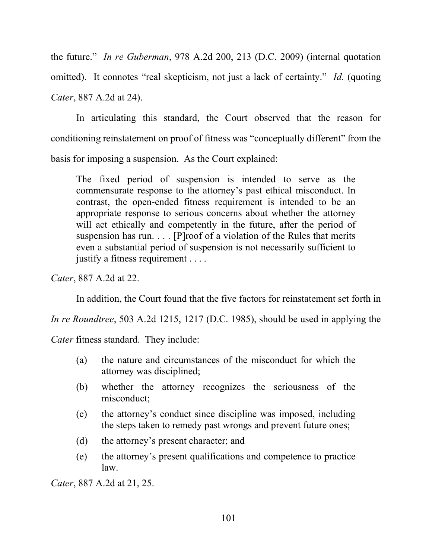the future." *In re Guberman*, 978 A.2d 200, 213 (D.C. 2009) (internal quotation omitted). It connotes "real skepticism, not just a lack of certainty." *Id.* (quoting *Cater*, 887 A.2d at 24).

In articulating this standard, the Court observed that the reason for conditioning reinstatement on proof of fitness was "conceptually different" from the basis for imposing a suspension. As the Court explained:

The fixed period of suspension is intended to serve as the commensurate response to the attorney's past ethical misconduct. In contrast, the open-ended fitness requirement is intended to be an appropriate response to serious concerns about whether the attorney will act ethically and competently in the future, after the period of suspension has run. . . . [P]roof of a violation of the Rules that merits even a substantial period of suspension is not necessarily sufficient to justify a fitness requirement . . . .

*Cater*, 887 A.2d at 22.

In addition, the Court found that the five factors for reinstatement set forth in

*In re Roundtree*, 503 A.2d 1215, 1217 (D.C. 1985), should be used in applying the

*Cater* fitness standard. They include:

- (a) the nature and circumstances of the misconduct for which the attorney was disciplined;
- (b) whether the attorney recognizes the seriousness of the misconduct;
- (c) the attorney's conduct since discipline was imposed, including the steps taken to remedy past wrongs and prevent future ones;
- (d) the attorney's present character; and
- (e) the attorney's present qualifications and competence to practice law.

*Cater*, 887 A.2d at 21, 25.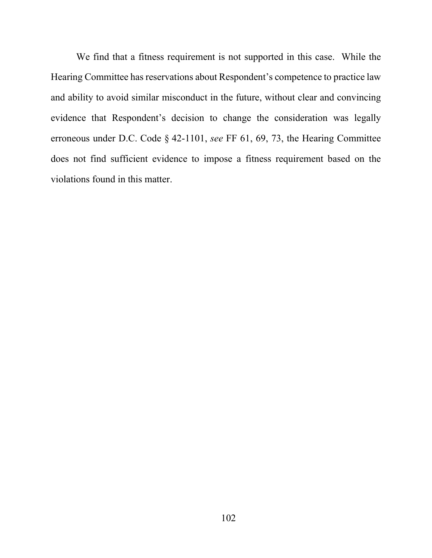We find that a fitness requirement is not supported in this case. While the Hearing Committee has reservations about Respondent's competence to practice law and ability to avoid similar misconduct in the future, without clear and convincing evidence that Respondent's decision to change the consideration was legally erroneous under D.C. Code § 42-1101, *see* FF 61, 69, 73, the Hearing Committee does not find sufficient evidence to impose a fitness requirement based on the violations found in this matter.